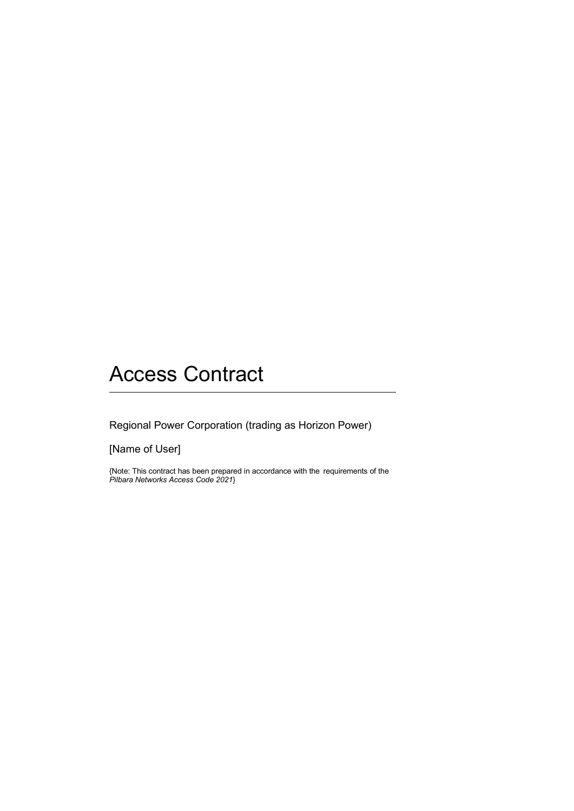# Access Contract

Regional Power Corporation (trading as Horizon Power)

[Name of User]

{Note: This contract has been prepared in accordance with the requirements of the *Pilbara Networks Access Code 2021*}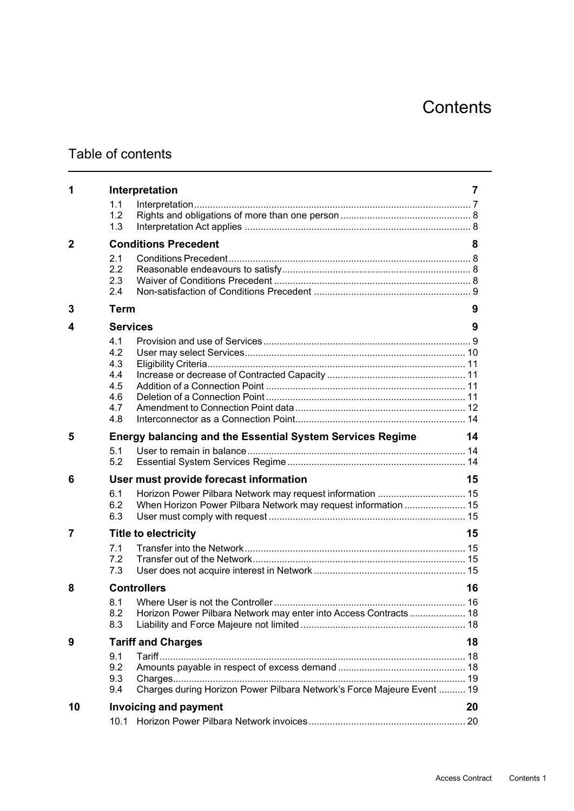# Table of contents

| 1           |             | Interpretation                                                         | 7  |
|-------------|-------------|------------------------------------------------------------------------|----|
|             | 1.1         |                                                                        |    |
|             | 1.2         |                                                                        |    |
|             | 1.3         |                                                                        |    |
| $\mathbf 2$ |             | <b>Conditions Precedent</b>                                            |    |
|             | 2.1         |                                                                        |    |
|             | 2.2         |                                                                        |    |
|             | 2.3<br>2.4  |                                                                        |    |
|             |             |                                                                        |    |
| 3           | <b>Term</b> |                                                                        | 9  |
| 4           |             | <b>Services</b>                                                        | 9  |
|             | 4.1         |                                                                        |    |
|             | 4.2         |                                                                        |    |
|             | 4.3         |                                                                        |    |
|             | 4.4<br>4.5  |                                                                        |    |
|             | 4.6         |                                                                        |    |
|             | 4.7         |                                                                        |    |
|             | 4.8         |                                                                        |    |
| 5           |             | <b>Energy balancing and the Essential System Services Regime</b>       | 14 |
|             | 5.1         |                                                                        |    |
|             | 5.2         |                                                                        |    |
| 6           |             | User must provide forecast information                                 | 15 |
|             | 6.1         | Horizon Power Pilbara Network may request information  15              |    |
|             | 6.2         | When Horizon Power Pilbara Network may request information  15         |    |
|             | 6.3         |                                                                        |    |
| 7           |             | <b>Title to electricity</b>                                            | 15 |
|             | 7.1         |                                                                        |    |
|             | 7.2         |                                                                        |    |
|             | 7.3         |                                                                        |    |
| 8           |             | <b>Controllers</b>                                                     | 16 |
|             |             |                                                                        |    |
|             | 8.1<br>8.2  | Horizon Power Pilbara Network may enter into Access Contracts  18      |    |
|             | 8.3         |                                                                        |    |
| 9           |             | <b>Tariff and Charges</b>                                              | 18 |
|             | 9.1         |                                                                        |    |
|             | 9.2         |                                                                        |    |
|             | 9.3         |                                                                        |    |
|             | 9.4         | Charges during Horizon Power Pilbara Network's Force Majeure Event  19 |    |
| 10          |             | <b>Invoicing and payment</b>                                           | 20 |
|             | 10.1        |                                                                        |    |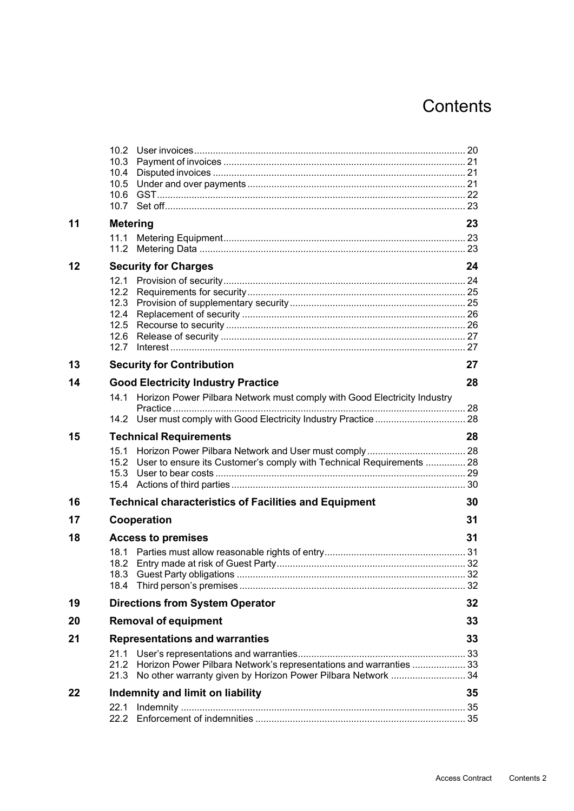|    | 10.3<br>10.4<br>10.5                                 |                                                                                                                                        |    |
|----|------------------------------------------------------|----------------------------------------------------------------------------------------------------------------------------------------|----|
| 11 | <b>Metering</b>                                      |                                                                                                                                        |    |
|    | 11.1<br>11.2                                         |                                                                                                                                        |    |
| 12 |                                                      | <b>Security for Charges</b>                                                                                                            | 24 |
|    | 12.1<br>12.2<br>12.3<br>12.4<br>12.5<br>12.6<br>12.7 |                                                                                                                                        |    |
| 13 |                                                      | <b>Security for Contribution</b>                                                                                                       | 27 |
| 14 |                                                      | <b>Good Electricity Industry Practice</b>                                                                                              | 28 |
|    |                                                      | 14.1 Horizon Power Pilbara Network must comply with Good Electricity Industry                                                          |    |
| 15 |                                                      |                                                                                                                                        | 28 |
|    | 15.4                                                 | <b>Technical Requirements</b><br>15.2 User to ensure its Customer's comply with Technical Requirements  28                             |    |
| 16 |                                                      | <b>Technical characteristics of Facilities and Equipment</b>                                                                           | 30 |
| 17 |                                                      | Cooperation                                                                                                                            | 31 |
| 18 | 18.1<br>18.2                                         | <b>Access to premises</b><br>18.3 Guest Party obligations                                                                              | 31 |
| 19 |                                                      | <b>Directions from System Operator</b>                                                                                                 | 32 |
| 20 |                                                      | <b>Removal of equipment</b>                                                                                                            | 33 |
| 21 |                                                      | <b>Representations and warranties</b>                                                                                                  | 33 |
|    | 21.1<br>21.3                                         | 21.2 Horizon Power Pilbara Network's representations and warranties  33<br>No other warranty given by Horizon Power Pilbara Network 34 |    |
| 22 | Indemnity and limit on liability                     |                                                                                                                                        |    |
|    | 22.1<br>22.2                                         |                                                                                                                                        |    |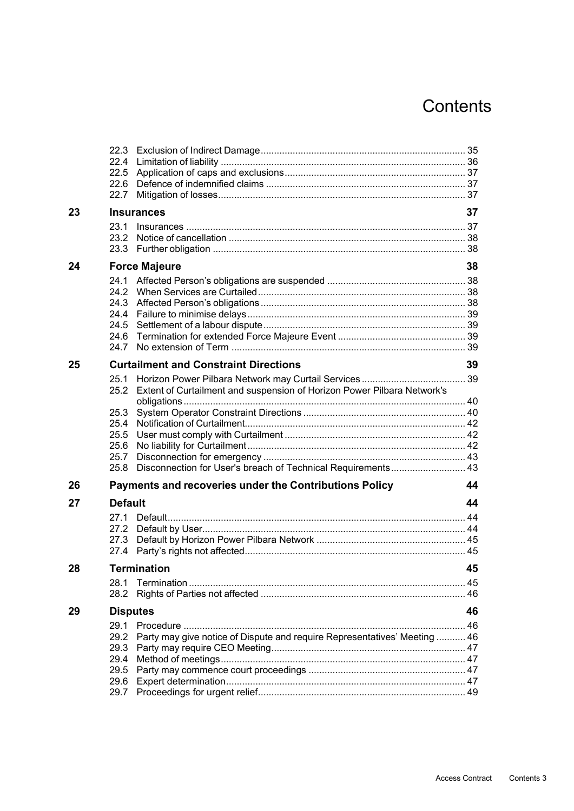|    | 22.5            |                                                                           |    |
|----|-----------------|---------------------------------------------------------------------------|----|
|    | 22.7            |                                                                           |    |
| 23 |                 | <b>Insurances</b>                                                         | 37 |
|    | 23.1            |                                                                           |    |
|    | 23.2            |                                                                           |    |
|    | 23.3            |                                                                           |    |
| 24 |                 | <b>Force Majeure</b>                                                      | 38 |
|    | 24.1            |                                                                           |    |
|    |                 |                                                                           |    |
|    |                 |                                                                           |    |
|    |                 |                                                                           |    |
|    | 24.6            |                                                                           |    |
|    | 24.7            |                                                                           |    |
| 25 |                 | <b>Curtailment and Constraint Directions</b>                              | 39 |
|    | 25.1            |                                                                           |    |
|    | 25.2            | Extent of Curtailment and suspension of Horizon Power Pilbara Network's   |    |
|    |                 |                                                                           |    |
|    | 25.3<br>25.4    |                                                                           |    |
|    | 25.5            |                                                                           |    |
|    | 25.6            |                                                                           |    |
|    | 25.7            |                                                                           |    |
|    | 25.8            | Disconnection for User's breach of Technical Requirements 43              |    |
| 26 |                 | Payments and recoveries under the Contributions Policy                    | 44 |
| 27 | <b>Default</b>  |                                                                           | 44 |
|    | 27.1            |                                                                           |    |
|    |                 |                                                                           |    |
|    | 27.3<br>27.4    |                                                                           |    |
|    |                 |                                                                           |    |
| 28 |                 | <b>Termination</b>                                                        | 45 |
|    | 28.1<br>28.2    |                                                                           |    |
| 29 | <b>Disputes</b> |                                                                           | 46 |
|    | 29.1            |                                                                           |    |
|    | 29.2            | Party may give notice of Dispute and require Representatives' Meeting  46 |    |
|    | 29.3            |                                                                           |    |
|    | 29.4<br>29.5    |                                                                           |    |
|    | 29.6            |                                                                           |    |
|    | 29.7            |                                                                           |    |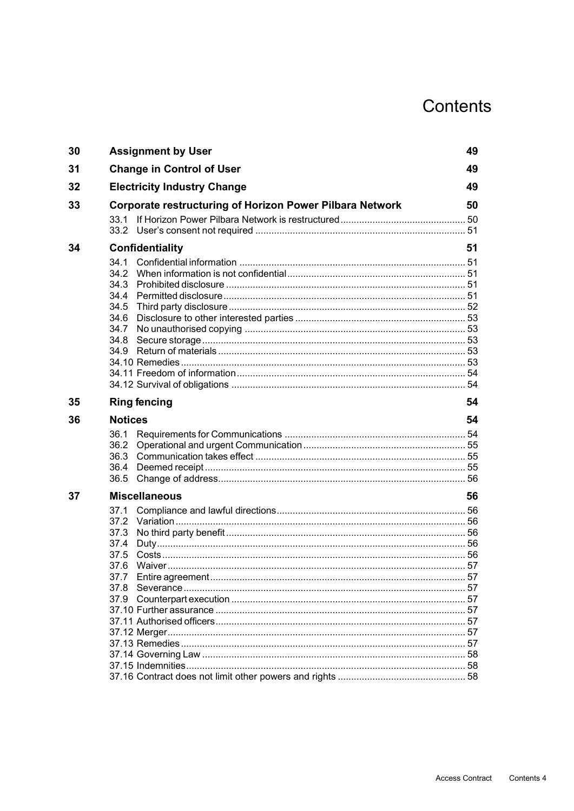| <b>Assignment by User</b>                                                           | 49                                                              |  |
|-------------------------------------------------------------------------------------|-----------------------------------------------------------------|--|
| <b>Change in Control of User</b>                                                    | 49                                                              |  |
| <b>Electricity Industry Change</b>                                                  | 49                                                              |  |
|                                                                                     | 50                                                              |  |
| 33.1                                                                                |                                                                 |  |
| <b>Confidentiality</b>                                                              |                                                                 |  |
| 34.1<br>34.3<br>34.4<br>34.5<br>34.6<br>34.7<br>34.8<br>34.9<br><b>Ring fencing</b> | 54                                                              |  |
| <b>Notices</b>                                                                      | 54                                                              |  |
| 36.1<br>36.2<br>36.3<br>36.4<br>36.5                                                |                                                                 |  |
| <b>Miscellaneous</b>                                                                | 56                                                              |  |
| 37.1<br>37.2<br>37.3<br>37.4<br>37.5<br>37.6<br>37.7<br>37.8                        | 57                                                              |  |
|                                                                                     | <b>Corporate restructuring of Horizon Power Pilbara Network</b> |  |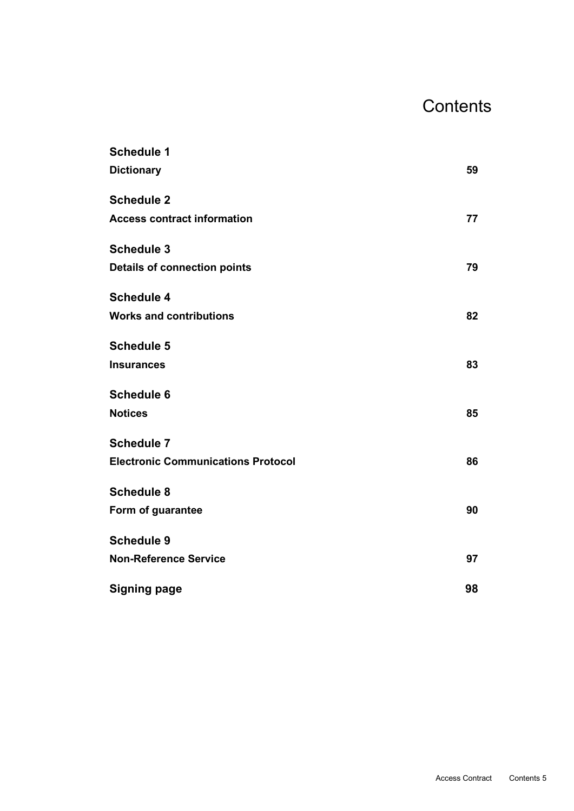| <b>Schedule 1</b>                         |    |
|-------------------------------------------|----|
| <b>Dictionary</b>                         | 59 |
| <b>Schedule 2</b>                         |    |
| <b>Access contract information</b>        | 77 |
| <b>Schedule 3</b>                         |    |
| <b>Details of connection points</b>       | 79 |
| <b>Schedule 4</b>                         |    |
| <b>Works and contributions</b>            | 82 |
| <b>Schedule 5</b>                         |    |
| <b>Insurances</b>                         | 83 |
| <b>Schedule 6</b>                         |    |
| <b>Notices</b>                            | 85 |
| <b>Schedule 7</b>                         |    |
| <b>Electronic Communications Protocol</b> | 86 |
| <b>Schedule 8</b>                         |    |
| Form of guarantee                         | 90 |
| <b>Schedule 9</b>                         |    |
| <b>Non-Reference Service</b>              | 97 |
| <b>Signing page</b>                       | 98 |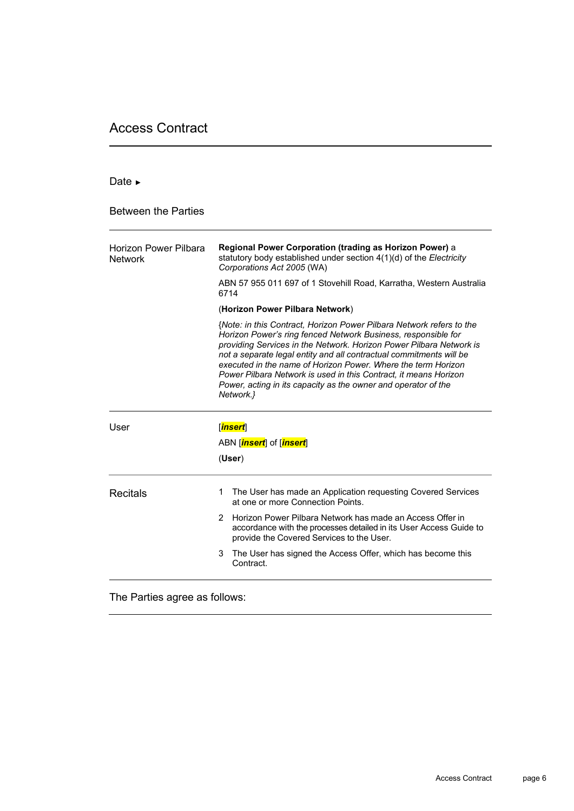# Access Contract

#### Date ►

Between the Parties

| Horizon Power Pilbara<br><b>Network</b> | Regional Power Corporation (trading as Horizon Power) a<br>statutory body established under section 4(1)(d) of the Electricity<br>Corporations Act 2005 (WA)                                                                                                                                                                                                                                                                                                                                            |  |  |  |  |
|-----------------------------------------|---------------------------------------------------------------------------------------------------------------------------------------------------------------------------------------------------------------------------------------------------------------------------------------------------------------------------------------------------------------------------------------------------------------------------------------------------------------------------------------------------------|--|--|--|--|
|                                         | ABN 57 955 011 697 of 1 Stovehill Road, Karratha, Western Australia<br>6714                                                                                                                                                                                                                                                                                                                                                                                                                             |  |  |  |  |
|                                         | (Horizon Power Pilbara Network)                                                                                                                                                                                                                                                                                                                                                                                                                                                                         |  |  |  |  |
|                                         | {Note: in this Contract, Horizon Power Pilbara Network refers to the<br>Horizon Power's ring fenced Network Business, responsible for<br>providing Services in the Network. Horizon Power Pilbara Network is<br>not a separate legal entity and all contractual commitments will be<br>executed in the name of Horizon Power. Where the term Horizon<br>Power Pilbara Network is used in this Contract, it means Horizon<br>Power, acting in its capacity as the owner and operator of the<br>Network.} |  |  |  |  |
| User                                    | [ <mark>insert</mark> ]                                                                                                                                                                                                                                                                                                                                                                                                                                                                                 |  |  |  |  |
|                                         | ABN [insert] of [insert]                                                                                                                                                                                                                                                                                                                                                                                                                                                                                |  |  |  |  |
|                                         | (User)                                                                                                                                                                                                                                                                                                                                                                                                                                                                                                  |  |  |  |  |
| Recitals                                | The User has made an Application requesting Covered Services<br>1.<br>at one or more Connection Points.                                                                                                                                                                                                                                                                                                                                                                                                 |  |  |  |  |
|                                         | Horizon Power Pilbara Network has made an Access Offer in<br>2<br>accordance with the processes detailed in its User Access Guide to<br>provide the Covered Services to the User.                                                                                                                                                                                                                                                                                                                       |  |  |  |  |
|                                         | The User has signed the Access Offer, which has become this<br>3<br>Contract.                                                                                                                                                                                                                                                                                                                                                                                                                           |  |  |  |  |

The Parties agree as follows: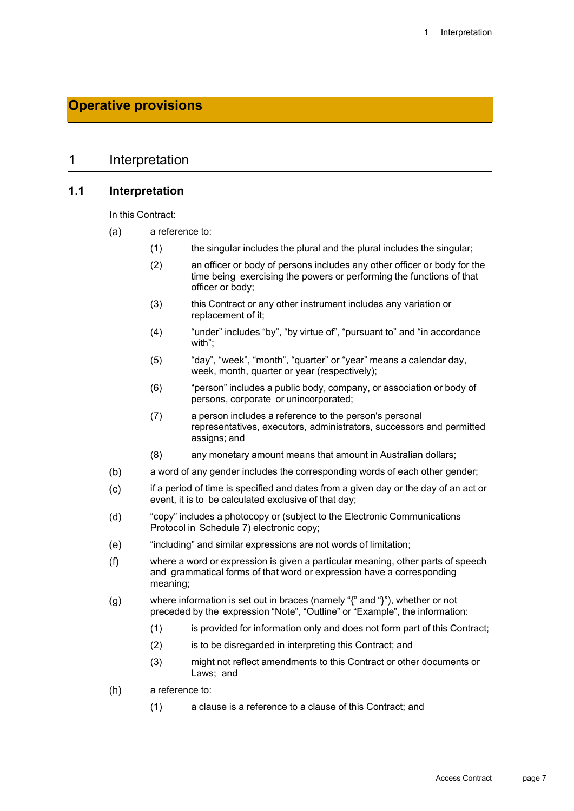# **Operative provisions**

#### 1 Interpretation

#### **1.1 Interpretation**

In this Contract:

- $(a)$ a reference to:
	- (1) the singular includes the plural and the plural includes the singular;
	- (2) an officer or body of persons includes any other officer or body for the time being exercising the powers or performing the functions of that officer or body;
	- (3) this Contract or any other instrument includes any variation or replacement of it;
	- (4) "under" includes "by", "by virtue of", "pursuant to" and "in accordance with";
	- (5) "day", "week", "month", "quarter" or "year" means a calendar day, week, month, quarter or year (respectively);
	- (6) "person" includes a public body, company, or association or body of persons, corporate or unincorporated;
	- (7) a person includes a reference to the person's personal representatives, executors, administrators, successors and permitted assigns; and
	- (8) any monetary amount means that amount in Australian dollars;
- $(b)$ a word of any gender includes the corresponding words of each other gender;
- if a period of time is specified and dates from a given day or the day of an act or  $(c)$ event, it is to be calculated exclusive of that day;
- $(d)$ "copy" includes a photocopy or (subject to the Electronic Communications Protocol in Schedule 7) electronic copy;
- $(e)$ "including" and similar expressions are not words of limitation;
- $(f)$ where a word or expression is given a particular meaning, other parts of speech and grammatical forms of that word or expression have a corresponding meaning;
- where information is set out in braces (namely "{" and "}"), whether or not  $(g)$ preceded by the expression "Note", "Outline" or "Example", the information:
	- (1) is provided for information only and does not form part of this Contract;
	- (2) is to be disregarded in interpreting this Contract; and
	- (3) might not reflect amendments to this Contract or other documents or Laws; and
- $(h)$ a reference to:
	- (1) a clause is a reference to a clause of this Contract; and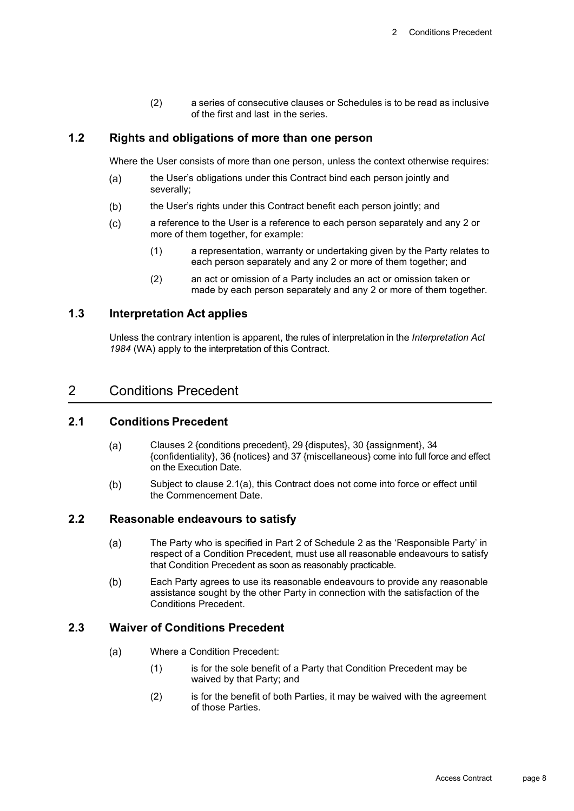(2) a series of consecutive clauses or Schedules is to be read as inclusive of the first and last in the series.

### **1.2 Rights and obligations of more than one person**

Where the User consists of more than one person, unless the context otherwise requires:

- the User's obligations under this Contract bind each person jointly and  $(a)$ severally;
- the User's rights under this Contract benefit each person jointly; and  $(b)$
- $(c)$ a reference to the User is a reference to each person separately and any 2 or more of them together, for example:
	- (1) a representation, warranty or undertaking given by the Party relates to each person separately and any 2 or more of them together; and
	- (2) an act or omission of a Party includes an act or omission taken or made by each person separately and any 2 or more of them together.

## **1.3 Interpretation Act applies**

Unless the contrary intention is apparent, the rules of interpretation in the *Interpretation Act 1984* (WA) apply to the interpretation of this Contract.

## 2 Conditions Precedent

## **2.1 Conditions Precedent**

- Clauses 2 {conditions precedent}, 29 {disputes}, 30 {assignment}, 34  $(a)$ {confidentiality}, 36 {notices} and 37 {miscellaneous} come into full force and effect on the Execution Date.
- $(b)$ Subject to clause 2.1(a), this Contract does not come into force or effect until the Commencement Date.

## **2.2 Reasonable endeavours to satisfy**

- The Party who is specified in Part 2 of Schedule 2 as the 'Responsible Party' in  $(a)$ respect of a Condition Precedent, must use all reasonable endeavours to satisfy that Condition Precedent as soon as reasonably practicable.
- $(b)$ Each Party agrees to use its reasonable endeavours to provide any reasonable assistance sought by the other Party in connection with the satisfaction of the Conditions Precedent.

#### **2.3 Waiver of Conditions Precedent**

- $(a)$ Where a Condition Precedent:
	- (1) is for the sole benefit of a Party that Condition Precedent may be waived by that Party; and
	- (2) is for the benefit of both Parties, it may be waived with the agreement of those Parties.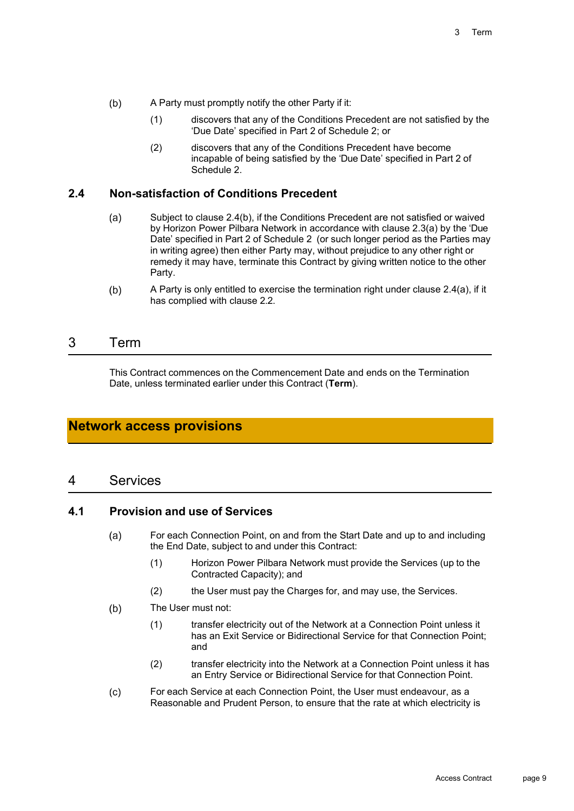- $(b)$ A Party must promptly notify the other Party if it:
	- (1) discovers that any of the Conditions Precedent are not satisfied by the 'Due Date' specified in Part 2 of Schedule 2; or
	- (2) discovers that any of the Conditions Precedent have become incapable of being satisfied by the 'Due Date' specified in Part 2 of Schedule 2.

#### **2.4 Non-satisfaction of Conditions Precedent**

- $(a)$ Subject to clause 2.4(b), if the Conditions Precedent are not satisfied or waived by Horizon Power Pilbara Network in accordance with clause 2.3(a) by the 'Due Date' specified in Part 2 of Schedule 2 (or such longer period as the Parties may in writing agree) then either Party may, without prejudice to any other right or remedy it may have, terminate this Contract by giving written notice to the other Party.
- $(b)$ A Party is only entitled to exercise the termination right under clause 2.4(a), if it has complied with clause 2.2.

## 3 Term

This Contract commences on the Commencement Date and ends on the Termination Date, unless terminated earlier under this Contract (**Term**).

## **Network access provisions**

## 4 Services

#### **4.1 Provision and use of Services**

- $(a)$ For each Connection Point, on and from the Start Date and up to and including the End Date, subject to and under this Contract:
	- (1) Horizon Power Pilbara Network must provide the Services (up to the Contracted Capacity); and
	- (2) the User must pay the Charges for, and may use, the Services.
- $(b)$ The User must not:
	- (1) transfer electricity out of the Network at a Connection Point unless it has an Exit Service or Bidirectional Service for that Connection Point; and
	- (2) transfer electricity into the Network at a Connection Point unless it has an Entry Service or Bidirectional Service for that Connection Point.
- $(c)$ For each Service at each Connection Point, the User must endeavour, as a Reasonable and Prudent Person, to ensure that the rate at which electricity is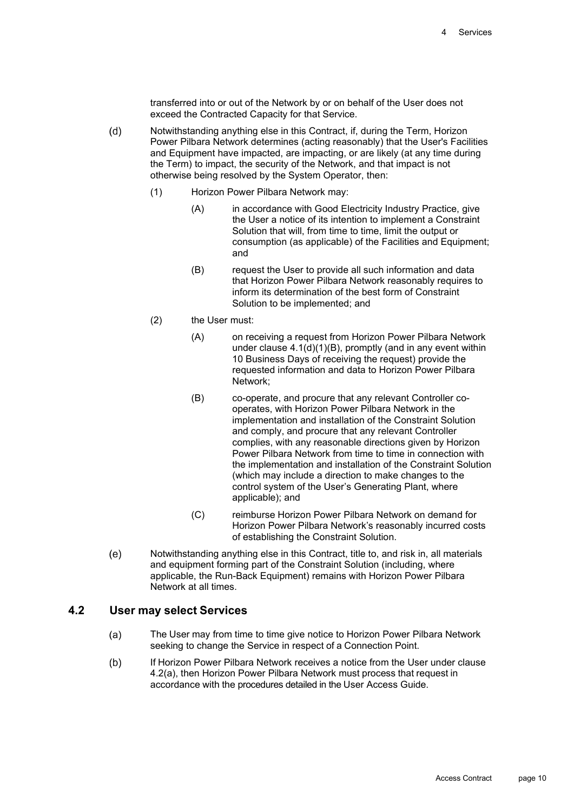transferred into or out of the Network by or on behalf of the User does not exceed the Contracted Capacity for that Service.

- $(d)$ Notwithstanding anything else in this Contract, if, during the Term, Horizon Power Pilbara Network determines (acting reasonably) that the User's Facilities and Equipment have impacted, are impacting, or are likely (at any time during the Term) to impact, the security of the Network, and that impact is not otherwise being resolved by the System Operator, then:
	- (1) Horizon Power Pilbara Network may:
		- (A) in accordance with Good Electricity Industry Practice, give the User a notice of its intention to implement a Constraint Solution that will, from time to time, limit the output or consumption (as applicable) of the Facilities and Equipment; and
		- (B) request the User to provide all such information and data that Horizon Power Pilbara Network reasonably requires to inform its determination of the best form of Constraint Solution to be implemented; and
	- (2) the User must:
		- (A) on receiving a request from Horizon Power Pilbara Network under clause  $4.1(d)(1)(B)$ , promptly (and in any event within 10 Business Days of receiving the request) provide the requested information and data to Horizon Power Pilbara Network;
		- (B) co-operate, and procure that any relevant Controller cooperates, with Horizon Power Pilbara Network in the implementation and installation of the Constraint Solution and comply, and procure that any relevant Controller complies, with any reasonable directions given by Horizon Power Pilbara Network from time to time in connection with the implementation and installation of the Constraint Solution (which may include a direction to make changes to the control system of the User's Generating Plant, where applicable); and
		- (C) reimburse Horizon Power Pilbara Network on demand for Horizon Power Pilbara Network's reasonably incurred costs of establishing the Constraint Solution.
- Notwithstanding anything else in this Contract, title to, and risk in, all materials  $(e)$ and equipment forming part of the Constraint Solution (including, where applicable, the Run-Back Equipment) remains with Horizon Power Pilbara Network at all times.

#### **4.2 User may select Services**

- The User may from time to time give notice to Horizon Power Pilbara Network  $(a)$ seeking to change the Service in respect of a Connection Point.
- $(b)$ If Horizon Power Pilbara Network receives a notice from the User under clause 4.2(a), then Horizon Power Pilbara Network must process that request in accordance with the procedures detailed in the User Access Guide.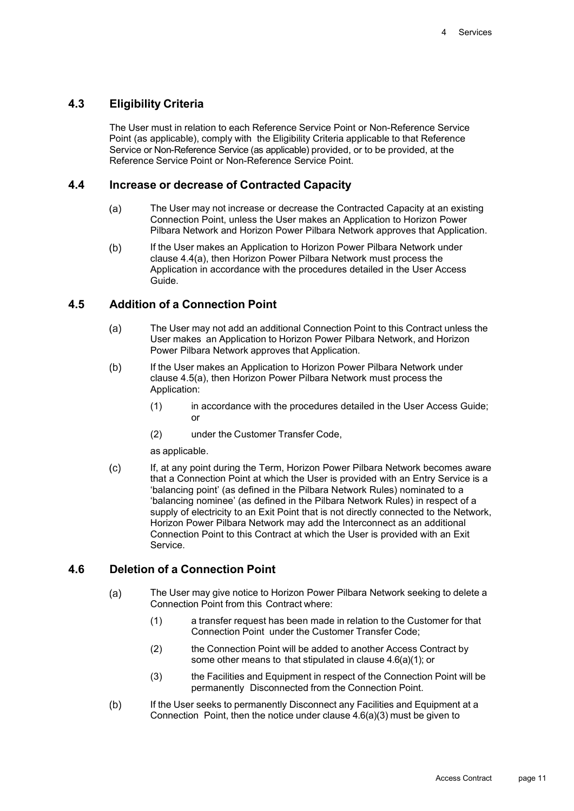#### **4.3 Eligibility Criteria**

The User must in relation to each Reference Service Point or Non-Reference Service Point (as applicable), comply with the Eligibility Criteria applicable to that Reference Service or Non-Reference Service (as applicable) provided, or to be provided, at the Reference Service Point or Non-Reference Service Point.

#### **4.4 Increase or decrease of Contracted Capacity**

- $(a)$ The User may not increase or decrease the Contracted Capacity at an existing Connection Point, unless the User makes an Application to Horizon Power Pilbara Network and Horizon Power Pilbara Network approves that Application.
- If the User makes an Application to Horizon Power Pilbara Network under  $(b)$ clause 4.4(a), then Horizon Power Pilbara Network must process the Application in accordance with the procedures detailed in the User Access Guide.

#### **4.5 Addition of a Connection Point**

- $(a)$ The User may not add an additional Connection Point to this Contract unless the User makes an Application to Horizon Power Pilbara Network, and Horizon Power Pilbara Network approves that Application.
- $(b)$ If the User makes an Application to Horizon Power Pilbara Network under clause 4.5(a), then Horizon Power Pilbara Network must process the Application:
	- (1) in accordance with the procedures detailed in the User Access Guide; or
	- (2) under the Customer Transfer Code,

as applicable.

 $(c)$ If, at any point during the Term, Horizon Power Pilbara Network becomes aware that a Connection Point at which the User is provided with an Entry Service is a 'balancing point' (as defined in the Pilbara Network Rules) nominated to a 'balancing nominee' (as defined in the Pilbara Network Rules) in respect of a supply of electricity to an Exit Point that is not directly connected to the Network, Horizon Power Pilbara Network may add the Interconnect as an additional Connection Point to this Contract at which the User is provided with an Exit Service.

#### **4.6 Deletion of a Connection Point**

- $(a)$ The User may give notice to Horizon Power Pilbara Network seeking to delete a Connection Point from this Contract where:
	- (1) a transfer request has been made in relation to the Customer for that Connection Point under the Customer Transfer Code;
	- (2) the Connection Point will be added to another Access Contract by some other means to that stipulated in clause 4.6(a)(1); or
	- (3) the Facilities and Equipment in respect of the Connection Point will be permanently Disconnected from the Connection Point.
- $(b)$ If the User seeks to permanently Disconnect any Facilities and Equipment at a Connection Point, then the notice under clause 4.6(a)(3) must be given to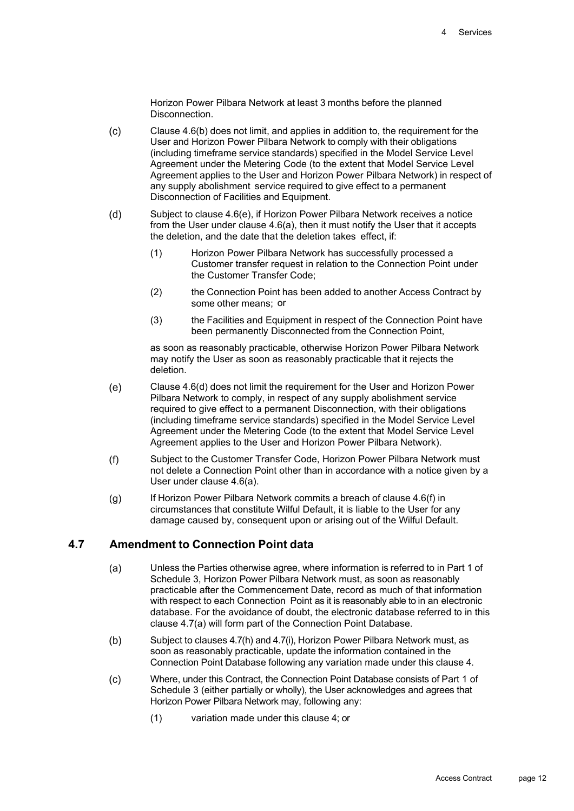Horizon Power Pilbara Network at least 3 months before the planned **Disconnection** 

- $(c)$ Clause 4.6(b) does not limit, and applies in addition to, the requirement for the User and Horizon Power Pilbara Network to comply with their obligations (including timeframe service standards) specified in the Model Service Level Agreement under the Metering Code (to the extent that Model Service Level Agreement applies to the User and Horizon Power Pilbara Network) in respect of any supply abolishment service required to give effect to a permanent Disconnection of Facilities and Equipment.
- $(d)$ Subject to clause 4.6(e), if Horizon Power Pilbara Network receives a notice from the User under clause 4.6(a), then it must notify the User that it accepts the deletion, and the date that the deletion takes effect, if:
	- (1) Horizon Power Pilbara Network has successfully processed a Customer transfer request in relation to the Connection Point under the Customer Transfer Code;
	- (2) the Connection Point has been added to another Access Contract by some other means; or
	- (3) the Facilities and Equipment in respect of the Connection Point have been permanently Disconnected from the Connection Point,

as soon as reasonably practicable, otherwise Horizon Power Pilbara Network may notify the User as soon as reasonably practicable that it rejects the deletion.

- $(e)$ Clause 4.6(d) does not limit the requirement for the User and Horizon Power Pilbara Network to comply, in respect of any supply abolishment service required to give effect to a permanent Disconnection, with their obligations (including timeframe service standards) specified in the Model Service Level Agreement under the Metering Code (to the extent that Model Service Level Agreement applies to the User and Horizon Power Pilbara Network).
- $(f)$ Subject to the Customer Transfer Code, Horizon Power Pilbara Network must not delete a Connection Point other than in accordance with a notice given by a User under clause 4.6(a).
- $(g)$ If Horizon Power Pilbara Network commits a breach of clause 4.6(f) in circumstances that constitute Wilful Default, it is liable to the User for any damage caused by, consequent upon or arising out of the Wilful Default.

### **4.7 Amendment to Connection Point data**

- $(a)$ Unless the Parties otherwise agree, where information is referred to in Part 1 of Schedule 3, Horizon Power Pilbara Network must, as soon as reasonably practicable after the Commencement Date, record as much of that information with respect to each Connection Point as it is reasonably able to in an electronic database. For the avoidance of doubt, the electronic database referred to in this clause 4.7(a) will form part of the Connection Point Database.
- $(b)$ Subject to clauses 4.7(h) and 4.7(i), Horizon Power Pilbara Network must, as soon as reasonably practicable, update the information contained in the Connection Point Database following any variation made under this clause 4.
- Where, under this Contract, the Connection Point Database consists of Part 1 of  $(c)$ Schedule 3 (either partially or wholly), the User acknowledges and agrees that Horizon Power Pilbara Network may, following any:
	- (1) variation made under this clause 4; or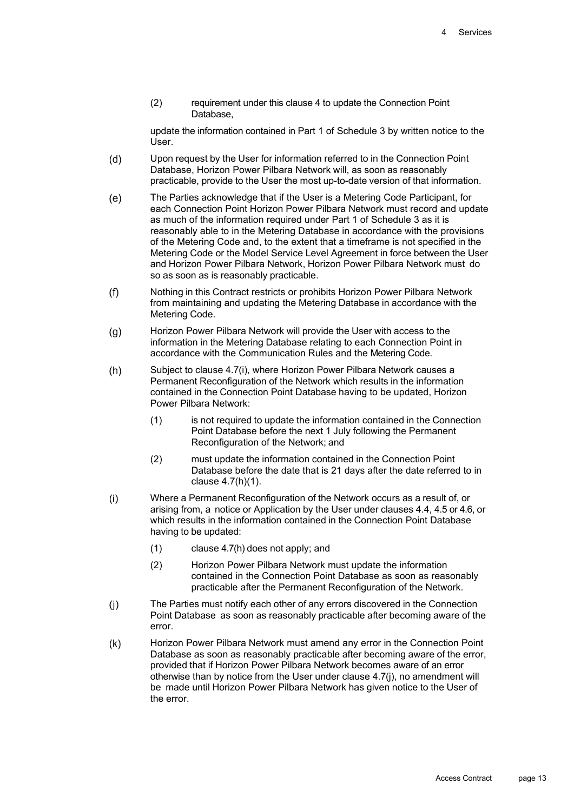(2) requirement under this clause 4 to update the Connection Point Database,

update the information contained in Part 1 of Schedule 3 by written notice to the User.

- Upon request by the User for information referred to in the Connection Point  $(d)$ Database, Horizon Power Pilbara Network will, as soon as reasonably practicable, provide to the User the most up-to-date version of that information.
- $(e)$ The Parties acknowledge that if the User is a Metering Code Participant, for each Connection Point Horizon Power Pilbara Network must record and update as much of the information required under Part 1 of Schedule 3 as it is reasonably able to in the Metering Database in accordance with the provisions of the Metering Code and, to the extent that a timeframe is not specified in the Metering Code or the Model Service Level Agreement in force between the User and Horizon Power Pilbara Network, Horizon Power Pilbara Network must do so as soon as is reasonably practicable.
- $(f)$ Nothing in this Contract restricts or prohibits Horizon Power Pilbara Network from maintaining and updating the Metering Database in accordance with the Metering Code.
- Horizon Power Pilbara Network will provide the User with access to the  $(g)$ information in the Metering Database relating to each Connection Point in accordance with the Communication Rules and the Metering Code.
- Subject to clause 4.7(i), where Horizon Power Pilbara Network causes a  $(h)$ Permanent Reconfiguration of the Network which results in the information contained in the Connection Point Database having to be updated, Horizon Power Pilbara Network:
	- (1) is not required to update the information contained in the Connection Point Database before the next 1 July following the Permanent Reconfiguration of the Network; and
	- (2) must update the information contained in the Connection Point Database before the date that is 21 days after the date referred to in clause 4.7(h)(1).
- $(i)$ Where a Permanent Reconfiguration of the Network occurs as a result of, or arising from, a notice or Application by the User under clauses 4.4, 4.5 or 4.6, or which results in the information contained in the Connection Point Database having to be updated:
	- (1) clause 4.7(h) does not apply; and
	- (2) Horizon Power Pilbara Network must update the information contained in the Connection Point Database as soon as reasonably practicable after the Permanent Reconfiguration of the Network.
- The Parties must notify each other of any errors discovered in the Connection  $(i)$ Point Database as soon as reasonably practicable after becoming aware of the error.
- $(k)$ Horizon Power Pilbara Network must amend any error in the Connection Point Database as soon as reasonably practicable after becoming aware of the error, provided that if Horizon Power Pilbara Network becomes aware of an error otherwise than by notice from the User under clause 4.7(j), no amendment will be made until Horizon Power Pilbara Network has given notice to the User of the error.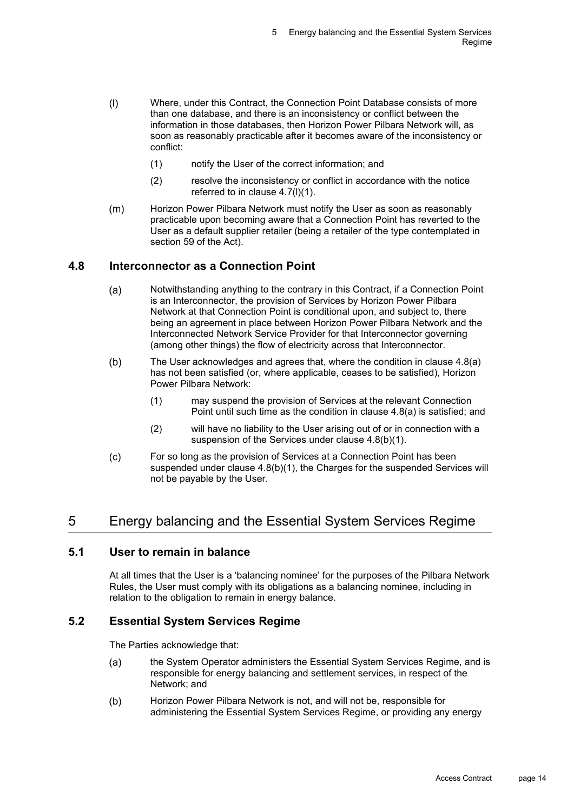- $(1)$ Where, under this Contract, the Connection Point Database consists of more than one database, and there is an inconsistency or conflict between the information in those databases, then Horizon Power Pilbara Network will, as soon as reasonably practicable after it becomes aware of the inconsistency or conflict:
	- (1) notify the User of the correct information; and
	- (2) resolve the inconsistency or conflict in accordance with the notice referred to in clause 4.7(l)(1).
- $(m)$ Horizon Power Pilbara Network must notify the User as soon as reasonably practicable upon becoming aware that a Connection Point has reverted to the User as a default supplier retailer (being a retailer of the type contemplated in section 59 of the Act).

## **4.8 Interconnector as a Connection Point**

- Notwithstanding anything to the contrary in this Contract, if a Connection Point  $(a)$ is an Interconnector, the provision of Services by Horizon Power Pilbara Network at that Connection Point is conditional upon, and subject to, there being an agreement in place between Horizon Power Pilbara Network and the Interconnected Network Service Provider for that Interconnector governing (among other things) the flow of electricity across that Interconnector.
- $(b)$ The User acknowledges and agrees that, where the condition in clause 4.8(a) has not been satisfied (or, where applicable, ceases to be satisfied), Horizon Power Pilbara Network:
	- (1) may suspend the provision of Services at the relevant Connection Point until such time as the condition in clause 4.8(a) is satisfied; and
	- (2) will have no liability to the User arising out of or in connection with a suspension of the Services under clause 4.8(b)(1).
- $(c)$ For so long as the provision of Services at a Connection Point has been suspended under clause 4.8(b)(1), the Charges for the suspended Services will not be payable by the User.

# 5 Energy balancing and the Essential System Services Regime

#### **5.1 User to remain in balance**

At all times that the User is a 'balancing nominee' for the purposes of the Pilbara Network Rules, the User must comply with its obligations as a balancing nominee, including in relation to the obligation to remain in energy balance.

#### **5.2 Essential System Services Regime**

The Parties acknowledge that:

- the System Operator administers the Essential System Services Regime, and is  $(a)$ responsible for energy balancing and settlement services, in respect of the Network; and
- Horizon Power Pilbara Network is not, and will not be, responsible for  $(b)$ administering the Essential System Services Regime, or providing any energy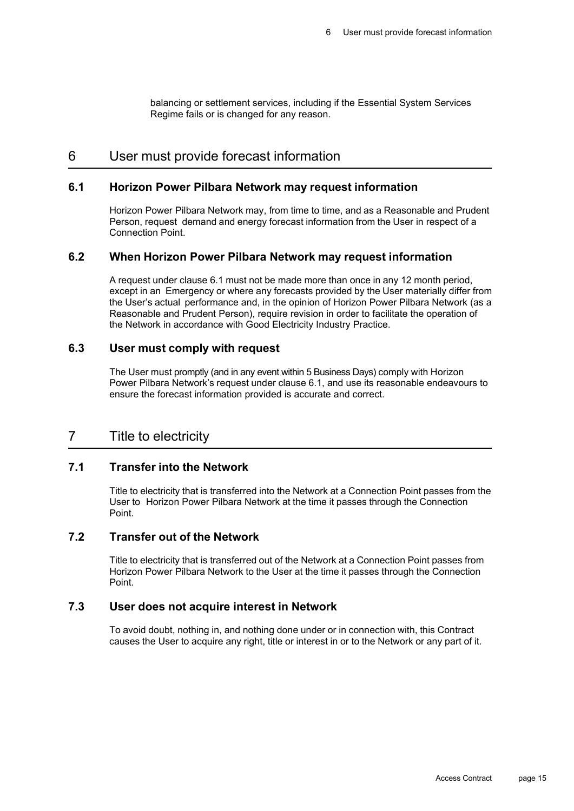balancing or settlement services, including if the Essential System Services Regime fails or is changed for any reason.

## 6 User must provide forecast information

#### **6.1 Horizon Power Pilbara Network may request information**

Horizon Power Pilbara Network may, from time to time, and as a Reasonable and Prudent Person, request demand and energy forecast information from the User in respect of a Connection Point.

#### **6.2 When Horizon Power Pilbara Network may request information**

A request under clause 6.1 must not be made more than once in any 12 month period, except in an Emergency or where any forecasts provided by the User materially differ from the User's actual performance and, in the opinion of Horizon Power Pilbara Network (as a Reasonable and Prudent Person), require revision in order to facilitate the operation of the Network in accordance with Good Electricity Industry Practice.

#### **6.3 User must comply with request**

The User must promptly (and in any event within 5 Business Days) comply with Horizon Power Pilbara Network's request under clause 6.1, and use its reasonable endeavours to ensure the forecast information provided is accurate and correct.

## 7 Title to electricity

#### **7.1 Transfer into the Network**

Title to electricity that is transferred into the Network at a Connection Point passes from the User to Horizon Power Pilbara Network at the time it passes through the Connection Point.

#### **7.2 Transfer out of the Network**

Title to electricity that is transferred out of the Network at a Connection Point passes from Horizon Power Pilbara Network to the User at the time it passes through the Connection Point.

#### **7.3 User does not acquire interest in Network**

To avoid doubt, nothing in, and nothing done under or in connection with, this Contract causes the User to acquire any right, title or interest in or to the Network or any part of it.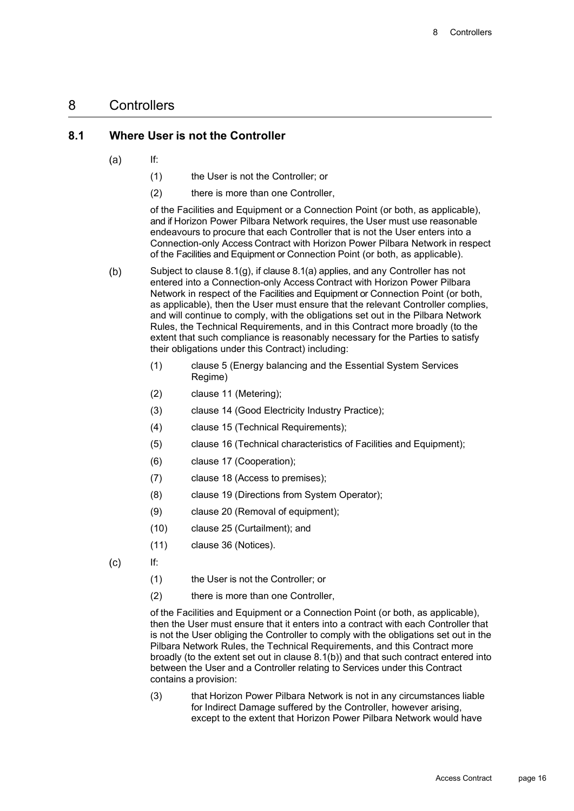### 8 Controllers

#### **8.1 Where User is not the Controller**

- $(a)$ If:
	- (1) the User is not the Controller; or
	- (2) there is more than one Controller,

of the Facilities and Equipment or a Connection Point (or both, as applicable), and if Horizon Power Pilbara Network requires, the User must use reasonable endeavours to procure that each Controller that is not the User enters into a Connection-only Access Contract with Horizon Power Pilbara Network in respect of the Facilities and Equipment or Connection Point (or both, as applicable).

- $(b)$ Subject to clause 8.1(g), if clause 8.1(a) applies, and any Controller has not entered into a Connection-only Access Contract with Horizon Power Pilbara Network in respect of the Facilities and Equipment or Connection Point (or both, as applicable), then the User must ensure that the relevant Controller complies, and will continue to comply, with the obligations set out in the Pilbara Network Rules, the Technical Requirements, and in this Contract more broadly (to the extent that such compliance is reasonably necessary for the Parties to satisfy their obligations under this Contract) including:
	- (1) clause 5 (Energy balancing and the Essential System Services Regime)
	- (2) clause 11 (Metering);
	- (3) clause 14 (Good Electricity Industry Practice);
	- (4) clause 15 (Technical Requirements);
	- (5) clause 16 (Technical characteristics of Facilities and Equipment);
	- (6) clause 17 (Cooperation);
	- (7) clause 18 (Access to premises);
	- (8) clause 19 (Directions from System Operator);
	- (9) clause 20 (Removal of equipment);
	- (10) clause 25 (Curtailment); and
	- (11) clause 36 (Notices).
- $(c)$

If:

- (1) the User is not the Controller; or
- (2) there is more than one Controller,

of the Facilities and Equipment or a Connection Point (or both, as applicable), then the User must ensure that it enters into a contract with each Controller that is not the User obliging the Controller to comply with the obligations set out in the Pilbara Network Rules, the Technical Requirements, and this Contract more broadly (to the extent set out in clause 8.1(b)) and that such contract entered into between the User and a Controller relating to Services under this Contract contains a provision:

(3) that Horizon Power Pilbara Network is not in any circumstances liable for Indirect Damage suffered by the Controller, however arising, except to the extent that Horizon Power Pilbara Network would have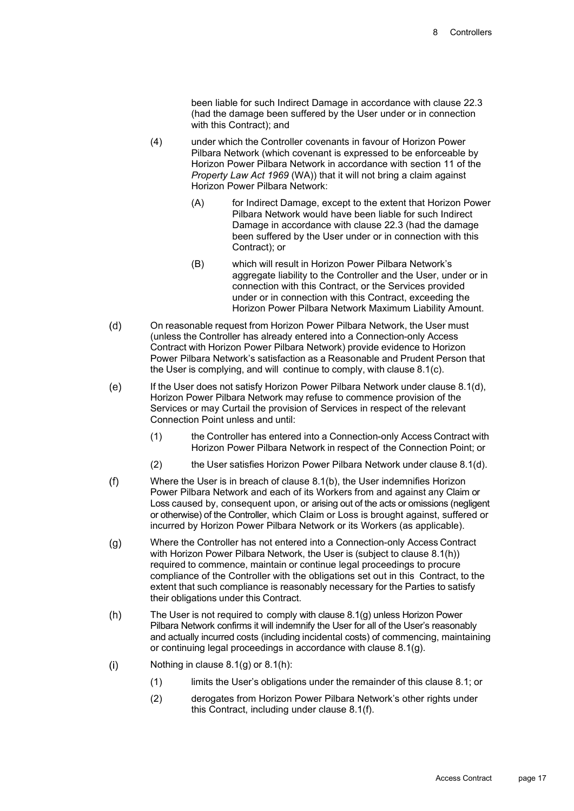been liable for such Indirect Damage in accordance with clause 22.3 (had the damage been suffered by the User under or in connection with this Contract); and

- (4) under which the Controller covenants in favour of Horizon Power Pilbara Network (which covenant is expressed to be enforceable by Horizon Power Pilbara Network in accordance with section 11 of the *Property Law Act 1969* (WA)) that it will not bring a claim against Horizon Power Pilbara Network:
	- (A) for Indirect Damage, except to the extent that Horizon Power Pilbara Network would have been liable for such Indirect Damage in accordance with clause 22.3 (had the damage been suffered by the User under or in connection with this Contract); or
	- (B) which will result in Horizon Power Pilbara Network's aggregate liability to the Controller and the User, under or in connection with this Contract, or the Services provided under or in connection with this Contract, exceeding the Horizon Power Pilbara Network Maximum Liability Amount.
- $(d)$ On reasonable request from Horizon Power Pilbara Network, the User must (unless the Controller has already entered into a Connection-only Access Contract with Horizon Power Pilbara Network) provide evidence to Horizon Power Pilbara Network's satisfaction as a Reasonable and Prudent Person that the User is complying, and will continue to comply, with clause 8.1(c).
- $(e)$ If the User does not satisfy Horizon Power Pilbara Network under clause 8.1(d), Horizon Power Pilbara Network may refuse to commence provision of the Services or may Curtail the provision of Services in respect of the relevant Connection Point unless and until:
	- (1) the Controller has entered into a Connection-only Access Contract with Horizon Power Pilbara Network in respect of the Connection Point; or
	- (2) the User satisfies Horizon Power Pilbara Network under clause 8.1(d).
- Where the User is in breach of clause 8.1(b), the User indemnifies Horizon  $(f)$ Power Pilbara Network and each of its Workers from and against any Claim or Loss caused by, consequent upon, or arising out of the acts or omissions (negligent or otherwise) of the Controller, which Claim or Loss is brought against, suffered or incurred by Horizon Power Pilbara Network or its Workers (as applicable).
- Where the Controller has not entered into a Connection-only Access Contract  $(q)$ with Horizon Power Pilbara Network, the User is (subject to clause 8.1(h)) required to commence, maintain or continue legal proceedings to procure compliance of the Controller with the obligations set out in this Contract, to the extent that such compliance is reasonably necessary for the Parties to satisfy their obligations under this Contract.
- $(h)$ The User is not required to comply with clause 8.1(g) unless Horizon Power Pilbara Network confirms it will indemnify the User for all of the User's reasonably and actually incurred costs (including incidental costs) of commencing, maintaining or continuing legal proceedings in accordance with clause 8.1(g).
- $(i)$ Nothing in clause 8.1(g) or 8.1(h):
	- (1) limits the User's obligations under the remainder of this clause 8.1; or
	- (2) derogates from Horizon Power Pilbara Network's other rights under this Contract, including under clause 8.1(f).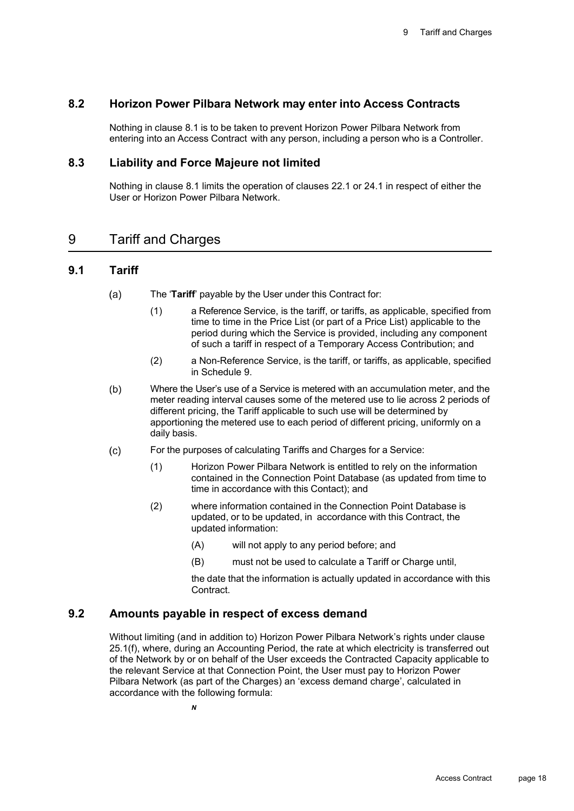#### **8.2 Horizon Power Pilbara Network may enter into Access Contracts**

Nothing in clause 8.1 is to be taken to prevent Horizon Power Pilbara Network from entering into an Access Contract with any person, including a person who is a Controller.

#### **8.3 Liability and Force Majeure not limited**

Nothing in clause 8.1 limits the operation of clauses 22.1 or 24.1 in respect of either the User or Horizon Power Pilbara Network.

## 9 Tariff and Charges

#### **9.1 Tariff**

- $(a)$ The '**Tariff**' payable by the User under this Contract for:
	- (1) a Reference Service, is the tariff, or tariffs, as applicable, specified from time to time in the Price List (or part of a Price List) applicable to the period during which the Service is provided, including any component of such a tariff in respect of a Temporary Access Contribution; and
	- (2) a Non-Reference Service, is the tariff, or tariffs, as applicable, specified in Schedule 9.
- $(b)$ Where the User's use of a Service is metered with an accumulation meter, and the meter reading interval causes some of the metered use to lie across 2 periods of different pricing, the Tariff applicable to such use will be determined by apportioning the metered use to each period of different pricing, uniformly on a daily basis.
- $(c)$ For the purposes of calculating Tariffs and Charges for a Service:
	- (1) Horizon Power Pilbara Network is entitled to rely on the information contained in the Connection Point Database (as updated from time to time in accordance with this Contact); and
	- (2) where information contained in the Connection Point Database is updated, or to be updated, in accordance with this Contract, the updated information:
		- (A) will not apply to any period before; and
		- (B) must not be used to calculate a Tariff or Charge until,

the date that the information is actually updated in accordance with this Contract.

#### **9.2 Amounts payable in respect of excess demand**

Without limiting (and in addition to) Horizon Power Pilbara Network's rights under clause 25.1(f), where, during an Accounting Period, the rate at which electricity is transferred out of the Network by or on behalf of the User exceeds the Contracted Capacity applicable to the relevant Service at that Connection Point, the User must pay to Horizon Power Pilbara Network (as part of the Charges) an 'excess demand charge', calculated in accordance with the following formula: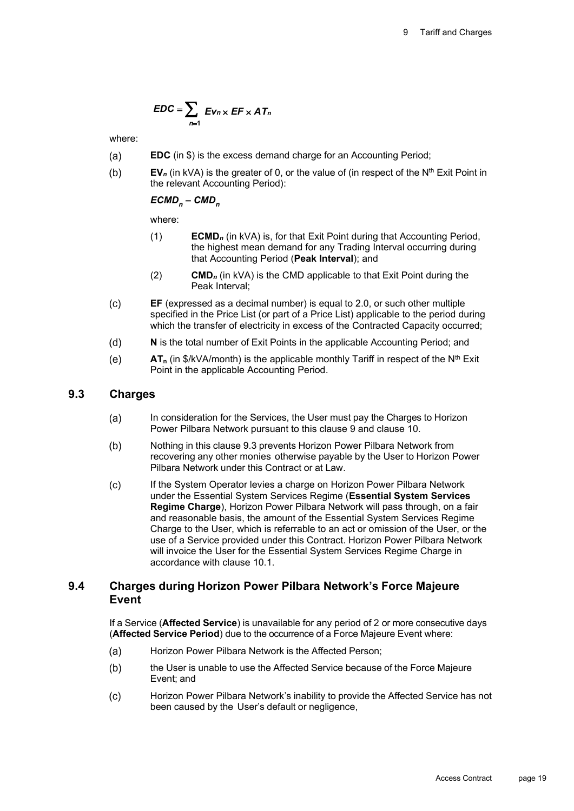$$
EDC = \sum_{n=1} Ev_n \times EF \times AT_n
$$

where:

- $(a)$ **EDC** (in \$) is the excess demand charge for an Accounting Period;
- $(b)$  $EV<sub>n</sub>$  (in kVA) is the greater of 0, or the value of (in respect of the N<sup>th</sup> Exit Point in the relevant Accounting Period):

#### $ECMD<sub>n</sub> - CMD<sub>n</sub>$

where:

- (1) **ECMD***<sup>n</sup>* (in kVA) is, for that Exit Point during that Accounting Period, the highest mean demand for any Trading Interval occurring during that Accounting Period (**Peak Interval**); and
- (2) **CMD***<sup>n</sup>* (in kVA) is the CMD applicable to that Exit Point during the Peak Interval;
- $(c)$ **EF** (expressed as a decimal number) is equal to 2.0, or such other multiple specified in the Price List (or part of a Price List) applicable to the period during which the transfer of electricity in excess of the Contracted Capacity occurred;
- $(d)$ **N** is the total number of Exit Points in the applicable Accounting Period; and
- $AT_n$  (in  $\frac{6}{k}$ VA/month) is the applicable monthly Tariff in respect of the N<sup>th</sup> Exit  $(e)$ Point in the applicable Accounting Period.

#### **9.3 Charges**

- In consideration for the Services, the User must pay the Charges to Horizon  $(a)$ Power Pilbara Network pursuant to this clause 9 and clause 10.
- $(b)$ Nothing in this clause 9.3 prevents Horizon Power Pilbara Network from recovering any other monies otherwise payable by the User to Horizon Power Pilbara Network under this Contract or at Law.
- $(c)$ If the System Operator levies a charge on Horizon Power Pilbara Network under the Essential System Services Regime (**Essential System Services Regime Charge**), Horizon Power Pilbara Network will pass through, on a fair and reasonable basis, the amount of the Essential System Services Regime Charge to the User, which is referrable to an act or omission of the User, or the use of a Service provided under this Contract. Horizon Power Pilbara Network will invoice the User for the Essential System Services Regime Charge in accordance with clause 10.1.

#### **9.4 Charges during Horizon Power Pilbara Network's Force Majeure Event**

If a Service (**Affected Service**) is unavailable for any period of 2 or more consecutive days (**Affected Service Period**) due to the occurrence of a Force Majeure Event where:

- $(a)$ Horizon Power Pilbara Network is the Affected Person;
- $(b)$ the User is unable to use the Affected Service because of the Force Majeure Event; and
- $(c)$ Horizon Power Pilbara Network's inability to provide the Affected Service has not been caused by the User's default or negligence,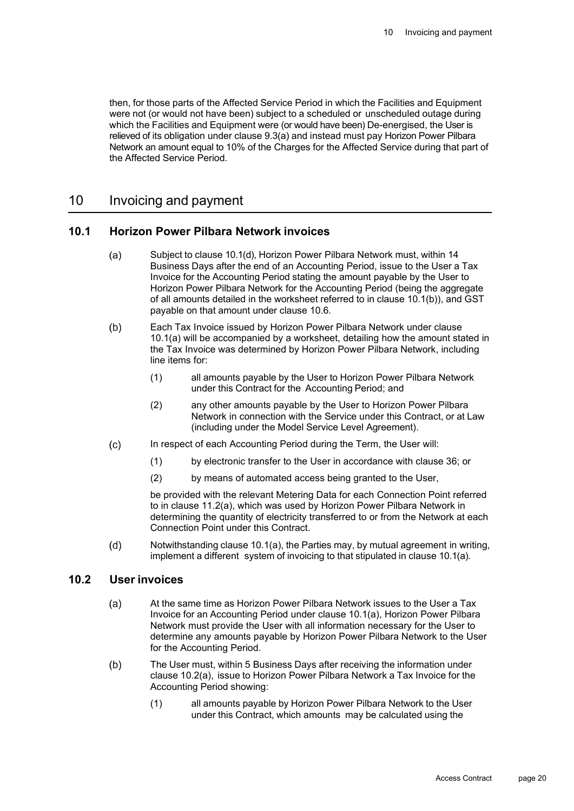then, for those parts of the Affected Service Period in which the Facilities and Equipment were not (or would not have been) subject to a scheduled or unscheduled outage during which the Facilities and Equipment were (or would have been) De-energised, the User is relieved of its obligation under clause 9.3(a) and instead must pay Horizon Power Pilbara Network an amount equal to 10% of the Charges for the Affected Service during that part of the Affected Service Period.

### 10 Invoicing and payment

#### **10.1 Horizon Power Pilbara Network invoices**

- $(a)$ Subject to clause 10.1(d), Horizon Power Pilbara Network must, within 14 Business Days after the end of an Accounting Period, issue to the User a Tax Invoice for the Accounting Period stating the amount payable by the User to Horizon Power Pilbara Network for the Accounting Period (being the aggregate of all amounts detailed in the worksheet referred to in clause 10.1(b)), and GST payable on that amount under clause 10.6.
- $(b)$ Each Tax Invoice issued by Horizon Power Pilbara Network under clause 10.1(a) will be accompanied by a worksheet, detailing how the amount stated in the Tax Invoice was determined by Horizon Power Pilbara Network, including line items for:
	- (1) all amounts payable by the User to Horizon Power Pilbara Network under this Contract for the Accounting Period; and
	- (2) any other amounts payable by the User to Horizon Power Pilbara Network in connection with the Service under this Contract, or at Law (including under the Model Service Level Agreement).
- $(c)$ In respect of each Accounting Period during the Term, the User will:
	- (1) by electronic transfer to the User in accordance with clause 36; or
	- (2) by means of automated access being granted to the User,

be provided with the relevant Metering Data for each Connection Point referred to in clause 11.2(a), which was used by Horizon Power Pilbara Network in determining the quantity of electricity transferred to or from the Network at each Connection Point under this Contract.

 $(d)$ Notwithstanding clause 10.1(a), the Parties may, by mutual agreement in writing, implement a different system of invoicing to that stipulated in clause 10.1(a).

#### **10.2 User invoices**

- $(a)$ At the same time as Horizon Power Pilbara Network issues to the User a Tax Invoice for an Accounting Period under clause 10.1(a), Horizon Power Pilbara Network must provide the User with all information necessary for the User to determine any amounts payable by Horizon Power Pilbara Network to the User for the Accounting Period.
- $(b)$ The User must, within 5 Business Days after receiving the information under clause 10.2(a), issue to Horizon Power Pilbara Network a Tax Invoice for the Accounting Period showing:
	- (1) all amounts payable by Horizon Power Pilbara Network to the User under this Contract, which amounts may be calculated using the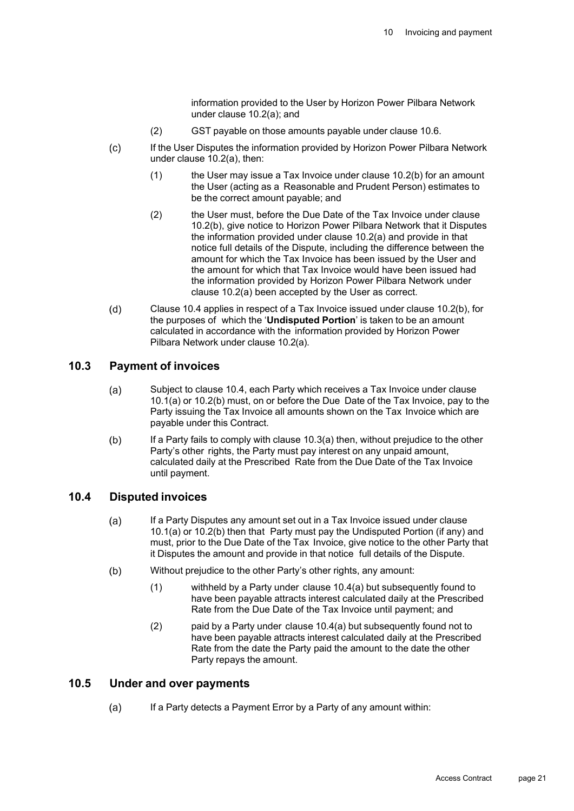information provided to the User by Horizon Power Pilbara Network under clause 10.2(a); and

- (2) GST payable on those amounts payable under clause 10.6.
- $(c)$ If the User Disputes the information provided by Horizon Power Pilbara Network under clause 10.2(a), then:
	- $(1)$  the User may issue a Tax Invoice under clause 10.2(b) for an amount the User (acting as a Reasonable and Prudent Person) estimates to be the correct amount payable; and
	- (2) the User must, before the Due Date of the Tax Invoice under clause 10.2(b), give notice to Horizon Power Pilbara Network that it Disputes the information provided under clause 10.2(a) and provide in that notice full details of the Dispute, including the difference between the amount for which the Tax Invoice has been issued by the User and the amount for which that Tax Invoice would have been issued had the information provided by Horizon Power Pilbara Network under clause 10.2(a) been accepted by the User as correct.
- Clause 10.4 applies in respect of a Tax Invoice issued under clause 10.2(b), for  $(d)$ the purposes of which the '**Undisputed Portion**' is taken to be an amount calculated in accordance with the information provided by Horizon Power Pilbara Network under clause 10.2(a).

#### **10.3 Payment of invoices**

- Subject to clause 10.4, each Party which receives a Tax Invoice under clause  $(a)$ 10.1(a) or 10.2(b) must, on or before the Due Date of the Tax Invoice, pay to the Party issuing the Tax Invoice all amounts shown on the Tax Invoice which are payable under this Contract.
- $(b)$ If a Party fails to comply with clause 10.3(a) then, without prejudice to the other Party's other rights, the Party must pay interest on any unpaid amount, calculated daily at the Prescribed Rate from the Due Date of the Tax Invoice until payment.

#### **10.4 Disputed invoices**

- $(a)$ If a Party Disputes any amount set out in a Tax Invoice issued under clause 10.1(a) or 10.2(b) then that Party must pay the Undisputed Portion (if any) and must, prior to the Due Date of the Tax Invoice, give notice to the other Party that it Disputes the amount and provide in that notice full details of the Dispute.
- $(b)$ Without prejudice to the other Party's other rights, any amount:
	- (1) withheld by a Party under clause 10.4(a) but subsequently found to have been payable attracts interest calculated daily at the Prescribed Rate from the Due Date of the Tax Invoice until payment; and
	- (2) paid by a Party under clause 10.4(a) but subsequently found not to have been payable attracts interest calculated daily at the Prescribed Rate from the date the Party paid the amount to the date the other Party repays the amount.

#### **10.5 Under and over payments**

If a Party detects a Payment Error by a Party of any amount within: $(a)$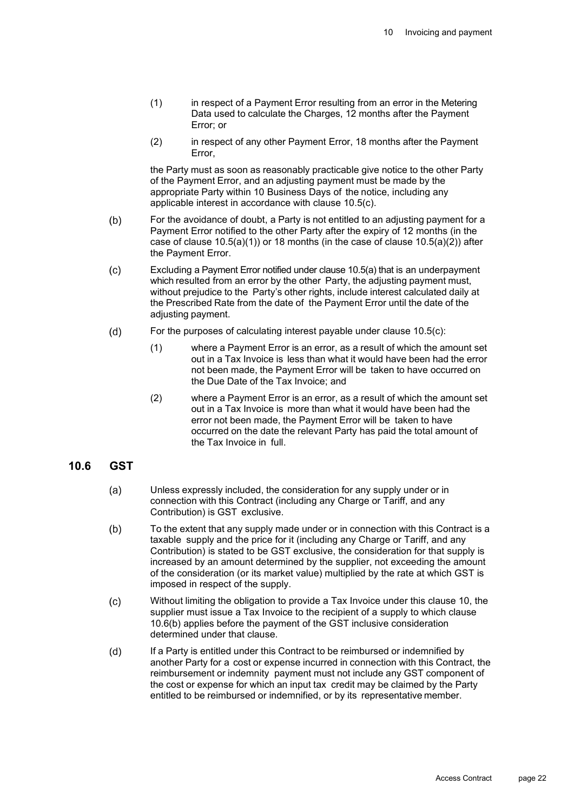- (1) in respect of a Payment Error resulting from an error in the Metering Data used to calculate the Charges, 12 months after the Payment Error; or
- (2) in respect of any other Payment Error, 18 months after the Payment Error,

the Party must as soon as reasonably practicable give notice to the other Party of the Payment Error, and an adjusting payment must be made by the appropriate Party within 10 Business Days of the notice, including any applicable interest in accordance with clause 10.5(c).

- $(b)$ For the avoidance of doubt, a Party is not entitled to an adjusting payment for a Payment Error notified to the other Party after the expiry of 12 months (in the case of clause  $10.5(a)(1)$  or 18 months (in the case of clause  $10.5(a)(2)$ ) after the Payment Error.
- $(c)$ Excluding a Payment Error notified under clause 10.5(a) that is an underpayment which resulted from an error by the other Party, the adjusting payment must, without prejudice to the Party's other rights, include interest calculated daily at the Prescribed Rate from the date of the Payment Error until the date of the adjusting payment.
- $(d)$ For the purposes of calculating interest payable under clause 10.5(c):
	- (1) where a Payment Error is an error, as a result of which the amount set out in a Tax Invoice is less than what it would have been had the error not been made, the Payment Error will be taken to have occurred on the Due Date of the Tax Invoice; and
	- (2) where a Payment Error is an error, as a result of which the amount set out in a Tax Invoice is more than what it would have been had the error not been made, the Payment Error will be taken to have occurred on the date the relevant Party has paid the total amount of the Tax Invoice in full.

#### **10.6 GST**

- $(a)$ Unless expressly included, the consideration for any supply under or in connection with this Contract (including any Charge or Tariff, and any Contribution) is GST exclusive.
- $(b)$ To the extent that any supply made under or in connection with this Contract is a taxable supply and the price for it (including any Charge or Tariff, and any Contribution) is stated to be GST exclusive, the consideration for that supply is increased by an amount determined by the supplier, not exceeding the amount of the consideration (or its market value) multiplied by the rate at which GST is imposed in respect of the supply.
- Without limiting the obligation to provide a Tax Invoice under this clause 10, the  $(c)$ supplier must issue a Tax Invoice to the recipient of a supply to which clause 10.6(b) applies before the payment of the GST inclusive consideration determined under that clause.
- If a Party is entitled under this Contract to be reimbursed or indemnified by  $(d)$ another Party for a cost or expense incurred in connection with this Contract, the reimbursement or indemnity payment must not include any GST component of the cost or expense for which an input tax credit may be claimed by the Party entitled to be reimbursed or indemnified, or by its representative member.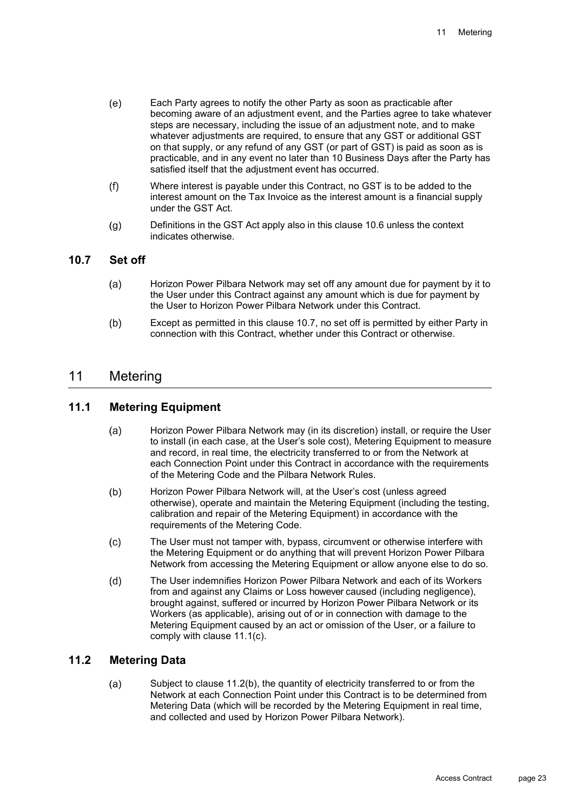- $(e)$ Each Party agrees to notify the other Party as soon as practicable after becoming aware of an adjustment event, and the Parties agree to take whatever steps are necessary, including the issue of an adjustment note, and to make whatever adjustments are required, to ensure that any GST or additional GST on that supply, or any refund of any GST (or part of GST) is paid as soon as is practicable, and in any event no later than 10 Business Days after the Party has satisfied itself that the adjustment event has occurred.
- $(f)$ Where interest is payable under this Contract, no GST is to be added to the interest amount on the Tax Invoice as the interest amount is a financial supply under the GST Act.
- Definitions in the GST Act apply also in this clause 10.6 unless the context  $(g)$ indicates otherwise.

#### **10.7 Set off**

- $(a)$ Horizon Power Pilbara Network may set off any amount due for payment by it to the User under this Contract against any amount which is due for payment by the User to Horizon Power Pilbara Network under this Contract.
- $(b)$ Except as permitted in this clause 10.7, no set off is permitted by either Party in connection with this Contract, whether under this Contract or otherwise.

## 11 Metering

## **11.1 Metering Equipment**

- $(a)$ Horizon Power Pilbara Network may (in its discretion) install, or require the User to install (in each case, at the User's sole cost), Metering Equipment to measure and record, in real time, the electricity transferred to or from the Network at each Connection Point under this Contract in accordance with the requirements of the Metering Code and the Pilbara Network Rules.
- $(b)$ Horizon Power Pilbara Network will, at the User's cost (unless agreed otherwise), operate and maintain the Metering Equipment (including the testing, calibration and repair of the Metering Equipment) in accordance with the requirements of the Metering Code.
- $(c)$ The User must not tamper with, bypass, circumvent or otherwise interfere with the Metering Equipment or do anything that will prevent Horizon Power Pilbara Network from accessing the Metering Equipment or allow anyone else to do so.
- $(d)$ The User indemnifies Horizon Power Pilbara Network and each of its Workers from and against any Claims or Loss however caused (including negligence), brought against, suffered or incurred by Horizon Power Pilbara Network or its Workers (as applicable), arising out of or in connection with damage to the Metering Equipment caused by an act or omission of the User, or a failure to comply with clause 11.1(c).

#### **11.2 Metering Data**

 $(a)$ Subject to clause 11.2(b), the quantity of electricity transferred to or from the Network at each Connection Point under this Contract is to be determined from Metering Data (which will be recorded by the Metering Equipment in real time, and collected and used by Horizon Power Pilbara Network).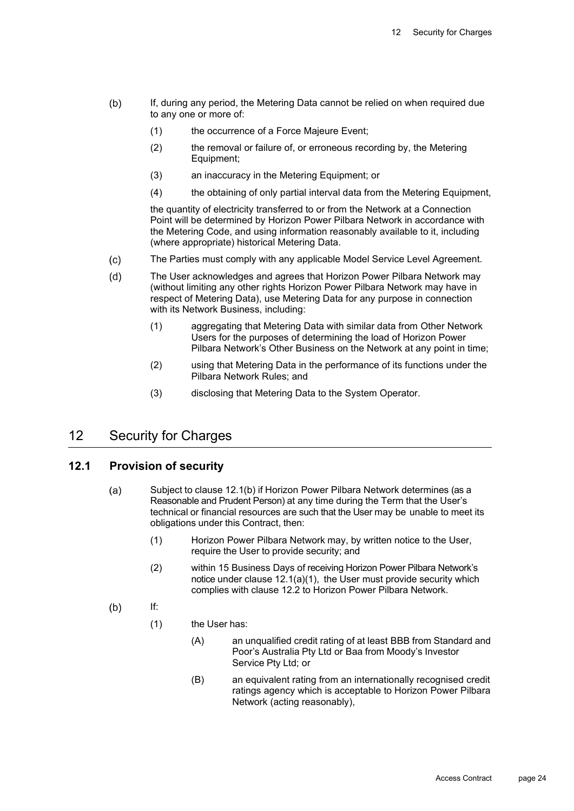- $(b)$ If, during any period, the Metering Data cannot be relied on when required due to any one or more of:
	- (1) the occurrence of a Force Majeure Event;
	- (2) the removal or failure of, or erroneous recording by, the Metering Equipment;
	- (3) an inaccuracy in the Metering Equipment; or
	- (4) the obtaining of only partial interval data from the Metering Equipment,

the quantity of electricity transferred to or from the Network at a Connection Point will be determined by Horizon Power Pilbara Network in accordance with the Metering Code, and using information reasonably available to it, including (where appropriate) historical Metering Data.

- $(c)$ The Parties must comply with any applicable Model Service Level Agreement.
- The User acknowledges and agrees that Horizon Power Pilbara Network may  $(d)$ (without limiting any other rights Horizon Power Pilbara Network may have in respect of Metering Data), use Metering Data for any purpose in connection with its Network Business, including:
	- (1) aggregating that Metering Data with similar data from Other Network Users for the purposes of determining the load of Horizon Power Pilbara Network's Other Business on the Network at any point in time;
	- (2) using that Metering Data in the performance of its functions under the Pilbara Network Rules; and
	- (3) disclosing that Metering Data to the System Operator.

# 12 Security for Charges

#### **12.1 Provision of security**

- Subject to clause 12.1(b) if Horizon Power Pilbara Network determines (as a  $(a)$ Reasonable and Prudent Person) at any time during the Term that the User's technical or financial resources are such that the User may be unable to meet its obligations under this Contract, then:
	- (1) Horizon Power Pilbara Network may, by written notice to the User, require the User to provide security; and
	- (2) within 15 Business Days of receiving Horizon Power Pilbara Network's notice under clause 12.1(a)(1), the User must provide security which complies with clause 12.2 to Horizon Power Pilbara Network.
- If:  $(b)$ 
	- (1) the User has:
		- (A) an unqualified credit rating of at least BBB from Standard and Poor's Australia Pty Ltd or Baa from Moody's Investor Service Pty Ltd; or
		- (B) an equivalent rating from an internationally recognised credit ratings agency which is acceptable to Horizon Power Pilbara Network (acting reasonably),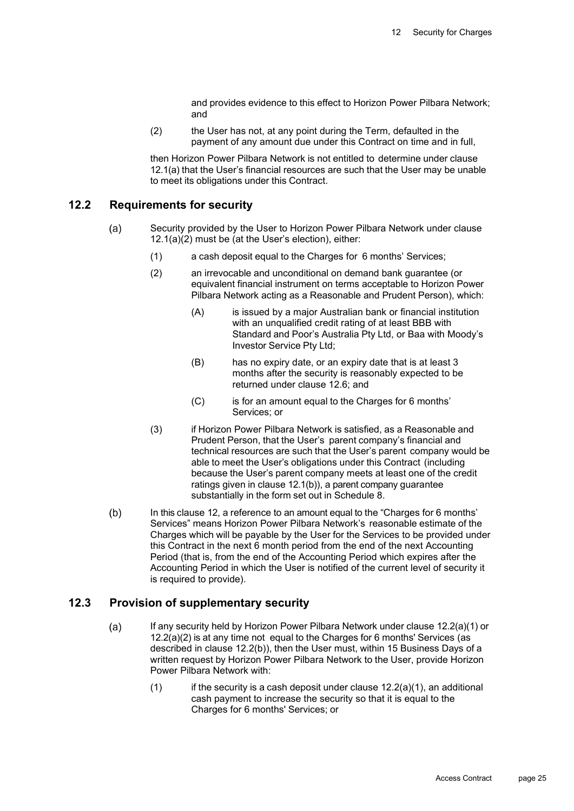and provides evidence to this effect to Horizon Power Pilbara Network; and

(2) the User has not, at any point during the Term, defaulted in the payment of any amount due under this Contract on time and in full,

then Horizon Power Pilbara Network is not entitled to determine under clause 12.1(a) that the User's financial resources are such that the User may be unable to meet its obligations under this Contract.

#### **12.2 Requirements for security**

- $(a)$ Security provided by the User to Horizon Power Pilbara Network under clause  $12.1(a)(2)$  must be (at the User's election), either:
	- (1) a cash deposit equal to the Charges for 6 months' Services;
	- (2) an irrevocable and unconditional on demand bank guarantee (or equivalent financial instrument on terms acceptable to Horizon Power Pilbara Network acting as a Reasonable and Prudent Person), which:
		- (A) is issued by a major Australian bank or financial institution with an unqualified credit rating of at least BBB with Standard and Poor's Australia Pty Ltd, or Baa with Moody's Investor Service Pty Ltd;
		- (B) has no expiry date, or an expiry date that is at least 3 months after the security is reasonably expected to be returned under clause 12.6; and
		- (C) is for an amount equal to the Charges for 6 months' Services; or
	- (3) if Horizon Power Pilbara Network is satisfied, as a Reasonable and Prudent Person, that the User's parent company's financial and technical resources are such that the User's parent company would be able to meet the User's obligations under this Contract (including because the User's parent company meets at least one of the credit ratings given in clause 12.1(b)), a parent company guarantee substantially in the form set out in Schedule 8.
- $(b)$ In this clause 12, a reference to an amount equal to the "Charges for 6 months' Services" means Horizon Power Pilbara Network's reasonable estimate of the Charges which will be payable by the User for the Services to be provided under this Contract in the next 6 month period from the end of the next Accounting Period (that is, from the end of the Accounting Period which expires after the Accounting Period in which the User is notified of the current level of security it is required to provide).

### **12.3 Provision of supplementary security**

- If any security held by Horizon Power Pilbara Network under clause 12.2(a)(1) or  $(a)$  $12.2(a)(2)$  is at any time not equal to the Charges for 6 months' Services (as described in clause 12.2(b)), then the User must, within 15 Business Days of a written request by Horizon Power Pilbara Network to the User, provide Horizon Power Pilbara Network with:
	- $(1)$  if the security is a cash deposit under clause 12.2(a)(1), an additional cash payment to increase the security so that it is equal to the Charges for 6 months' Services; or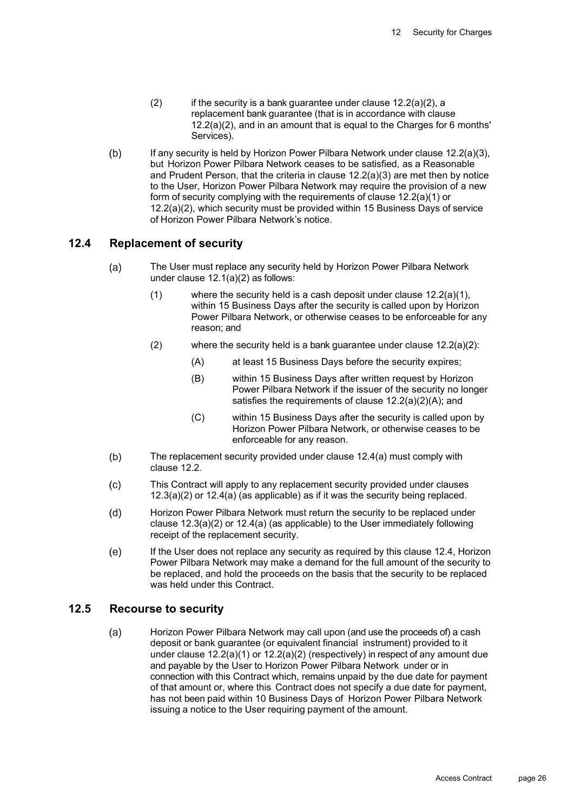- $(2)$  if the security is a bank guarantee under clause  $12.2(a)(2)$ , a replacement bank guarantee (that is in accordance with clause 12.2(a)(2), and in an amount that is equal to the Charges for 6 months' Services).
- $(b)$ If any security is held by Horizon Power Pilbara Network under clause 12.2(a)(3), but Horizon Power Pilbara Network ceases to be satisfied, as a Reasonable and Prudent Person, that the criteria in clause 12.2(a)(3) are met then by notice to the User, Horizon Power Pilbara Network may require the provision of a new form of security complying with the requirements of clause 12.2(a)(1) or 12.2(a)(2), which security must be provided within 15 Business Days of service of Horizon Power Pilbara Network's notice.

#### **12.4 Replacement of security**

- $(a)$ The User must replace any security held by Horizon Power Pilbara Network under clause 12.1(a)(2) as follows:
	- (1) where the security held is a cash deposit under clause 12.2(a)(1), within 15 Business Days after the security is called upon by Horizon Power Pilbara Network, or otherwise ceases to be enforceable for any reason; and
	- (2) where the security held is a bank guarantee under clause 12.2(a)(2):
		- (A) at least 15 Business Days before the security expires;
		- (B) within 15 Business Days after written request by Horizon Power Pilbara Network if the issuer of the security no longer satisfies the requirements of clause 12.2(a)(2)(A); and
		- (C) within 15 Business Days after the security is called upon by Horizon Power Pilbara Network, or otherwise ceases to be enforceable for any reason.
- $(b)$ The replacement security provided under clause 12.4(a) must comply with clause 12.2.
- $(c)$ This Contract will apply to any replacement security provided under clauses 12.3(a)(2) or 12.4(a) (as applicable) as if it was the security being replaced.
- Horizon Power Pilbara Network must return the security to be replaced under  $(d)$ clause 12.3(a)(2) or 12.4(a) (as applicable) to the User immediately following receipt of the replacement security.
- $(e)$ If the User does not replace any security as required by this clause 12.4, Horizon Power Pilbara Network may make a demand for the full amount of the security to be replaced, and hold the proceeds on the basis that the security to be replaced was held under this Contract.

#### **12.5 Recourse to security**

 $(a)$ Horizon Power Pilbara Network may call upon (and use the proceeds of) a cash deposit or bank guarantee (or equivalent financial instrument) provided to it under clause 12.2(a)(1) or 12.2(a)(2) (respectively) in respect of any amount due and payable by the User to Horizon Power Pilbara Network under or in connection with this Contract which, remains unpaid by the due date for payment of that amount or, where this Contract does not specify a due date for payment, has not been paid within 10 Business Days of Horizon Power Pilbara Network issuing a notice to the User requiring payment of the amount.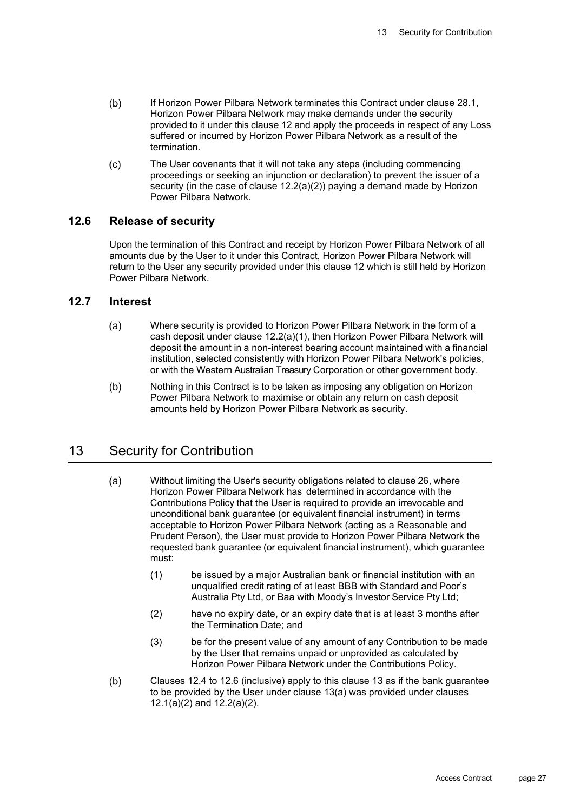- $(b)$ If Horizon Power Pilbara Network terminates this Contract under clause 28.1, Horizon Power Pilbara Network may make demands under the security provided to it under this clause 12 and apply the proceeds in respect of any Loss suffered or incurred by Horizon Power Pilbara Network as a result of the termination.
- $(c)$ The User covenants that it will not take any steps (including commencing proceedings or seeking an injunction or declaration) to prevent the issuer of a security (in the case of clause 12.2(a)(2)) paying a demand made by Horizon Power Pilbara Network.

#### **12.6 Release of security**

Upon the termination of this Contract and receipt by Horizon Power Pilbara Network of all amounts due by the User to it under this Contract, Horizon Power Pilbara Network will return to the User any security provided under this clause 12 which is still held by Horizon Power Pilbara Network.

#### **12.7 Interest**

- $(a)$ Where security is provided to Horizon Power Pilbara Network in the form of a cash deposit under clause 12.2(a)(1), then Horizon Power Pilbara Network will deposit the amount in a non-interest bearing account maintained with a financial institution, selected consistently with Horizon Power Pilbara Network's policies, or with the Western Australian Treasury Corporation or other government body.
- $(b)$ Nothing in this Contract is to be taken as imposing any obligation on Horizon Power Pilbara Network to maximise or obtain any return on cash deposit amounts held by Horizon Power Pilbara Network as security.

## 13 Security for Contribution

- $(a)$ Without limiting the User's security obligations related to clause 26, where Horizon Power Pilbara Network has determined in accordance with the Contributions Policy that the User is required to provide an irrevocable and unconditional bank guarantee (or equivalent financial instrument) in terms acceptable to Horizon Power Pilbara Network (acting as a Reasonable and Prudent Person), the User must provide to Horizon Power Pilbara Network the requested bank guarantee (or equivalent financial instrument), which guarantee must:
	- (1) be issued by a major Australian bank or financial institution with an unqualified credit rating of at least BBB with Standard and Poor's Australia Pty Ltd, or Baa with Moody's Investor Service Pty Ltd;
	- (2) have no expiry date, or an expiry date that is at least 3 months after the Termination Date; and
	- (3) be for the present value of any amount of any Contribution to be made by the User that remains unpaid or unprovided as calculated by Horizon Power Pilbara Network under the Contributions Policy.
- $(b)$ Clauses 12.4 to 12.6 (inclusive) apply to this clause 13 as if the bank guarantee to be provided by the User under clause 13(a) was provided under clauses 12.1(a)(2) and 12.2(a)(2).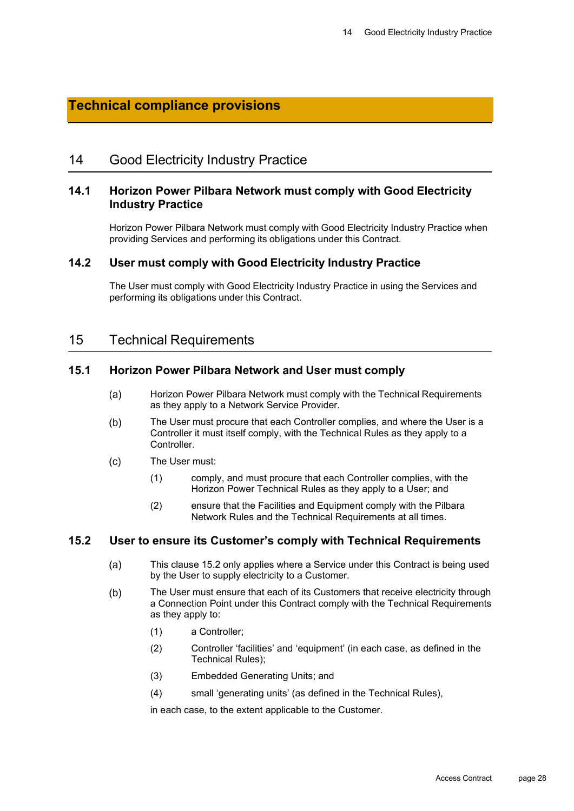## **Technical compliance provisions**

## 14 Good Electricity Industry Practice

#### **14.1 Horizon Power Pilbara Network must comply with Good Electricity Industry Practice**

Horizon Power Pilbara Network must comply with Good Electricity Industry Practice when providing Services and performing its obligations under this Contract.

#### **14.2 User must comply with Good Electricity Industry Practice**

The User must comply with Good Electricity Industry Practice in using the Services and performing its obligations under this Contract.

### 15 Technical Requirements

#### **15.1 Horizon Power Pilbara Network and User must comply**

- $(a)$ Horizon Power Pilbara Network must comply with the Technical Requirements as they apply to a Network Service Provider.
- The User must procure that each Controller complies, and where the User is a  $(b)$ Controller it must itself comply, with the Technical Rules as they apply to a **Controller**
- The User must:  $(c)$ 
	- (1) comply, and must procure that each Controller complies, with the Horizon Power Technical Rules as they apply to a User; and
	- (2) ensure that the Facilities and Equipment comply with the Pilbara Network Rules and the Technical Requirements at all times.

#### **15.2 User to ensure its Customer's comply with Technical Requirements**

- This clause 15.2 only applies where a Service under this Contract is being used  $(a)$ by the User to supply electricity to a Customer.
- $(b)$ The User must ensure that each of its Customers that receive electricity through a Connection Point under this Contract comply with the Technical Requirements as they apply to:
	- (1) a Controller;
	- (2) Controller 'facilities' and 'equipment' (in each case, as defined in the Technical Rules);
	- (3) Embedded Generating Units; and
	- (4) small 'generating units' (as defined in the Technical Rules),

in each case, to the extent applicable to the Customer.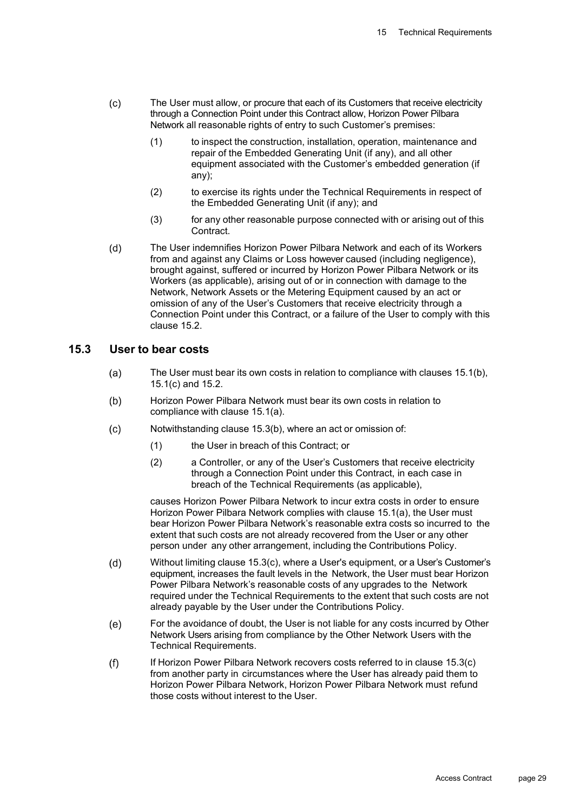- $(c)$ The User must allow, or procure that each of its Customers that receive electricity through a Connection Point under this Contract allow, Horizon Power Pilbara Network all reasonable rights of entry to such Customer's premises:
	- (1) to inspect the construction, installation, operation, maintenance and repair of the Embedded Generating Unit (if any), and all other equipment associated with the Customer's embedded generation (if any);
	- (2) to exercise its rights under the Technical Requirements in respect of the Embedded Generating Unit (if any); and
	- (3) for any other reasonable purpose connected with or arising out of this **Contract**
- $(d)$ The User indemnifies Horizon Power Pilbara Network and each of its Workers from and against any Claims or Loss however caused (including negligence), brought against, suffered or incurred by Horizon Power Pilbara Network or its Workers (as applicable), arising out of or in connection with damage to the Network, Network Assets or the Metering Equipment caused by an act or omission of any of the User's Customers that receive electricity through a Connection Point under this Contract, or a failure of the User to comply with this clause 15.2.

#### **15.3 User to bear costs**

- $(a)$ The User must bear its own costs in relation to compliance with clauses 15.1(b), 15.1(c) and 15.2.
- $(b)$ Horizon Power Pilbara Network must bear its own costs in relation to compliance with clause 15.1(a).
- Notwithstanding clause 15.3(b), where an act or omission of:  $(c)$ 
	- (1) the User in breach of this Contract; or
	- (2) a Controller, or any of the User's Customers that receive electricity through a Connection Point under this Contract, in each case in breach of the Technical Requirements (as applicable),

causes Horizon Power Pilbara Network to incur extra costs in order to ensure Horizon Power Pilbara Network complies with clause 15.1(a), the User must bear Horizon Power Pilbara Network's reasonable extra costs so incurred to the extent that such costs are not already recovered from the User or any other person under any other arrangement, including the Contributions Policy.

- $(d)$ Without limiting clause 15.3(c), where a User's equipment, or a User's Customer's equipment, increases the fault levels in the Network, the User must bear Horizon Power Pilbara Network's reasonable costs of any upgrades to the Network required under the Technical Requirements to the extent that such costs are not already payable by the User under the Contributions Policy.
- For the avoidance of doubt, the User is not liable for any costs incurred by Other  $(e)$ Network Users arising from compliance by the Other Network Users with the Technical Requirements.
- $(f)$ If Horizon Power Pilbara Network recovers costs referred to in clause 15.3(c) from another party in circumstances where the User has already paid them to Horizon Power Pilbara Network, Horizon Power Pilbara Network must refund those costs without interest to the User.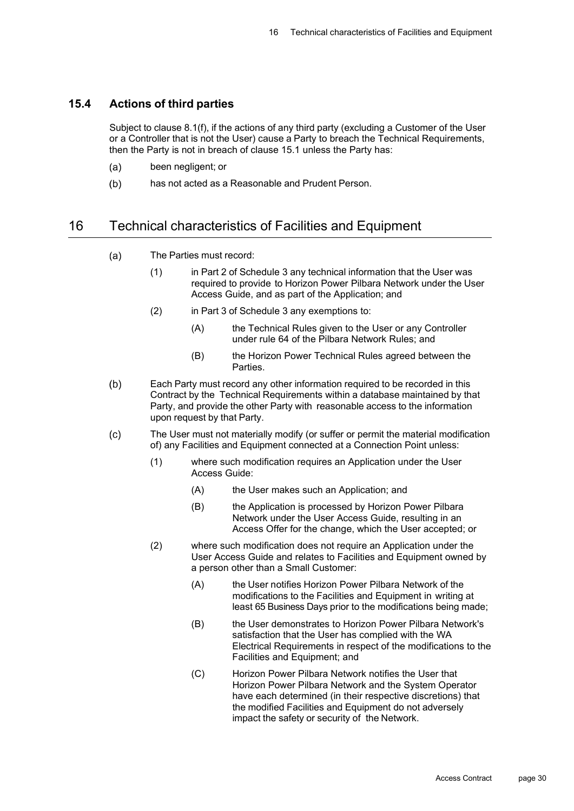#### **15.4 Actions of third parties**

Subject to clause 8.1(f), if the actions of any third party (excluding a Customer of the User or a Controller that is not the User) cause a Party to breach the Technical Requirements, then the Party is not in breach of clause 15.1 unless the Party has:

- $(a)$ been negligent; or
- $(b)$ has not acted as a Reasonable and Prudent Person.

## 16 Technical characteristics of Facilities and Equipment

- $(a)$ The Parties must record:
	- (1) in Part 2 of Schedule 3 any technical information that the User was required to provide to Horizon Power Pilbara Network under the User Access Guide, and as part of the Application; and
	- (2) in Part 3 of Schedule 3 any exemptions to:
		- (A) the Technical Rules given to the User or any Controller under rule 64 of the Pilbara Network Rules; and
		- (B) the Horizon Power Technical Rules agreed between the Parties.
- $(b)$ Each Party must record any other information required to be recorded in this Contract by the Technical Requirements within a database maintained by that Party, and provide the other Party with reasonable access to the information upon request by that Party.
- The User must not materially modify (or suffer or permit the material modification  $(c)$ of) any Facilities and Equipment connected at a Connection Point unless:
	- (1) where such modification requires an Application under the User Access Guide:
		- (A) the User makes such an Application; and
		- (B) the Application is processed by Horizon Power Pilbara Network under the User Access Guide, resulting in an Access Offer for the change, which the User accepted; or
	- (2) where such modification does not require an Application under the User Access Guide and relates to Facilities and Equipment owned by a person other than a Small Customer:
		- (A) the User notifies Horizon Power Pilbara Network of the modifications to the Facilities and Equipment in writing at least 65 Business Days prior to the modifications being made;
		- (B) the User demonstrates to Horizon Power Pilbara Network's satisfaction that the User has complied with the WA Electrical Requirements in respect of the modifications to the Facilities and Equipment; and
		- (C) Horizon Power Pilbara Network notifies the User that Horizon Power Pilbara Network and the System Operator have each determined (in their respective discretions) that the modified Facilities and Equipment do not adversely impact the safety or security of the Network.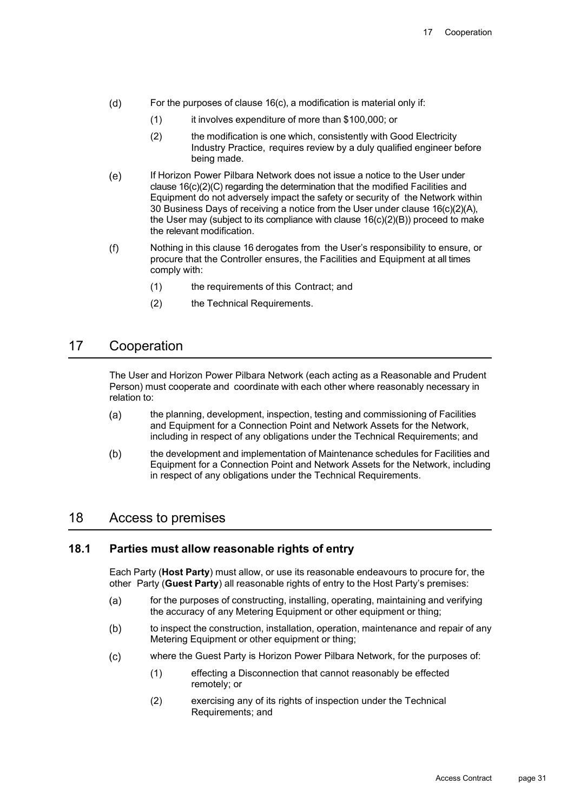- $(d)$ For the purposes of clause 16(c), a modification is material only if:
	- (1) it involves expenditure of more than \$100,000; or
	- (2) the modification is one which, consistently with Good Electricity Industry Practice, requires review by a duly qualified engineer before being made.
- $(e)$ If Horizon Power Pilbara Network does not issue a notice to the User under clause 16(c)(2)(C) regarding the determination that the modified Facilities and Equipment do not adversely impact the safety or security of the Network within 30 Business Days of receiving a notice from the User under clause 16(c)(2)(A), the User may (subject to its compliance with clause  $16(c)(2)(B)$ ) proceed to make the relevant modification.
- $(f)$ Nothing in this clause 16 derogates from the User's responsibility to ensure, or procure that the Controller ensures, the Facilities and Equipment at all times comply with:
	- (1) the requirements of this Contract; and
	- (2) the Technical Requirements.

## 17 Cooperation

The User and Horizon Power Pilbara Network (each acting as a Reasonable and Prudent Person) must cooperate and coordinate with each other where reasonably necessary in relation to:

- $(a)$ the planning, development, inspection, testing and commissioning of Facilities and Equipment for a Connection Point and Network Assets for the Network, including in respect of any obligations under the Technical Requirements; and
- $(b)$ the development and implementation of Maintenance schedules for Facilities and Equipment for a Connection Point and Network Assets for the Network, including in respect of any obligations under the Technical Requirements.

## 18 Access to premises

#### **18.1 Parties must allow reasonable rights of entry**

Each Party (**Host Party**) must allow, or use its reasonable endeavours to procure for, the other Party (**Guest Party**) all reasonable rights of entry to the Host Party's premises:

- for the purposes of constructing, installing, operating, maintaining and verifying  $(a)$ the accuracy of any Metering Equipment or other equipment or thing;
- $(b)$ to inspect the construction, installation, operation, maintenance and repair of any Metering Equipment or other equipment or thing;
- where the Guest Party is Horizon Power Pilbara Network, for the purposes of:  $(c)$ 
	- (1) effecting a Disconnection that cannot reasonably be effected remotely; or
	- (2) exercising any of its rights of inspection under the Technical Requirements; and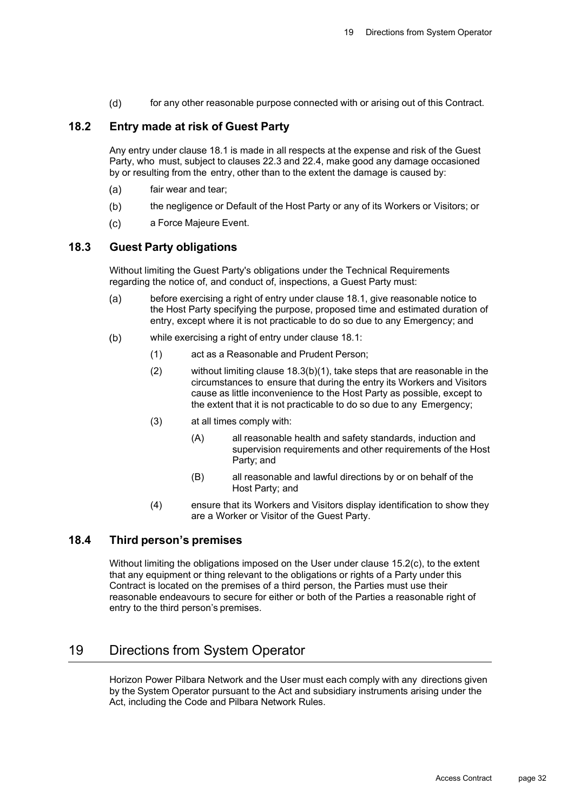$(d)$ for any other reasonable purpose connected with or arising out of this Contract.

## **18.2 Entry made at risk of Guest Party**

Any entry under clause 18.1 is made in all respects at the expense and risk of the Guest Party, who must, subject to clauses 22.3 and 22.4, make good any damage occasioned by or resulting from the entry, other than to the extent the damage is caused by:

- fair wear and tear;  $(a)$
- the negligence or Default of the Host Party or any of its Workers or Visitors; or  $(b)$
- $(c)$ a Force Majeure Event.

#### **18.3 Guest Party obligations**

Without limiting the Guest Party's obligations under the Technical Requirements regarding the notice of, and conduct of, inspections, a Guest Party must:

- $(a)$ before exercising a right of entry under clause 18.1, give reasonable notice to the Host Party specifying the purpose, proposed time and estimated duration of entry, except where it is not practicable to do so due to any Emergency; and
- $(b)$ while exercising a right of entry under clause 18.1:
	- (1) act as a Reasonable and Prudent Person;
	- (2) without limiting clause 18.3(b)(1), take steps that are reasonable in the circumstances to ensure that during the entry its Workers and Visitors cause as little inconvenience to the Host Party as possible, except to the extent that it is not practicable to do so due to any Emergency;
	- (3) at all times comply with:
		- (A) all reasonable health and safety standards, induction and supervision requirements and other requirements of the Host Party; and
		- (B) all reasonable and lawful directions by or on behalf of the Host Party; and
	- (4) ensure that its Workers and Visitors display identification to show they are a Worker or Visitor of the Guest Party.

#### **18.4 Third person's premises**

Without limiting the obligations imposed on the User under clause 15.2(c), to the extent that any equipment or thing relevant to the obligations or rights of a Party under this Contract is located on the premises of a third person, the Parties must use their reasonable endeavours to secure for either or both of the Parties a reasonable right of entry to the third person's premises.

## 19 Directions from System Operator

Horizon Power Pilbara Network and the User must each comply with any directions given by the System Operator pursuant to the Act and subsidiary instruments arising under the Act, including the Code and Pilbara Network Rules.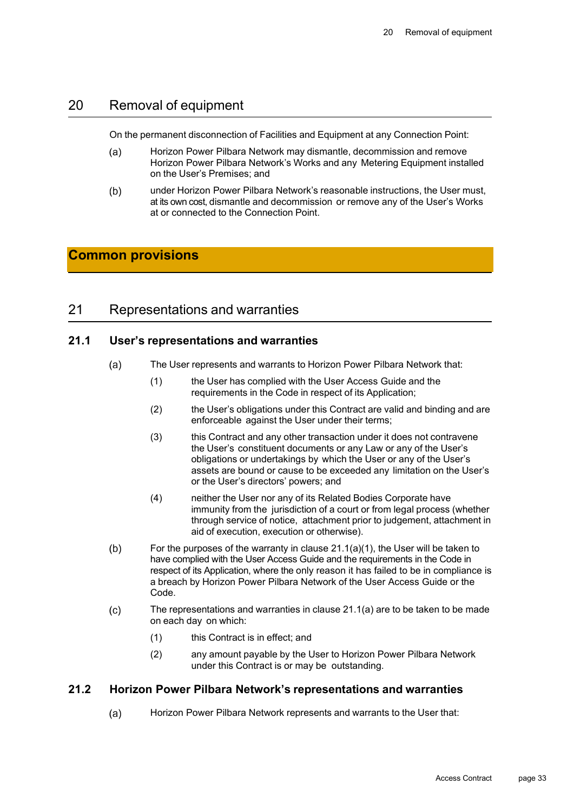## 20 Removal of equipment

On the permanent disconnection of Facilities and Equipment at any Connection Point:

- $(a)$ Horizon Power Pilbara Network may dismantle, decommission and remove Horizon Power Pilbara Network's Works and any Metering Equipment installed on the User's Premises; and
- $(b)$ under Horizon Power Pilbara Network's reasonable instructions, the User must, at its own cost, dismantle and decommission or remove any of the User's Works at or connected to the Connection Point.

## **Common provisions**

## 21 Representations and warranties

#### **21.1 User's representations and warranties**

- The User represents and warrants to Horizon Power Pilbara Network that:  $(a)$ 
	- (1) the User has complied with the User Access Guide and the requirements in the Code in respect of its Application;
	- (2) the User's obligations under this Contract are valid and binding and are enforceable against the User under their terms;
	- (3) this Contract and any other transaction under it does not contravene the User's constituent documents or any Law or any of the User's obligations or undertakings by which the User or any of the User's assets are bound or cause to be exceeded any limitation on the User's or the User's directors' powers; and
	- (4) neither the User nor any of its Related Bodies Corporate have immunity from the jurisdiction of a court or from legal process (whether through service of notice, attachment prior to judgement, attachment in aid of execution, execution or otherwise).
- $(b)$ For the purposes of the warranty in clause 21.1(a)(1), the User will be taken to have complied with the User Access Guide and the requirements in the Code in respect of its Application, where the only reason it has failed to be in compliance is a breach by Horizon Power Pilbara Network of the User Access Guide or the Code.
- $(c)$ The representations and warranties in clause 21.1(a) are to be taken to be made on each day on which:
	- (1) this Contract is in effect; and
	- (2) any amount payable by the User to Horizon Power Pilbara Network under this Contract is or may be outstanding.

#### **21.2 Horizon Power Pilbara Network's representations and warranties**

 $(a)$ Horizon Power Pilbara Network represents and warrants to the User that: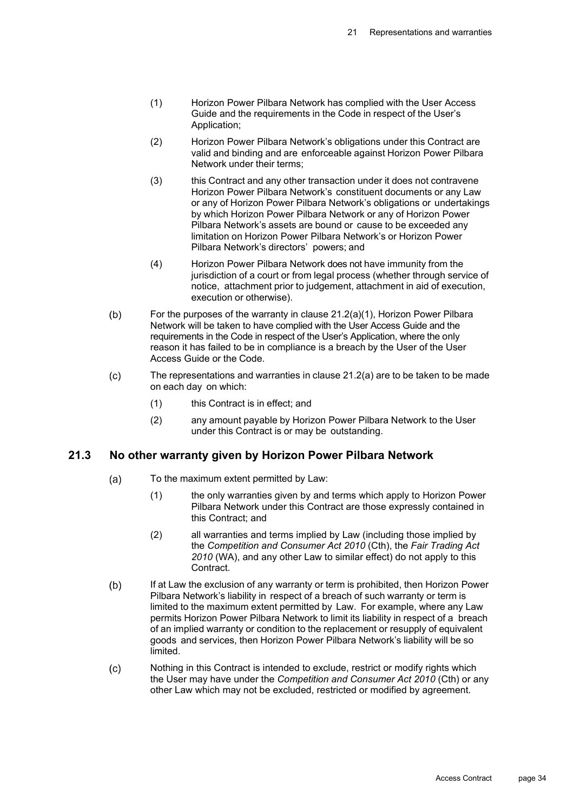- (1) Horizon Power Pilbara Network has complied with the User Access Guide and the requirements in the Code in respect of the User's Application;
- (2) Horizon Power Pilbara Network's obligations under this Contract are valid and binding and are enforceable against Horizon Power Pilbara Network under their terms;
- (3) this Contract and any other transaction under it does not contravene Horizon Power Pilbara Network's constituent documents or any Law or any of Horizon Power Pilbara Network's obligations or undertakings by which Horizon Power Pilbara Network or any of Horizon Power Pilbara Network's assets are bound or cause to be exceeded any limitation on Horizon Power Pilbara Network's or Horizon Power Pilbara Network's directors' powers; and
- (4) Horizon Power Pilbara Network does not have immunity from the jurisdiction of a court or from legal process (whether through service of notice, attachment prior to judgement, attachment in aid of execution, execution or otherwise).
- $(b)$ For the purposes of the warranty in clause 21.2(a)(1), Horizon Power Pilbara Network will be taken to have complied with the User Access Guide and the requirements in the Code in respect of the User's Application, where the only reason it has failed to be in compliance is a breach by the User of the User Access Guide or the Code.
- $(c)$ The representations and warranties in clause 21.2(a) are to be taken to be made on each day on which:
	- (1) this Contract is in effect; and
	- (2) any amount payable by Horizon Power Pilbara Network to the User under this Contract is or may be outstanding.

#### **21.3 No other warranty given by Horizon Power Pilbara Network**

- $(a)$ To the maximum extent permitted by Law:
	- (1) the only warranties given by and terms which apply to Horizon Power Pilbara Network under this Contract are those expressly contained in this Contract; and
	- (2) all warranties and terms implied by Law (including those implied by the *Competition and Consumer Act 2010* (Cth), the *Fair Trading Act 2010* (WA), and any other Law to similar effect) do not apply to this Contract.
- $(b)$ If at Law the exclusion of any warranty or term is prohibited, then Horizon Power Pilbara Network's liability in respect of a breach of such warranty or term is limited to the maximum extent permitted by Law. For example, where any Law permits Horizon Power Pilbara Network to limit its liability in respect of a breach of an implied warranty or condition to the replacement or resupply of equivalent goods and services, then Horizon Power Pilbara Network's liability will be so limited.
- $(c)$ Nothing in this Contract is intended to exclude, restrict or modify rights which the User may have under the *Competition and Consumer Act 2010* (Cth) or any other Law which may not be excluded, restricted or modified by agreement.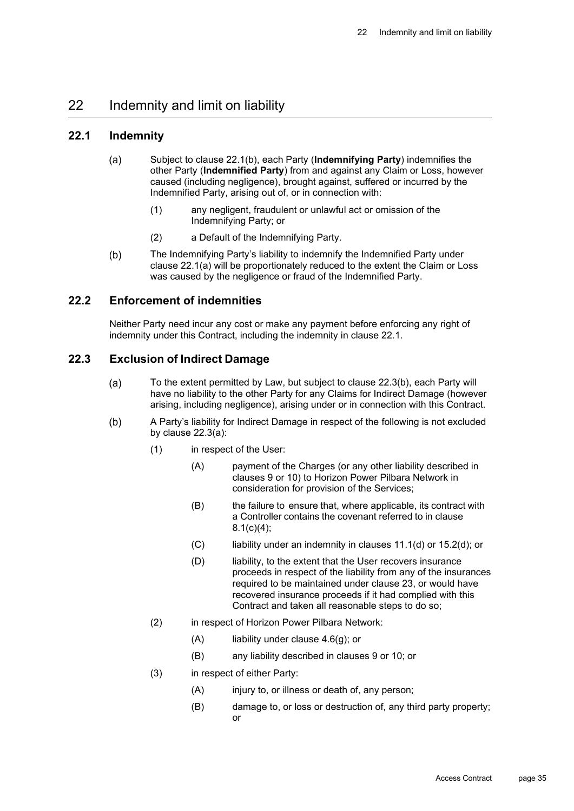## 22 Indemnity and limit on liability

#### **22.1 Indemnity**

- $(a)$ Subject to clause 22.1(b), each Party (**Indemnifying Party**) indemnifies the other Party (**Indemnified Party**) from and against any Claim or Loss, however caused (including negligence), brought against, suffered or incurred by the Indemnified Party, arising out of, or in connection with:
	- (1) any negligent, fraudulent or unlawful act or omission of the Indemnifying Party; or
	- (2) a Default of the Indemnifying Party.
- $(b)$ The Indemnifying Party's liability to indemnify the Indemnified Party under clause 22.1(a) will be proportionately reduced to the extent the Claim or Loss was caused by the negligence or fraud of the Indemnified Party.

#### **22.2 Enforcement of indemnities**

Neither Party need incur any cost or make any payment before enforcing any right of indemnity under this Contract, including the indemnity in clause 22.1.

#### **22.3 Exclusion of Indirect Damage**

- To the extent permitted by Law, but subject to clause 22.3(b), each Party will  $(a)$ have no liability to the other Party for any Claims for Indirect Damage (however arising, including negligence), arising under or in connection with this Contract.
- $(b)$ A Party's liability for Indirect Damage in respect of the following is not excluded by clause 22.3(a):
	- (1) in respect of the User:
		- (A) payment of the Charges (or any other liability described in clauses 9 or 10) to Horizon Power Pilbara Network in consideration for provision of the Services;
		- (B) the failure to ensure that, where applicable, its contract with a Controller contains the covenant referred to in clause 8.1(c)(4);
		- $(C)$  liability under an indemnity in clauses 11.1(d) or 15.2(d); or
		- (D) liability, to the extent that the User recovers insurance proceeds in respect of the liability from any of the insurances required to be maintained under clause 23, or would have recovered insurance proceeds if it had complied with this Contract and taken all reasonable steps to do so;
	- (2) in respect of Horizon Power Pilbara Network:
		- $(A)$  liability under clause 4.6(q); or
		- (B) any liability described in clauses 9 or 10; or
	- (3) in respect of either Party:
		- (A) injury to, or illness or death of, any person;
		- (B) damage to, or loss or destruction of, any third party property; or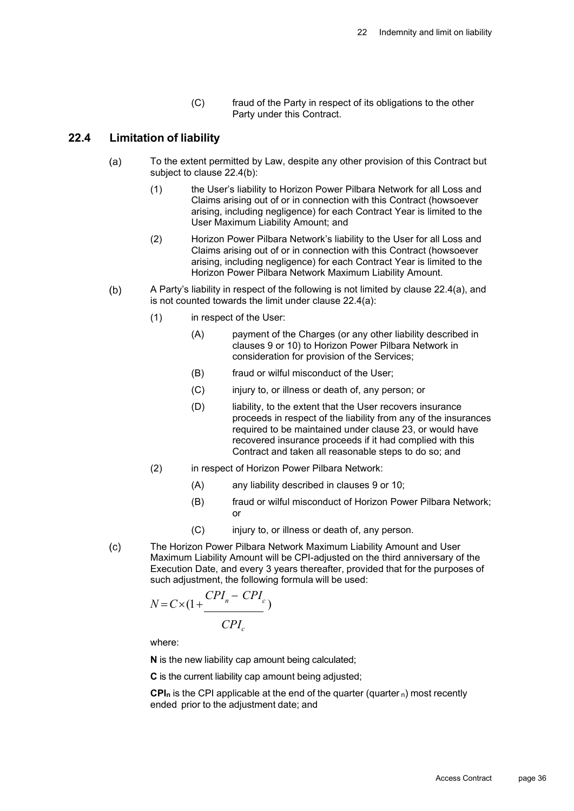(C) fraud of the Party in respect of its obligations to the other Party under this Contract.

## **22.4 Limitation of liability**

- $(a)$ To the extent permitted by Law, despite any other provision of this Contract but subject to clause 22.4(b):
	- (1) the User's liability to Horizon Power Pilbara Network for all Loss and Claims arising out of or in connection with this Contract (howsoever arising, including negligence) for each Contract Year is limited to the User Maximum Liability Amount; and
	- (2) Horizon Power Pilbara Network's liability to the User for all Loss and Claims arising out of or in connection with this Contract (howsoever arising, including negligence) for each Contract Year is limited to the Horizon Power Pilbara Network Maximum Liability Amount.
- $(b)$ A Party's liability in respect of the following is not limited by clause 22.4(a), and is not counted towards the limit under clause 22.4(a):
	- (1) in respect of the User:
		- (A) payment of the Charges (or any other liability described in clauses 9 or 10) to Horizon Power Pilbara Network in consideration for provision of the Services;
		- (B) fraud or wilful misconduct of the User;
		- (C) injury to, or illness or death of, any person; or
		- (D) liability, to the extent that the User recovers insurance proceeds in respect of the liability from any of the insurances required to be maintained under clause 23, or would have recovered insurance proceeds if it had complied with this Contract and taken all reasonable steps to do so; and
	- (2) in respect of Horizon Power Pilbara Network:
		- (A) any liability described in clauses 9 or 10;
		- (B) fraud or wilful misconduct of Horizon Power Pilbara Network; or
		- (C) injury to, or illness or death of, any person.
- The Horizon Power Pilbara Network Maximum Liability Amount and User  $(c)$ Maximum Liability Amount will be CPI-adjusted on the third anniversary of the Execution Date, and every 3 years thereafter, provided that for the purposes of such adjustment, the following formula will be used:

$$
N = C \times \left(1 + \frac{CPI_n - CPI_c}{CPI_c}\right)
$$

where:

**N** is the new liability cap amount being calculated;

**C** is the current liability cap amount being adjusted;

**CPI<sub>n</sub>** is the CPI applicable at the end of the quarter (quarter  $n$ ) most recently ended prior to the adjustment date; and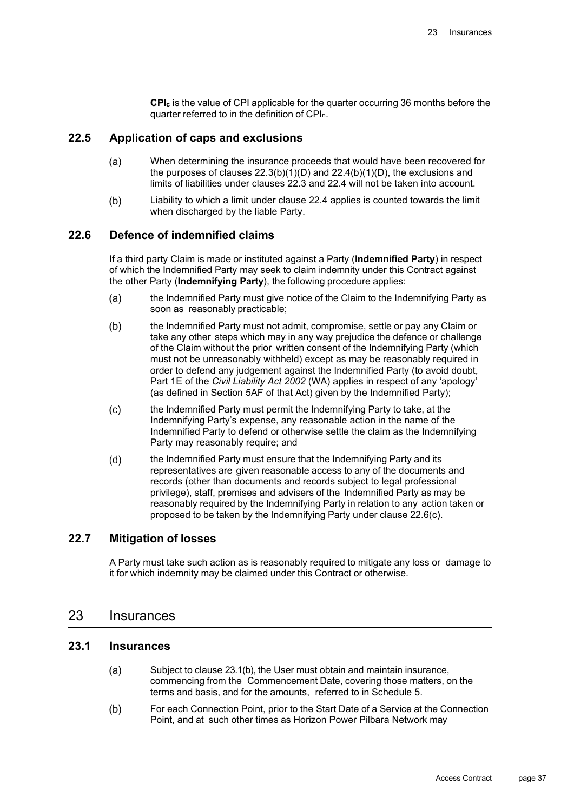**CPIc** is the value of CPI applicable for the quarter occurring 36 months before the quarter referred to in the definition of CPIn.

## **22.5 Application of caps and exclusions**

- $(a)$ When determining the insurance proceeds that would have been recovered for the purposes of clauses  $22.3(b)(1)(D)$  and  $22.4(b)(1)(D)$ , the exclusions and limits of liabilities under clauses 22.3 and 22.4 will not be taken into account.
- Liability to which a limit under clause 22.4 applies is counted towards the limit  $(b)$ when discharged by the liable Party.

## **22.6 Defence of indemnified claims**

If a third party Claim is made or instituted against a Party (**Indemnified Party**) in respect of which the Indemnified Party may seek to claim indemnity under this Contract against the other Party (**Indemnifying Party**), the following procedure applies:

- the Indemnified Party must give notice of the Claim to the Indemnifying Party as  $(a)$ soon as reasonably practicable;
- $(b)$ the Indemnified Party must not admit, compromise, settle or pay any Claim or take any other steps which may in any way prejudice the defence or challenge of the Claim without the prior written consent of the Indemnifying Party (which must not be unreasonably withheld) except as may be reasonably required in order to defend any judgement against the Indemnified Party (to avoid doubt, Part 1E of the *Civil Liability Act 2002* (WA) applies in respect of any 'apology' (as defined in Section 5AF of that Act) given by the Indemnified Party);
- $(c)$ the Indemnified Party must permit the Indemnifying Party to take, at the Indemnifying Party's expense, any reasonable action in the name of the Indemnified Party to defend or otherwise settle the claim as the Indemnifying Party may reasonably require; and
- $(d)$ the Indemnified Party must ensure that the Indemnifying Party and its representatives are given reasonable access to any of the documents and records (other than documents and records subject to legal professional privilege), staff, premises and advisers of the Indemnified Party as may be reasonably required by the Indemnifying Party in relation to any action taken or proposed to be taken by the Indemnifying Party under clause 22.6(c).

## **22.7 Mitigation of losses**

A Party must take such action as is reasonably required to mitigate any loss or damage to it for which indemnity may be claimed under this Contract or otherwise.

## 23 Insurances

#### **23.1 Insurances**

- $(a)$ Subject to clause 23.1(b), the User must obtain and maintain insurance, commencing from the Commencement Date, covering those matters, on the terms and basis, and for the amounts, referred to in Schedule 5.
- For each Connection Point, prior to the Start Date of a Service at the Connection  $(b)$ Point, and at such other times as Horizon Power Pilbara Network may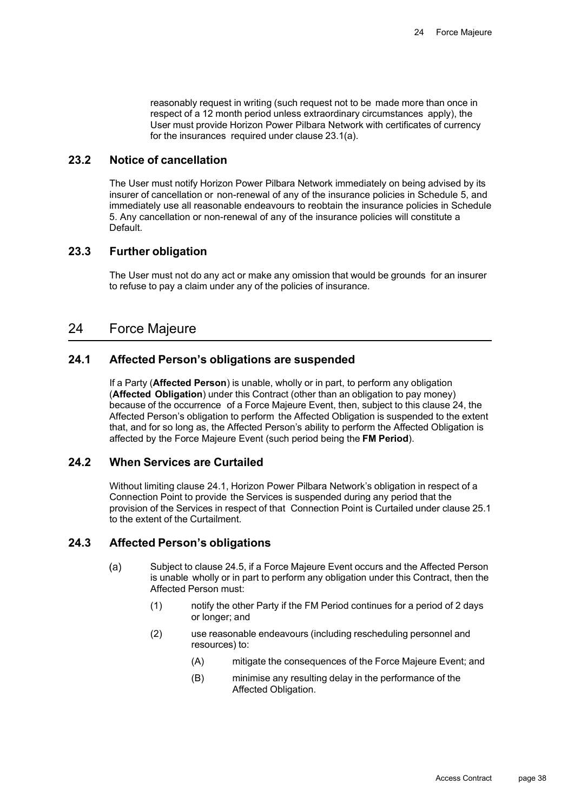reasonably request in writing (such request not to be made more than once in respect of a 12 month period unless extraordinary circumstances apply), the User must provide Horizon Power Pilbara Network with certificates of currency for the insurances required under clause 23.1(a).

## **23.2 Notice of cancellation**

The User must notify Horizon Power Pilbara Network immediately on being advised by its insurer of cancellation or non-renewal of any of the insurance policies in Schedule 5, and immediately use all reasonable endeavours to reobtain the insurance policies in Schedule 5. Any cancellation or non-renewal of any of the insurance policies will constitute a Default.

## **23.3 Further obligation**

The User must not do any act or make any omission that would be grounds for an insurer to refuse to pay a claim under any of the policies of insurance.

## 24 Force Majeure

## **24.1 Affected Person's obligations are suspended**

If a Party (**Affected Person**) is unable, wholly or in part, to perform any obligation (**Affected Obligation**) under this Contract (other than an obligation to pay money) because of the occurrence of a Force Majeure Event, then, subject to this clause 24, the Affected Person's obligation to perform the Affected Obligation is suspended to the extent that, and for so long as, the Affected Person's ability to perform the Affected Obligation is affected by the Force Majeure Event (such period being the **FM Period**).

## **24.2 When Services are Curtailed**

Without limiting clause 24.1, Horizon Power Pilbara Network's obligation in respect of a Connection Point to provide the Services is suspended during any period that the provision of the Services in respect of that Connection Point is Curtailed under clause 25.1 to the extent of the Curtailment.

## **24.3 Affected Person's obligations**

- Subject to clause 24.5, if a Force Majeure Event occurs and the Affected Person  $(a)$ is unable wholly or in part to perform any obligation under this Contract, then the Affected Person must:
	- (1) notify the other Party if the FM Period continues for a period of 2 days or longer; and
	- (2) use reasonable endeavours (including rescheduling personnel and resources) to:
		- (A) mitigate the consequences of the Force Majeure Event; and
		- (B) minimise any resulting delay in the performance of the Affected Obligation.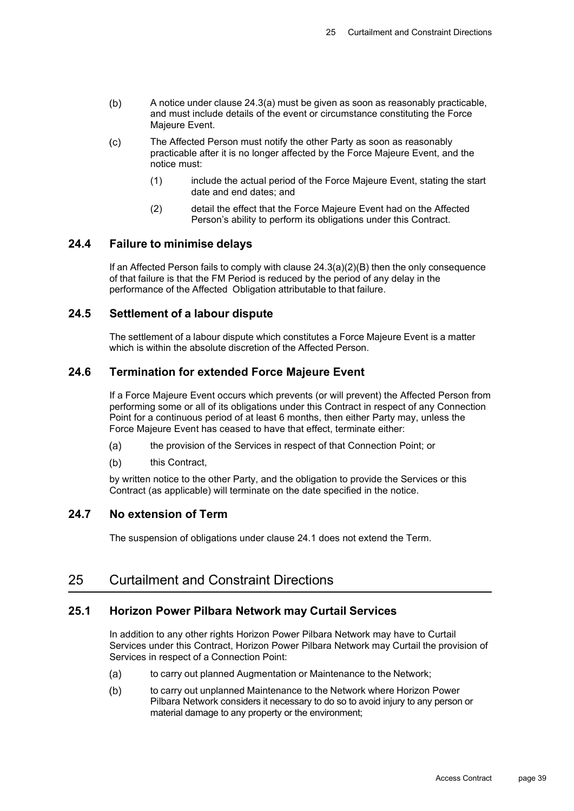- $(b)$ A notice under clause 24.3(a) must be given as soon as reasonably practicable, and must include details of the event or circumstance constituting the Force Majeure Event.
- $(c)$ The Affected Person must notify the other Party as soon as reasonably practicable after it is no longer affected by the Force Majeure Event, and the notice must:
	- (1) include the actual period of the Force Majeure Event, stating the start date and end dates; and
	- (2) detail the effect that the Force Majeure Event had on the Affected Person's ability to perform its obligations under this Contract.

#### **24.4 Failure to minimise delays**

If an Affected Person fails to comply with clause  $24.3(a)(2)(B)$  then the only consequence of that failure is that the FM Period is reduced by the period of any delay in the performance of the Affected Obligation attributable to that failure.

## **24.5 Settlement of a labour dispute**

The settlement of a labour dispute which constitutes a Force Majeure Event is a matter which is within the absolute discretion of the Affected Person.

## **24.6 Termination for extended Force Majeure Event**

If a Force Majeure Event occurs which prevents (or will prevent) the Affected Person from performing some or all of its obligations under this Contract in respect of any Connection Point for a continuous period of at least 6 months, then either Party may, unless the Force Majeure Event has ceased to have that effect, terminate either:

- $(a)$ the provision of the Services in respect of that Connection Point; or
- $(b)$ this Contract,

by written notice to the other Party, and the obligation to provide the Services or this Contract (as applicable) will terminate on the date specified in the notice.

## **24.7 No extension of Term**

The suspension of obligations under clause 24.1 does not extend the Term.

## 25 Curtailment and Constraint Directions

## **25.1 Horizon Power Pilbara Network may Curtail Services**

In addition to any other rights Horizon Power Pilbara Network may have to Curtail Services under this Contract, Horizon Power Pilbara Network may Curtail the provision of Services in respect of a Connection Point:

- $(a)$ to carry out planned Augmentation or Maintenance to the Network;
- $(b)$ to carry out unplanned Maintenance to the Network where Horizon Power Pilbara Network considers it necessary to do so to avoid injury to any person or material damage to any property or the environment;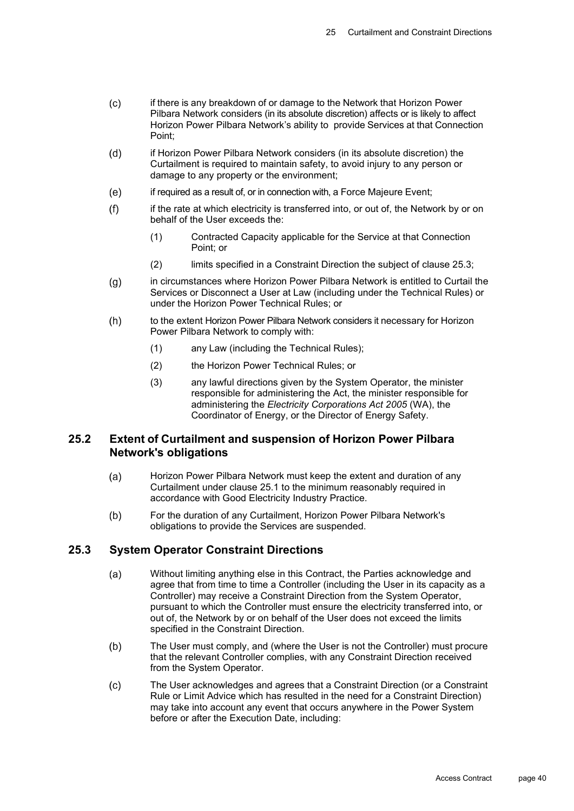- $(c)$ if there is any breakdown of or damage to the Network that Horizon Power Pilbara Network considers (in its absolute discretion) affects or is likely to affect Horizon Power Pilbara Network's ability to provide Services at that Connection Point;
- $(d)$ if Horizon Power Pilbara Network considers (in its absolute discretion) the Curtailment is required to maintain safety, to avoid injury to any person or damage to any property or the environment;
- $(e)$ if required as a result of, or in connection with, a Force Majeure Event;
- $(f)$ if the rate at which electricity is transferred into, or out of, the Network by or on behalf of the User exceeds the:
	- (1) Contracted Capacity applicable for the Service at that Connection Point; or
	- (2) limits specified in a Constraint Direction the subject of clause 25.3;
- in circumstances where Horizon Power Pilbara Network is entitled to Curtail the  $(g)$ Services or Disconnect a User at Law (including under the Technical Rules) or under the Horizon Power Technical Rules; or
- $(h)$ to the extent Horizon Power Pilbara Network considers it necessary for Horizon Power Pilbara Network to comply with:
	- (1) any Law (including the Technical Rules);
	- (2) the Horizon Power Technical Rules; or
	- (3) any lawful directions given by the System Operator, the minister responsible for administering the Act, the minister responsible for administering the *Electricity Corporations Act 2005* (WA), the Coordinator of Energy, or the Director of Energy Safety.

## **25.2 Extent of Curtailment and suspension of Horizon Power Pilbara Network's obligations**

- Horizon Power Pilbara Network must keep the extent and duration of any  $(a)$ Curtailment under clause 25.1 to the minimum reasonably required in accordance with Good Electricity Industry Practice.
- $(b)$ For the duration of any Curtailment, Horizon Power Pilbara Network's obligations to provide the Services are suspended.

## **25.3 System Operator Constraint Directions**

- Without limiting anything else in this Contract, the Parties acknowledge and  $(a)$ agree that from time to time a Controller (including the User in its capacity as a Controller) may receive a Constraint Direction from the System Operator, pursuant to which the Controller must ensure the electricity transferred into, or out of, the Network by or on behalf of the User does not exceed the limits specified in the Constraint Direction.
- $(b)$ The User must comply, and (where the User is not the Controller) must procure that the relevant Controller complies, with any Constraint Direction received from the System Operator.
- The User acknowledges and agrees that a Constraint Direction (or a Constraint  $(c)$ Rule or Limit Advice which has resulted in the need for a Constraint Direction) may take into account any event that occurs anywhere in the Power System before or after the Execution Date, including: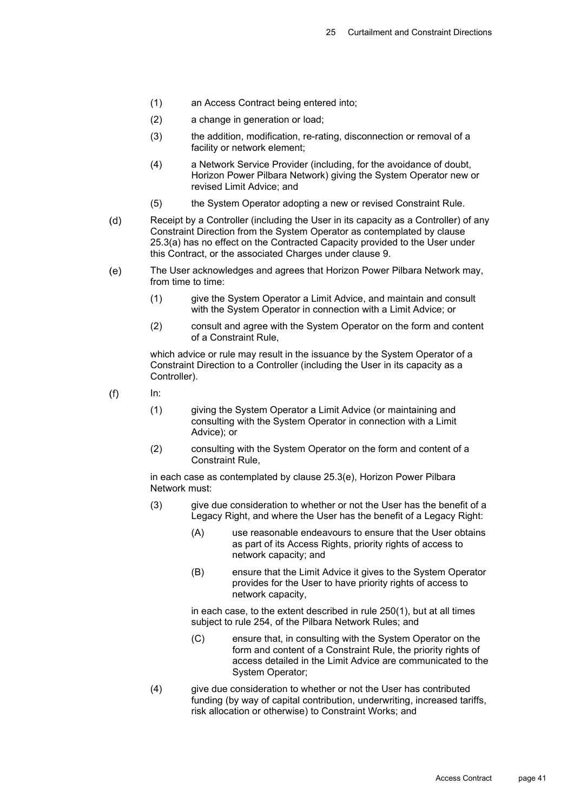- (1) an Access Contract being entered into;
- (2) a change in generation or load;
- (3) the addition, modification, re-rating, disconnection or removal of a facility or network element;
- (4) a Network Service Provider (including, for the avoidance of doubt, Horizon Power Pilbara Network) giving the System Operator new or revised Limit Advice; and
- (5) the System Operator adopting a new or revised Constraint Rule.
- $(d)$ Receipt by a Controller (including the User in its capacity as a Controller) of any Constraint Direction from the System Operator as contemplated by clause 25.3(a) has no effect on the Contracted Capacity provided to the User under this Contract, or the associated Charges under clause 9.
- The User acknowledges and agrees that Horizon Power Pilbara Network may,  $(e)$ from time to time:
	- (1) give the System Operator a Limit Advice, and maintain and consult with the System Operator in connection with a Limit Advice; or
	- (2) consult and agree with the System Operator on the form and content of a Constraint Rule,

which advice or rule may result in the issuance by the System Operator of a Constraint Direction to a Controller (including the User in its capacity as a Controller).

 $(f)$ 

In:

- (1) giving the System Operator a Limit Advice (or maintaining and consulting with the System Operator in connection with a Limit Advice); or
- (2) consulting with the System Operator on the form and content of a Constraint Rule,

in each case as contemplated by clause 25.3(e), Horizon Power Pilbara Network must:

- (3) give due consideration to whether or not the User has the benefit of a Legacy Right, and where the User has the benefit of a Legacy Right:
	- (A) use reasonable endeavours to ensure that the User obtains as part of its Access Rights, priority rights of access to network capacity; and
	- (B) ensure that the Limit Advice it gives to the System Operator provides for the User to have priority rights of access to network capacity,

in each case, to the extent described in rule 250(1), but at all times subject to rule 254, of the Pilbara Network Rules; and

- (C) ensure that, in consulting with the System Operator on the form and content of a Constraint Rule, the priority rights of access detailed in the Limit Advice are communicated to the System Operator;
- (4) give due consideration to whether or not the User has contributed funding (by way of capital contribution, underwriting, increased tariffs, risk allocation or otherwise) to Constraint Works; and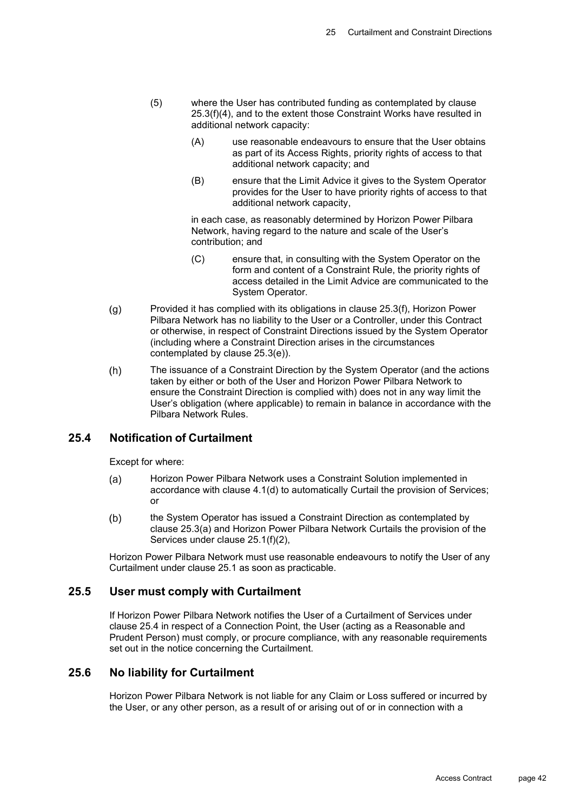- (5) where the User has contributed funding as contemplated by clause 25.3(f)(4), and to the extent those Constraint Works have resulted in additional network capacity:
	- (A) use reasonable endeavours to ensure that the User obtains as part of its Access Rights, priority rights of access to that additional network capacity; and
	- (B) ensure that the Limit Advice it gives to the System Operator provides for the User to have priority rights of access to that additional network capacity,

in each case, as reasonably determined by Horizon Power Pilbara Network, having regard to the nature and scale of the User's contribution; and

- (C) ensure that, in consulting with the System Operator on the form and content of a Constraint Rule, the priority rights of access detailed in the Limit Advice are communicated to the System Operator.
- Provided it has complied with its obligations in clause 25.3(f), Horizon Power  $(g)$ Pilbara Network has no liability to the User or a Controller, under this Contract or otherwise, in respect of Constraint Directions issued by the System Operator (including where a Constraint Direction arises in the circumstances contemplated by clause 25.3(e)).
- The issuance of a Constraint Direction by the System Operator (and the actions  $(h)$ taken by either or both of the User and Horizon Power Pilbara Network to ensure the Constraint Direction is complied with) does not in any way limit the User's obligation (where applicable) to remain in balance in accordance with the Pilbara Network Rules.

## **25.4 Notification of Curtailment**

Except for where:

- $(a)$ Horizon Power Pilbara Network uses a Constraint Solution implemented in accordance with clause 4.1(d) to automatically Curtail the provision of Services; or
- $(b)$ the System Operator has issued a Constraint Direction as contemplated by clause 25.3(a) and Horizon Power Pilbara Network Curtails the provision of the Services under clause 25.1(f)(2),

Horizon Power Pilbara Network must use reasonable endeavours to notify the User of any Curtailment under clause 25.1 as soon as practicable.

## **25.5 User must comply with Curtailment**

If Horizon Power Pilbara Network notifies the User of a Curtailment of Services under clause 25.4 in respect of a Connection Point, the User (acting as a Reasonable and Prudent Person) must comply, or procure compliance, with any reasonable requirements set out in the notice concerning the Curtailment.

## **25.6 No liability for Curtailment**

Horizon Power Pilbara Network is not liable for any Claim or Loss suffered or incurred by the User, or any other person, as a result of or arising out of or in connection with a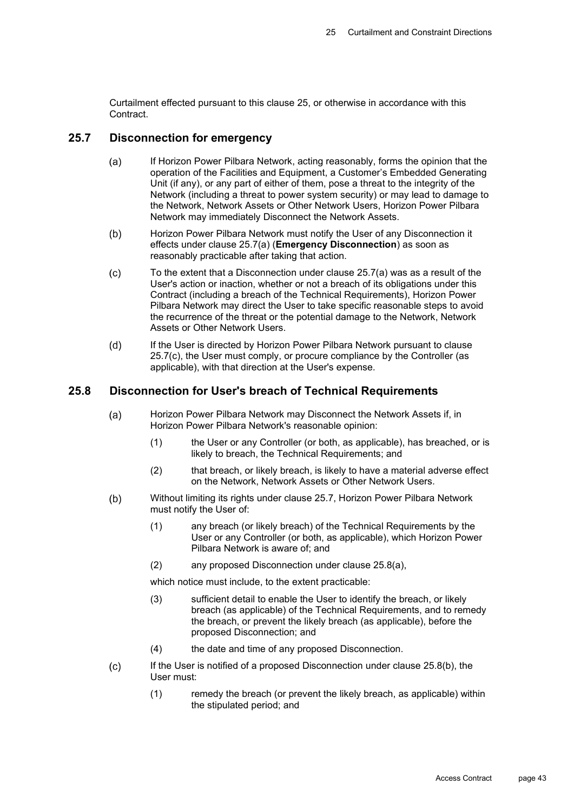Curtailment effected pursuant to this clause 25, or otherwise in accordance with this Contract.

#### **25.7 Disconnection for emergency**

- $(a)$ If Horizon Power Pilbara Network, acting reasonably, forms the opinion that the operation of the Facilities and Equipment, a Customer's Embedded Generating Unit (if any), or any part of either of them, pose a threat to the integrity of the Network (including a threat to power system security) or may lead to damage to the Network, Network Assets or Other Network Users, Horizon Power Pilbara Network may immediately Disconnect the Network Assets.
- $(b)$ Horizon Power Pilbara Network must notify the User of any Disconnection it effects under clause 25.7(a) (**Emergency Disconnection**) as soon as reasonably practicable after taking that action.
- To the extent that a Disconnection under clause 25.7(a) was as a result of the  $(c)$ User's action or inaction, whether or not a breach of its obligations under this Contract (including a breach of the Technical Requirements), Horizon Power Pilbara Network may direct the User to take specific reasonable steps to avoid the recurrence of the threat or the potential damage to the Network, Network Assets or Other Network Users.
- $(d)$ If the User is directed by Horizon Power Pilbara Network pursuant to clause 25.7(c), the User must comply, or procure compliance by the Controller (as applicable), with that direction at the User's expense.

## **25.8 Disconnection for User's breach of Technical Requirements**

- $(a)$ Horizon Power Pilbara Network may Disconnect the Network Assets if, in Horizon Power Pilbara Network's reasonable opinion:
	- (1) the User or any Controller (or both, as applicable), has breached, or is likely to breach, the Technical Requirements; and
	- (2) that breach, or likely breach, is likely to have a material adverse effect on the Network, Network Assets or Other Network Users.
- $(b)$ Without limiting its rights under clause 25.7, Horizon Power Pilbara Network must notify the User of:
	- (1) any breach (or likely breach) of the Technical Requirements by the User or any Controller (or both, as applicable), which Horizon Power Pilbara Network is aware of; and
	- (2) any proposed Disconnection under clause 25.8(a),

which notice must include, to the extent practicable:

- (3) sufficient detail to enable the User to identify the breach, or likely breach (as applicable) of the Technical Requirements, and to remedy the breach, or prevent the likely breach (as applicable), before the proposed Disconnection; and
- (4) the date and time of any proposed Disconnection.
- $(c)$ If the User is notified of a proposed Disconnection under clause 25.8(b), the User must:
	- (1) remedy the breach (or prevent the likely breach, as applicable) within the stipulated period; and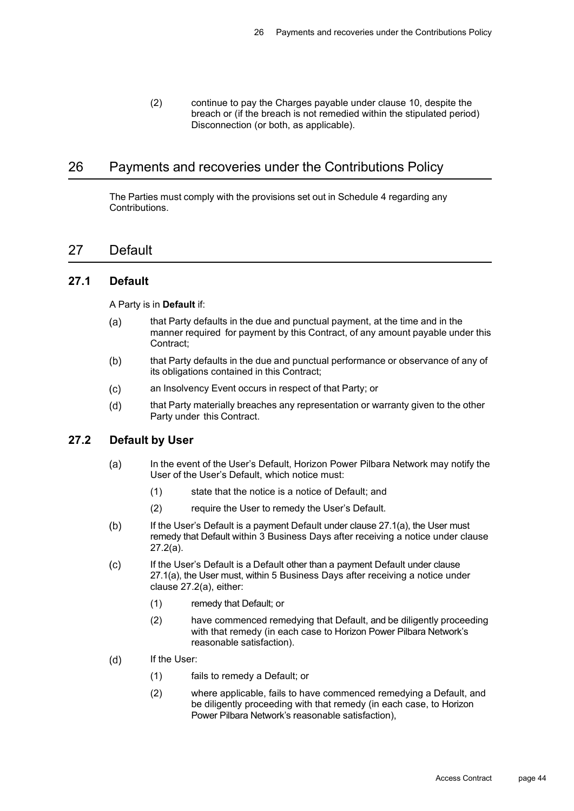(2) continue to pay the Charges payable under clause 10, despite the breach or (if the breach is not remedied within the stipulated period) Disconnection (or both, as applicable).

## 26 Payments and recoveries under the Contributions Policy

The Parties must comply with the provisions set out in Schedule 4 regarding any Contributions.

## 27 Default

## **27.1 Default**

A Party is in **Default** if:

- $(a)$ that Party defaults in the due and punctual payment, at the time and in the manner required for payment by this Contract, of any amount payable under this Contract;
- $(b)$ that Party defaults in the due and punctual performance or observance of any of its obligations contained in this Contract;
- $(c)$ an Insolvency Event occurs in respect of that Party; or
- $(d)$ that Party materially breaches any representation or warranty given to the other Party under this Contract.

## **27.2 Default by User**

- $(a)$ In the event of the User's Default, Horizon Power Pilbara Network may notify the User of the User's Default, which notice must:
	- (1) state that the notice is a notice of Default; and
	- (2) require the User to remedy the User's Default.
- $(b)$ If the User's Default is a payment Default under clause 27.1(a), the User must remedy that Default within 3 Business Days after receiving a notice under clause 27.2(a).
- If the User's Default is a Default other than a payment Default under clause  $(c)$ 27.1(a), the User must, within 5 Business Days after receiving a notice under clause 27.2(a), either:
	- (1) remedy that Default; or
	- (2) have commenced remedying that Default, and be diligently proceeding with that remedy (in each case to Horizon Power Pilbara Network's reasonable satisfaction).
- $(d)$ If the User:
	- (1) fails to remedy a Default; or
	- (2) where applicable, fails to have commenced remedying a Default, and be diligently proceeding with that remedy (in each case, to Horizon Power Pilbara Network's reasonable satisfaction),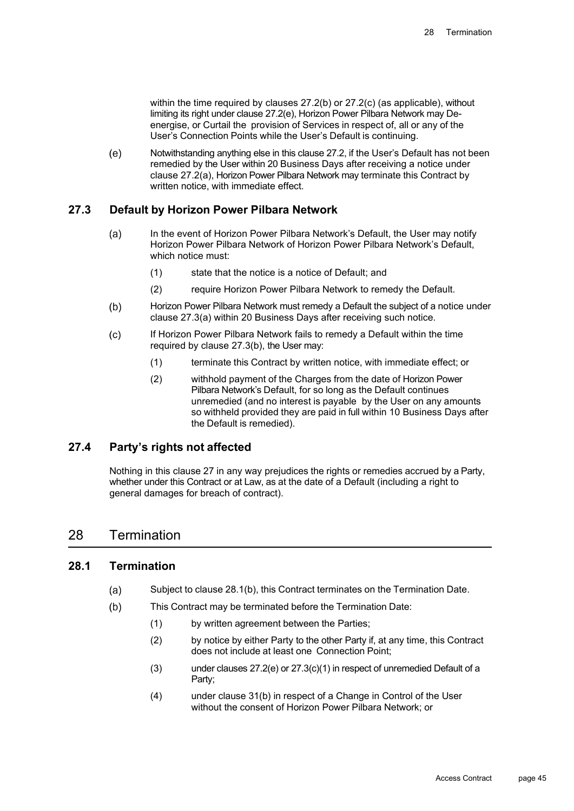within the time required by clauses 27.2(b) or 27.2(c) (as applicable), without limiting its right under clause 27.2(e), Horizon Power Pilbara Network may Deenergise, or Curtail the provision of Services in respect of, all or any of the User's Connection Points while the User's Default is continuing.

Notwithstanding anything else in this clause 27.2, if the User's Default has not been  $(e)$ remedied by the User within 20 Business Days after receiving a notice under clause 27.2(a), Horizon Power Pilbara Network may terminate this Contract by written notice, with immediate effect.

## **27.3 Default by Horizon Power Pilbara Network**

- In the event of Horizon Power Pilbara Network's Default, the User may notify  $(a)$ Horizon Power Pilbara Network of Horizon Power Pilbara Network's Default, which notice must:
	- (1) state that the notice is a notice of Default; and
	- (2) require Horizon Power Pilbara Network to remedy the Default.
- $(b)$ Horizon Power Pilbara Network must remedy a Default the subject of a notice under clause 27.3(a) within 20 Business Days after receiving such notice.
- $(c)$ If Horizon Power Pilbara Network fails to remedy a Default within the time required by clause 27.3(b), the User may:
	- (1) terminate this Contract by written notice, with immediate effect; or
	- (2) withhold payment of the Charges from the date of Horizon Power Pilbara Network's Default, for so long as the Default continues unremedied (and no interest is payable by the User on any amounts so withheld provided they are paid in full within 10 Business Days after the Default is remedied).

## **27.4 Party's rights not affected**

Nothing in this clause 27 in any way prejudices the rights or remedies accrued by a Party, whether under this Contract or at Law, as at the date of a Default (including a right to general damages for breach of contract).

## 28 Termination

### **28.1 Termination**

- Subject to clause 28.1(b), this Contract terminates on the Termination Date.  $(a)$
- $(b)$ This Contract may be terminated before the Termination Date:
	- (1) by written agreement between the Parties;
	- (2) by notice by either Party to the other Party if, at any time, this Contract does not include at least one Connection Point;
	- (3) under clauses 27.2(e) or 27.3(c)(1) in respect of unremedied Default of a Party;
	- (4) under clause 31(b) in respect of a Change in Control of the User without the consent of Horizon Power Pilbara Network; or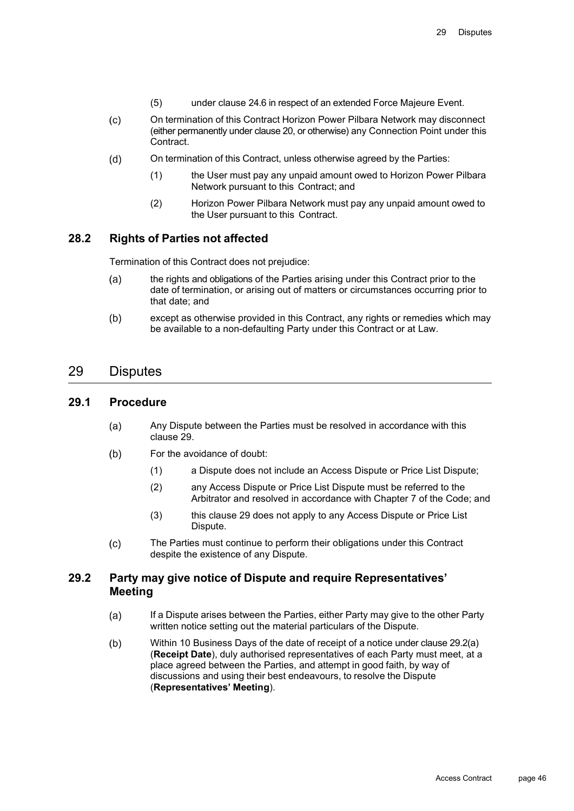- (5) under clause 24.6 in respect of an extended Force Majeure Event.
- $(c)$ On termination of this Contract Horizon Power Pilbara Network may disconnect (either permanently under clause 20, or otherwise) any Connection Point under this Contract.
- On termination of this Contract, unless otherwise agreed by the Parties:  $(d)$ 
	- (1) the User must pay any unpaid amount owed to Horizon Power Pilbara Network pursuant to this Contract; and
	- (2) Horizon Power Pilbara Network must pay any unpaid amount owed to the User pursuant to this Contract.

## **28.2 Rights of Parties not affected**

Termination of this Contract does not prejudice:

- $(a)$ the rights and obligations of the Parties arising under this Contract prior to the date of termination, or arising out of matters or circumstances occurring prior to that date; and
- $(b)$ except as otherwise provided in this Contract, any rights or remedies which may be available to a non-defaulting Party under this Contract or at Law.

## 29 Disputes

### **29.1 Procedure**

- $(a)$ Any Dispute between the Parties must be resolved in accordance with this clause 29.
- For the avoidance of doubt:  $(b)$ 
	- (1) a Dispute does not include an Access Dispute or Price List Dispute;
	- (2) any Access Dispute or Price List Dispute must be referred to the Arbitrator and resolved in accordance with Chapter 7 of the Code; and
	- (3) this clause 29 does not apply to any Access Dispute or Price List Dispute.
- $(c)$ The Parties must continue to perform their obligations under this Contract despite the existence of any Dispute.

## **29.2 Party may give notice of Dispute and require Representatives' Meeting**

- If a Dispute arises between the Parties, either Party may give to the other Party  $(a)$ written notice setting out the material particulars of the Dispute.
- $(b)$ Within 10 Business Days of the date of receipt of a notice under clause 29.2(a) (**Receipt Date**), duly authorised representatives of each Party must meet, at a place agreed between the Parties, and attempt in good faith, by way of discussions and using their best endeavours, to resolve the Dispute (**Representatives' Meeting**).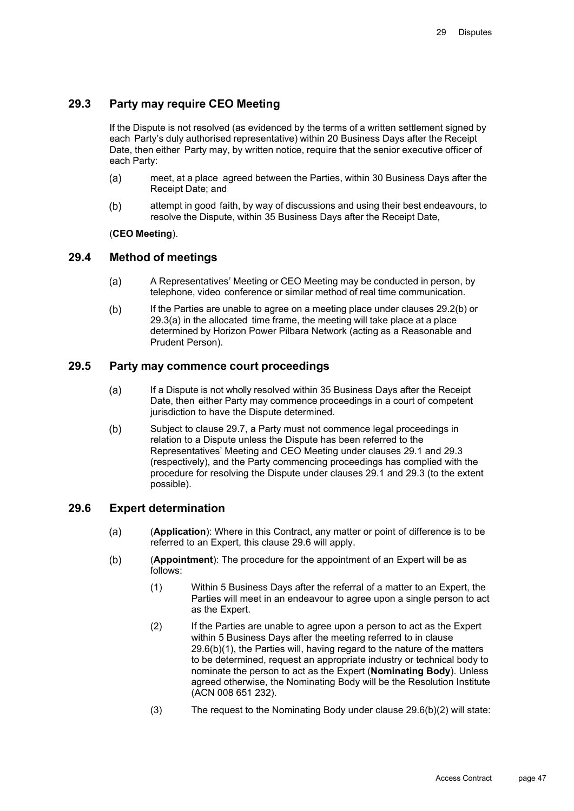## **29.3 Party may require CEO Meeting**

If the Dispute is not resolved (as evidenced by the terms of a written settlement signed by each Party's duly authorised representative) within 20 Business Days after the Receipt Date, then either Party may, by written notice, require that the senior executive officer of each Party:

- meet, at a place agreed between the Parties, within 30 Business Days after the  $(a)$ Receipt Date; and
- attempt in good faith, by way of discussions and using their best endeavours, to  $(b)$ resolve the Dispute, within 35 Business Days after the Receipt Date,

#### (**CEO Meeting**).

#### **29.4 Method of meetings**

- $(a)$ A Representatives' Meeting or CEO Meeting may be conducted in person, by telephone, video conference or similar method of real time communication.
- $(b)$ If the Parties are unable to agree on a meeting place under clauses 29.2(b) or 29.3(a) in the allocated time frame, the meeting will take place at a place determined by Horizon Power Pilbara Network (acting as a Reasonable and Prudent Person).

## **29.5 Party may commence court proceedings**

- If a Dispute is not wholly resolved within 35 Business Days after the Receipt  $(a)$ Date, then either Party may commence proceedings in a court of competent jurisdiction to have the Dispute determined.
- $(b)$ Subject to clause 29.7, a Party must not commence legal proceedings in relation to a Dispute unless the Dispute has been referred to the Representatives' Meeting and CEO Meeting under clauses 29.1 and 29.3 (respectively), and the Party commencing proceedings has complied with the procedure for resolving the Dispute under clauses 29.1 and 29.3 (to the extent possible).

#### **29.6 Expert determination**

- $(a)$ (**Application**): Where in this Contract, any matter or point of difference is to be referred to an Expert, this clause 29.6 will apply.
- $(b)$ (**Appointment**): The procedure for the appointment of an Expert will be as follows:
	- (1) Within 5 Business Days after the referral of a matter to an Expert, the Parties will meet in an endeavour to agree upon a single person to act as the Expert.
	- (2) If the Parties are unable to agree upon a person to act as the Expert within 5 Business Days after the meeting referred to in clause 29.6(b)(1), the Parties will, having regard to the nature of the matters to be determined, request an appropriate industry or technical body to nominate the person to act as the Expert (**Nominating Body**). Unless agreed otherwise, the Nominating Body will be the Resolution Institute (ACN 008 651 232).
	- (3) The request to the Nominating Body under clause 29.6(b)(2) will state: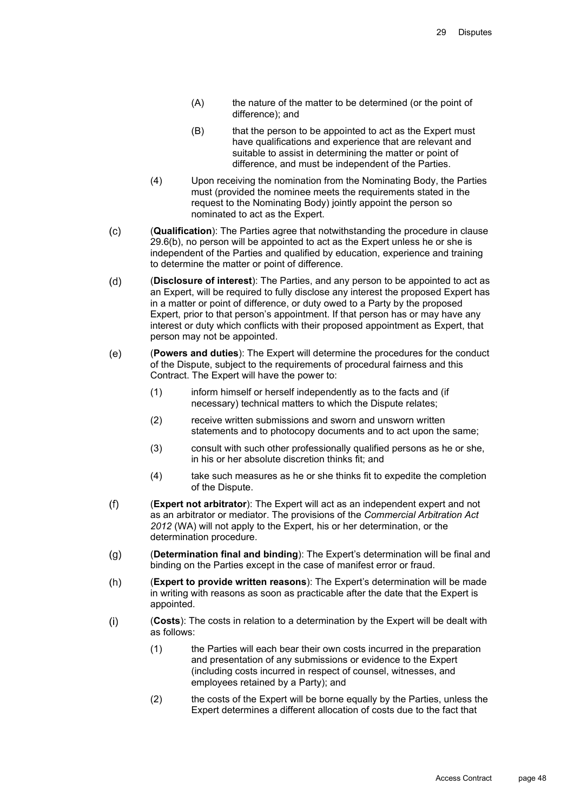- (A) the nature of the matter to be determined (or the point of difference); and
- (B) that the person to be appointed to act as the Expert must have qualifications and experience that are relevant and suitable to assist in determining the matter or point of difference, and must be independent of the Parties.
- (4) Upon receiving the nomination from the Nominating Body, the Parties must (provided the nominee meets the requirements stated in the request to the Nominating Body) jointly appoint the person so nominated to act as the Expert.
- $(c)$ (**Qualification**): The Parties agree that notwithstanding the procedure in clause 29.6(b), no person will be appointed to act as the Expert unless he or she is independent of the Parties and qualified by education, experience and training to determine the matter or point of difference.
- (**Disclosure of interest**): The Parties, and any person to be appointed to act as  $(d)$ an Expert, will be required to fully disclose any interest the proposed Expert has in a matter or point of difference, or duty owed to a Party by the proposed Expert, prior to that person's appointment. If that person has or may have any interest or duty which conflicts with their proposed appointment as Expert, that person may not be appointed.
- $(e)$ (**Powers and duties**): The Expert will determine the procedures for the conduct of the Dispute, subject to the requirements of procedural fairness and this Contract. The Expert will have the power to:
	- (1) inform himself or herself independently as to the facts and (if necessary) technical matters to which the Dispute relates;
	- (2) receive written submissions and sworn and unsworn written statements and to photocopy documents and to act upon the same;
	- (3) consult with such other professionally qualified persons as he or she, in his or her absolute discretion thinks fit; and
	- (4) take such measures as he or she thinks fit to expedite the completion of the Dispute.
- $(f)$ (**Expert not arbitrator**): The Expert will act as an independent expert and not as an arbitrator or mediator. The provisions of the *Commercial Arbitration Act 2012* (WA) will not apply to the Expert, his or her determination, or the determination procedure.
- $(q)$ (**Determination final and binding**): The Expert's determination will be final and binding on the Parties except in the case of manifest error or fraud.
- $(h)$ (**Expert to provide written reasons**): The Expert's determination will be made in writing with reasons as soon as practicable after the date that the Expert is appointed.
- $(i)$ (**Costs**): The costs in relation to a determination by the Expert will be dealt with as follows:
	- (1) the Parties will each bear their own costs incurred in the preparation and presentation of any submissions or evidence to the Expert (including costs incurred in respect of counsel, witnesses, and employees retained by a Party); and
	- (2) the costs of the Expert will be borne equally by the Parties, unless the Expert determines a different allocation of costs due to the fact that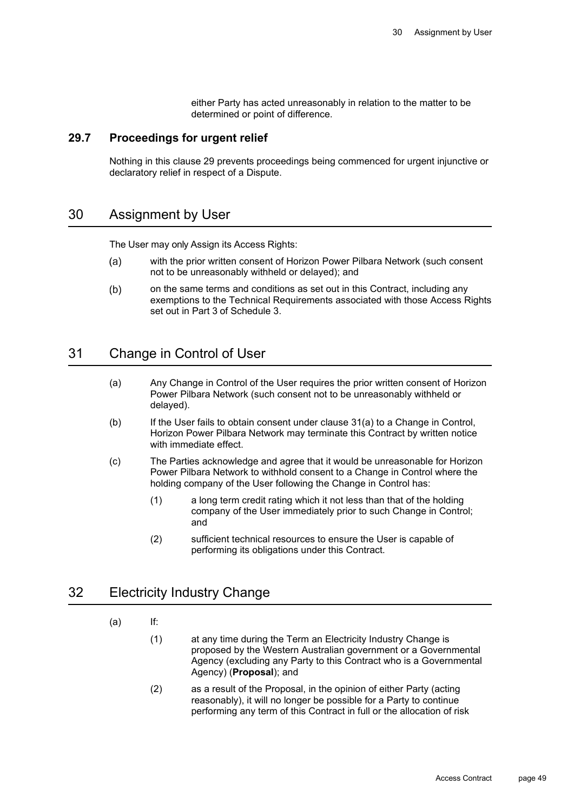either Party has acted unreasonably in relation to the matter to be determined or point of difference.

#### **29.7 Proceedings for urgent relief**

Nothing in this clause 29 prevents proceedings being commenced for urgent injunctive or declaratory relief in respect of a Dispute.

## 30 Assignment by User

The User may only Assign its Access Rights:

- with the prior written consent of Horizon Power Pilbara Network (such consent  $(a)$ not to be unreasonably withheld or delayed); and
- $(b)$ on the same terms and conditions as set out in this Contract, including any exemptions to the Technical Requirements associated with those Access Rights set out in Part 3 of Schedule 3.

## 31 Change in Control of User

- (a) Any Change in Control of the User requires the prior written consent of Horizon Power Pilbara Network (such consent not to be unreasonably withheld or delayed).
- (b) If the User fails to obtain consent under clause 31(a) to a Change in Control, Horizon Power Pilbara Network may terminate this Contract by written notice with immediate effect.
- (c) The Parties acknowledge and agree that it would be unreasonable for Horizon Power Pilbara Network to withhold consent to a Change in Control where the holding company of the User following the Change in Control has:
	- (1) a long term credit rating which it not less than that of the holding company of the User immediately prior to such Change in Control; and
	- (2) sufficient technical resources to ensure the User is capable of performing its obligations under this Contract.

## 32 Electricity Industry Change

## (a) If:

- (1) at any time during the Term an Electricity Industry Change is proposed by the Western Australian government or a Governmental Agency (excluding any Party to this Contract who is a Governmental Agency) (**Proposal**); and
- (2) as a result of the Proposal, in the opinion of either Party (acting reasonably), it will no longer be possible for a Party to continue performing any term of this Contract in full or the allocation of risk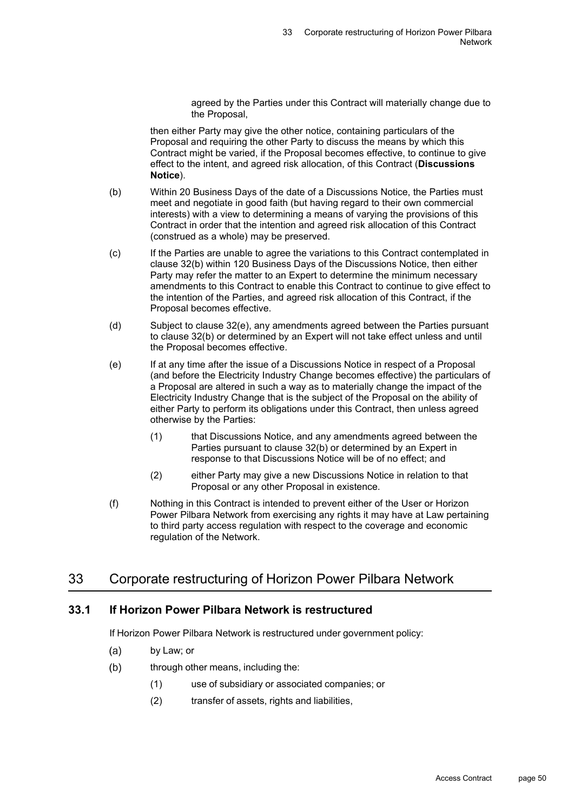agreed by the Parties under this Contract will materially change due to the Proposal,

then either Party may give the other notice, containing particulars of the Proposal and requiring the other Party to discuss the means by which this Contract might be varied, if the Proposal becomes effective, to continue to give effect to the intent, and agreed risk allocation, of this Contract (**Discussions Notice**).

- (b) Within 20 Business Days of the date of a Discussions Notice, the Parties must meet and negotiate in good faith (but having regard to their own commercial interests) with a view to determining a means of varying the provisions of this Contract in order that the intention and agreed risk allocation of this Contract (construed as a whole) may be preserved.
- (c) If the Parties are unable to agree the variations to this Contract contemplated in clause 32(b) within 120 Business Days of the Discussions Notice, then either Party may refer the matter to an Expert to determine the minimum necessary amendments to this Contract to enable this Contract to continue to give effect to the intention of the Parties, and agreed risk allocation of this Contract, if the Proposal becomes effective.
- (d) Subject to clause 32(e), any amendments agreed between the Parties pursuant to clause 32(b) or determined by an Expert will not take effect unless and until the Proposal becomes effective.
- (e) If at any time after the issue of a Discussions Notice in respect of a Proposal (and before the Electricity Industry Change becomes effective) the particulars of a Proposal are altered in such a way as to materially change the impact of the Electricity Industry Change that is the subject of the Proposal on the ability of either Party to perform its obligations under this Contract, then unless agreed otherwise by the Parties:
	- (1) that Discussions Notice, and any amendments agreed between the Parties pursuant to clause 32(b) or determined by an Expert in response to that Discussions Notice will be of no effect; and
	- (2) either Party may give a new Discussions Notice in relation to that Proposal or any other Proposal in existence.
- (f) Nothing in this Contract is intended to prevent either of the User or Horizon Power Pilbara Network from exercising any rights it may have at Law pertaining to third party access regulation with respect to the coverage and economic regulation of the Network.

## 33 Corporate restructuring of Horizon Power Pilbara Network

## **33.1 If Horizon Power Pilbara Network is restructured**

If Horizon Power Pilbara Network is restructured under government policy:

- $(a)$ by Law; or
- $(b)$ through other means, including the:
	- (1) use of subsidiary or associated companies; or
	- (2) transfer of assets, rights and liabilities,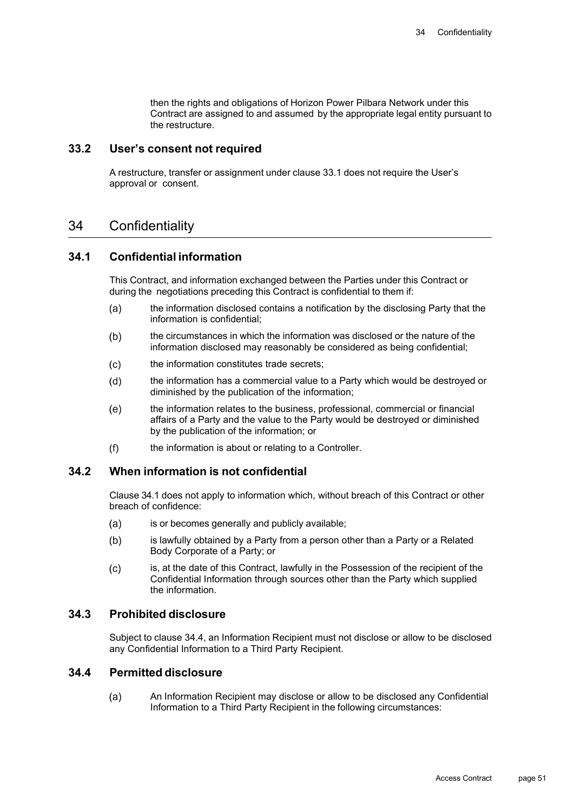then the rights and obligations of Horizon Power Pilbara Network under this Contract are assigned to and assumed by the appropriate legal entity pursuant to the restructure.

## **33.2 User's consent not required**

A restructure, transfer or assignment under clause 33.1 does not require the User's approval or consent.

## 34 Confidentiality

## **34.1 Confidential information**

This Contract, and information exchanged between the Parties under this Contract or during the negotiations preceding this Contract is confidential to them if:

- the information disclosed contains a notification by the disclosing Party that the  $(a)$ information is confidential;
- $(b)$ the circumstances in which the information was disclosed or the nature of the information disclosed may reasonably be considered as being confidential;
- the information constitutes trade secrets;  $(c)$
- $(d)$ the information has a commercial value to a Party which would be destroyed or diminished by the publication of the information;
- $(e)$ the information relates to the business, professional, commercial or financial affairs of a Party and the value to the Party would be destroyed or diminished by the publication of the information; or
- $(f)$ the information is about or relating to a Controller.

## **34.2 When information is not confidential**

Clause 34.1 does not apply to information which, without breach of this Contract or other breach of confidence:

- is or becomes generally and publicly available;  $(a)$
- $(b)$ is lawfully obtained by a Party from a person other than a Party or a Related Body Corporate of a Party; or
- is, at the date of this Contract, lawfully in the Possession of the recipient of the  $(c)$ Confidential Information through sources other than the Party which supplied the information.

#### **34.3 Prohibited disclosure**

Subject to clause 34.4, an Information Recipient must not disclose or allow to be disclosed any Confidential Information to a Third Party Recipient.

## **34.4 Permitted disclosure**

An Information Recipient may disclose or allow to be disclosed any Confidential  $(a)$ Information to a Third Party Recipient in the following circumstances: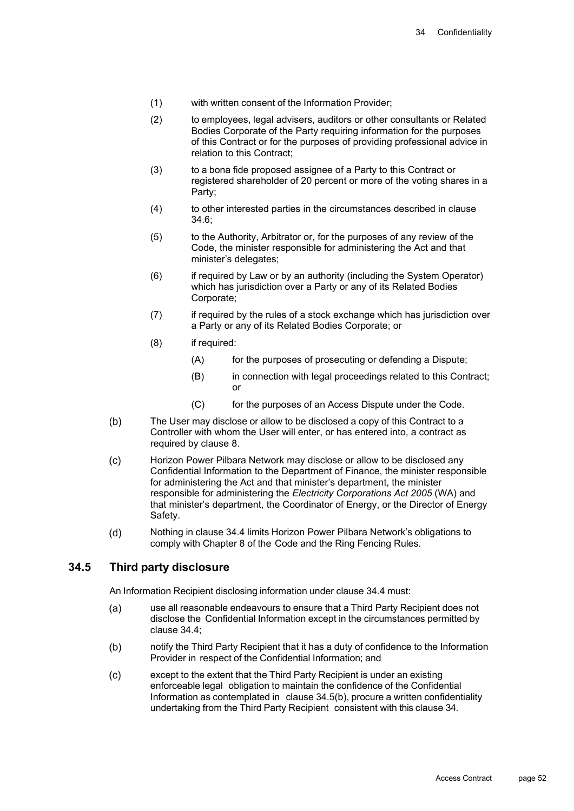- (1) with written consent of the Information Provider;
- (2) to employees, legal advisers, auditors or other consultants or Related Bodies Corporate of the Party requiring information for the purposes of this Contract or for the purposes of providing professional advice in relation to this Contract;
- (3) to a bona fide proposed assignee of a Party to this Contract or registered shareholder of 20 percent or more of the voting shares in a Party;
- (4) to other interested parties in the circumstances described in clause  $34.6<sup>1</sup>$
- (5) to the Authority, Arbitrator or, for the purposes of any review of the Code, the minister responsible for administering the Act and that minister's delegates;
- (6) if required by Law or by an authority (including the System Operator) which has jurisdiction over a Party or any of its Related Bodies Corporate;
- (7) if required by the rules of a stock exchange which has jurisdiction over a Party or any of its Related Bodies Corporate; or
- (8) if required:
	- (A) for the purposes of prosecuting or defending a Dispute;
	- (B) in connection with legal proceedings related to this Contract; or
	- (C) for the purposes of an Access Dispute under the Code.
- $(b)$ The User may disclose or allow to be disclosed a copy of this Contract to a Controller with whom the User will enter, or has entered into, a contract as required by clause 8.
- Horizon Power Pilbara Network may disclose or allow to be disclosed any  $(c)$ Confidential Information to the Department of Finance, the minister responsible for administering the Act and that minister's department, the minister responsible for administering the *Electricity Corporations Act 2005* (WA) and that minister's department, the Coordinator of Energy, or the Director of Energy Safety.
- $(d)$ Nothing in clause 34.4 limits Horizon Power Pilbara Network's obligations to comply with Chapter 8 of the Code and the Ring Fencing Rules.

## **34.5 Third party disclosure**

An Information Recipient disclosing information under clause 34.4 must:

- use all reasonable endeavours to ensure that a Third Party Recipient does not  $(a)$ disclose the Confidential Information except in the circumstances permitted by clause 34.4;
- $(b)$ notify the Third Party Recipient that it has a duty of confidence to the Information Provider in respect of the Confidential Information; and
- except to the extent that the Third Party Recipient is under an existing  $(c)$ enforceable legal obligation to maintain the confidence of the Confidential Information as contemplated in clause 34.5(b), procure a written confidentiality undertaking from the Third Party Recipient consistent with this clause 34.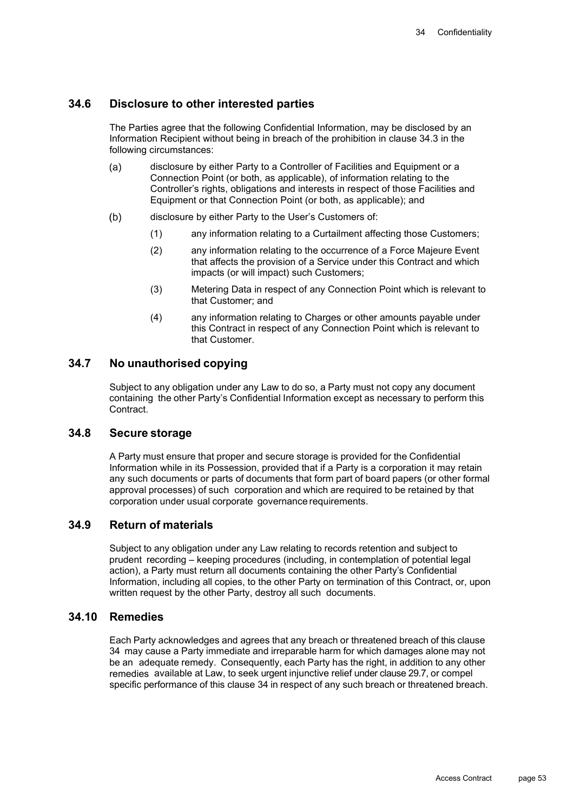## **34.6 Disclosure to other interested parties**

The Parties agree that the following Confidential Information, may be disclosed by an Information Recipient without being in breach of the prohibition in clause 34.3 in the following circumstances:

- $(a)$ disclosure by either Party to a Controller of Facilities and Equipment or a Connection Point (or both, as applicable), of information relating to the Controller's rights, obligations and interests in respect of those Facilities and Equipment or that Connection Point (or both, as applicable); and
- disclosure by either Party to the User's Customers of:  $(b)$ 
	- (1) any information relating to a Curtailment affecting those Customers;
	- (2) any information relating to the occurrence of a Force Majeure Event that affects the provision of a Service under this Contract and which impacts (or will impact) such Customers;
	- (3) Metering Data in respect of any Connection Point which is relevant to that Customer; and
	- (4) any information relating to Charges or other amounts payable under this Contract in respect of any Connection Point which is relevant to that Customer.

## **34.7 No unauthorised copying**

Subject to any obligation under any Law to do so, a Party must not copy any document containing the other Party's Confidential Information except as necessary to perform this Contract<sup>1</sup>

#### **34.8 Secure storage**

A Party must ensure that proper and secure storage is provided for the Confidential Information while in its Possession, provided that if a Party is a corporation it may retain any such documents or parts of documents that form part of board papers (or other formal approval processes) of such corporation and which are required to be retained by that corporation under usual corporate governance requirements.

## **34.9 Return of materials**

Subject to any obligation under any Law relating to records retention and subject to prudent recording – keeping procedures (including, in contemplation of potential legal action), a Party must return all documents containing the other Party's Confidential Information, including all copies, to the other Party on termination of this Contract, or, upon written request by the other Party, destroy all such documents.

#### **34.10 Remedies**

Each Party acknowledges and agrees that any breach or threatened breach of this clause 34 may cause a Party immediate and irreparable harm for which damages alone may not be an adequate remedy. Consequently, each Party has the right, in addition to any other remedies available at Law, to seek urgent injunctive relief under clause 29.7, or compel specific performance of this clause 34 in respect of any such breach or threatened breach.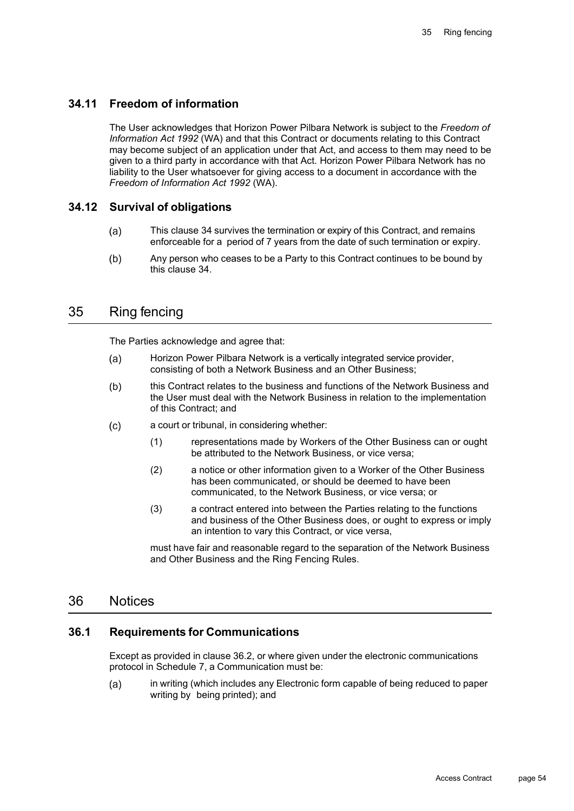## **34.11 Freedom of information**

The User acknowledges that Horizon Power Pilbara Network is subject to the *Freedom of Information Act 1992* (WA) and that this Contract or documents relating to this Contract may become subject of an application under that Act, and access to them may need to be given to a third party in accordance with that Act. Horizon Power Pilbara Network has no liability to the User whatsoever for giving access to a document in accordance with the *Freedom of Information Act 1992* (WA).

## **34.12 Survival of obligations**

- $(a)$ This clause 34 survives the termination or expiry of this Contract, and remains enforceable for a period of 7 years from the date of such termination or expiry.
- $(b)$ Any person who ceases to be a Party to this Contract continues to be bound by this clause 34.

## 35 Ring fencing

The Parties acknowledge and agree that:

- Horizon Power Pilbara Network is a vertically integrated service provider,  $(a)$ consisting of both a Network Business and an Other Business;
- this Contract relates to the business and functions of the Network Business and  $(b)$ the User must deal with the Network Business in relation to the implementation of this Contract; and
- $(c)$ a court or tribunal, in considering whether:
	- (1) representations made by Workers of the Other Business can or ought be attributed to the Network Business, or vice versa;
	- (2) a notice or other information given to a Worker of the Other Business has been communicated, or should be deemed to have been communicated, to the Network Business, or vice versa; or
	- (3) a contract entered into between the Parties relating to the functions and business of the Other Business does, or ought to express or imply an intention to vary this Contract, or vice versa,

must have fair and reasonable regard to the separation of the Network Business and Other Business and the Ring Fencing Rules.

## 36 Notices

## **36.1 Requirements for Communications**

Except as provided in clause 36.2, or where given under the electronic communications protocol in Schedule 7, a Communication must be:

in writing (which includes any Electronic form capable of being reduced to paper  $(a)$ writing by being printed); and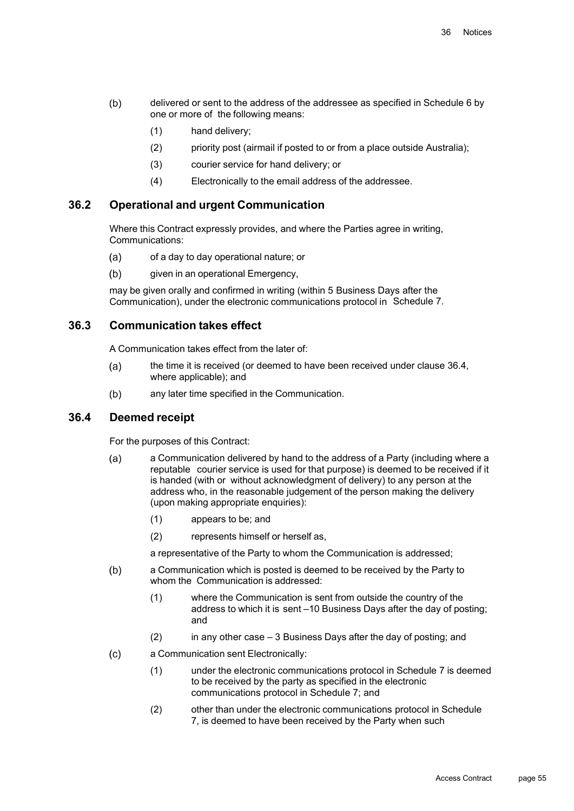- $(b)$ delivered or sent to the address of the addressee as specified in Schedule 6 by one or more of the following means:
	- (1) hand delivery;
	- (2) priority post (airmail if posted to or from a place outside Australia);
	- (3) courier service for hand delivery; or
	- (4) Electronically to the email address of the addressee.

## **36.2 Operational and urgent Communication**

Where this Contract expressly provides, and where the Parties agree in writing, Communications:

- $(a)$ of a day to day operational nature; or
- $(b)$ given in an operational Emergency,

may be given orally and confirmed in writing (within 5 Business Days after the Communication), under the electronic communications protocol in Schedule 7.

#### **36.3 Communication takes effect**

A Communication takes effect from the later of:

- the time it is received (or deemed to have been received under clause 36.4,  $(a)$ where applicable); and
- $(b)$ any later time specified in the Communication.

#### **36.4 Deemed receipt**

For the purposes of this Contract:

- a Communication delivered by hand to the address of a Party (including where a  $(a)$ reputable courier service is used for that purpose) is deemed to be received if it is handed (with or without acknowledgment of delivery) to any person at the address who, in the reasonable judgement of the person making the delivery (upon making appropriate enquiries):
	- (1) appears to be; and
	- (2) represents himself or herself as,

a representative of the Party to whom the Communication is addressed;

- a Communication which is posted is deemed to be received by the Party to  $(b)$ whom the Communication is addressed:
	- (1) where the Communication is sent from outside the country of the address to which it is sent –10 Business Days after the day of posting; and
	- (2) in any other case 3 Business Days after the day of posting; and
- $(c)$ a Communication sent Electronically:
	- (1) under the electronic communications protocol in Schedule 7 is deemed to be received by the party as specified in the electronic communications protocol in Schedule 7; and
	- (2) other than under the electronic communications protocol in Schedule 7, is deemed to have been received by the Party when such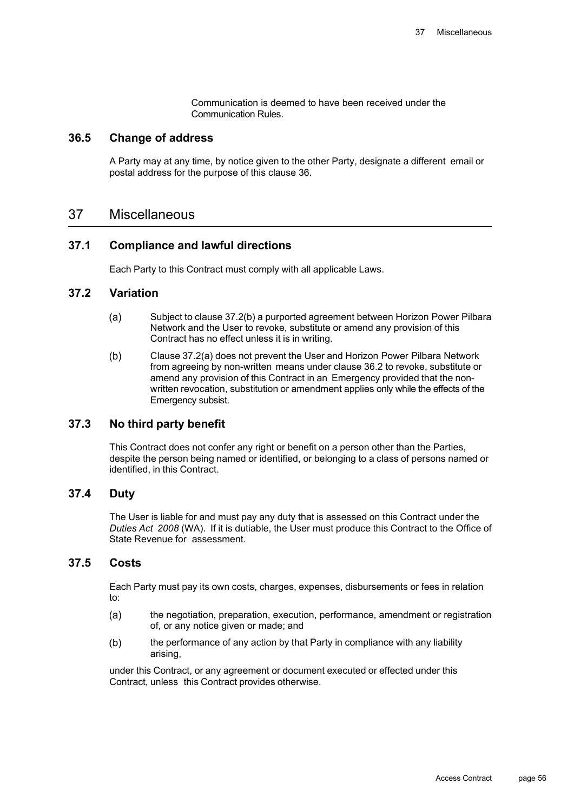Communication is deemed to have been received under the Communication Rules.

#### **36.5 Change of address**

A Party may at any time, by notice given to the other Party, designate a different email or postal address for the purpose of this clause 36.

## 37 Miscellaneous

#### **37.1 Compliance and lawful directions**

Each Party to this Contract must comply with all applicable Laws.

#### **37.2 Variation**

- $(a)$ Subject to clause 37.2(b) a purported agreement between Horizon Power Pilbara Network and the User to revoke, substitute or amend any provision of this Contract has no effect unless it is in writing.
- $(b)$ Clause 37.2(a) does not prevent the User and Horizon Power Pilbara Network from agreeing by non-written means under clause 36.2 to revoke, substitute or amend any provision of this Contract in an Emergency provided that the nonwritten revocation, substitution or amendment applies only while the effects of the Emergency subsist.

## **37.3 No third party benefit**

This Contract does not confer any right or benefit on a person other than the Parties, despite the person being named or identified, or belonging to a class of persons named or identified, in this Contract.

## **37.4 Duty**

The User is liable for and must pay any duty that is assessed on this Contract under the *Duties Act 2008* (WA). If it is dutiable, the User must produce this Contract to the Office of State Revenue for assessment.

#### **37.5 Costs**

Each Party must pay its own costs, charges, expenses, disbursements or fees in relation to:

- $(a)$ the negotiation, preparation, execution, performance, amendment or registration of, or any notice given or made; and
- the performance of any action by that Party in compliance with any liability  $(b)$ arising,

under this Contract, or any agreement or document executed or effected under this Contract, unless this Contract provides otherwise.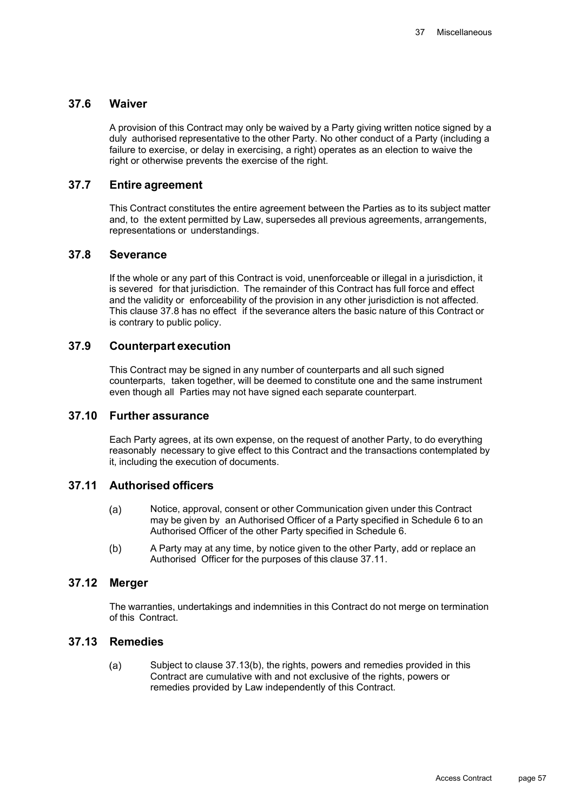## **37.6 Waiver**

A provision of this Contract may only be waived by a Party giving written notice signed by a duly authorised representative to the other Party. No other conduct of a Party (including a failure to exercise, or delay in exercising, a right) operates as an election to waive the right or otherwise prevents the exercise of the right.

## **37.7 Entire agreement**

This Contract constitutes the entire agreement between the Parties as to its subject matter and, to the extent permitted by Law, supersedes all previous agreements, arrangements, representations or understandings.

#### **37.8 Severance**

If the whole or any part of this Contract is void, unenforceable or illegal in a jurisdiction, it is severed for that jurisdiction. The remainder of this Contract has full force and effect and the validity or enforceability of the provision in any other jurisdiction is not affected. This clause 37.8 has no effect if the severance alters the basic nature of this Contract or is contrary to public policy.

## **37.9 Counterpart execution**

This Contract may be signed in any number of counterparts and all such signed counterparts, taken together, will be deemed to constitute one and the same instrument even though all Parties may not have signed each separate counterpart.

## **37.10 Further assurance**

Each Party agrees, at its own expense, on the request of another Party, to do everything reasonably necessary to give effect to this Contract and the transactions contemplated by it, including the execution of documents.

## **37.11 Authorised officers**

- $(a)$ Notice, approval, consent or other Communication given under this Contract may be given by an Authorised Officer of a Party specified in Schedule 6 to an Authorised Officer of the other Party specified in Schedule 6.
- A Party may at any time, by notice given to the other Party, add or replace an  $(b)$ Authorised Officer for the purposes of this clause 37.11.

## **37.12 Merger**

The warranties, undertakings and indemnities in this Contract do not merge on termination of this Contract.

## **37.13 Remedies**

Subject to clause 37.13(b), the rights, powers and remedies provided in this  $(a)$ Contract are cumulative with and not exclusive of the rights, powers or remedies provided by Law independently of this Contract.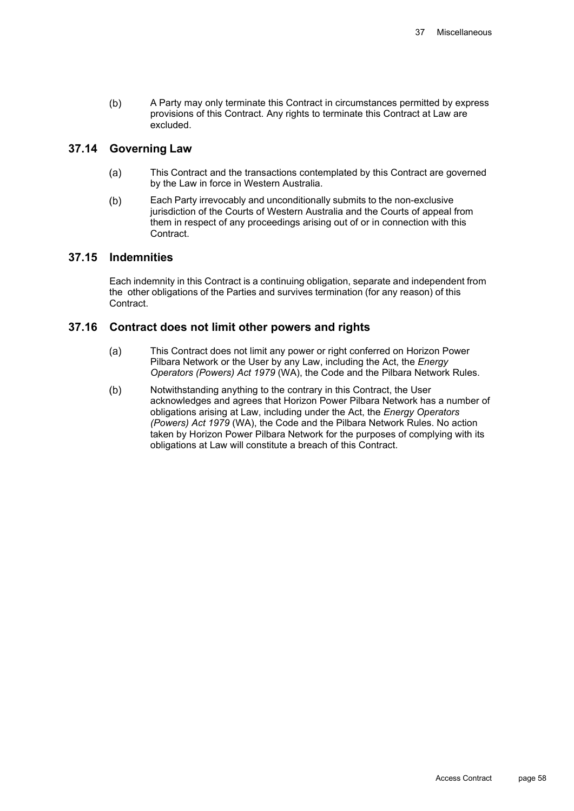$(b)$ A Party may only terminate this Contract in circumstances permitted by express provisions of this Contract. Any rights to terminate this Contract at Law are excluded.

#### **37.14 Governing Law**

- $(a)$ This Contract and the transactions contemplated by this Contract are governed by the Law in force in Western Australia.
- Each Party irrevocably and unconditionally submits to the non-exclusive  $(b)$ jurisdiction of the Courts of Western Australia and the Courts of appeal from them in respect of any proceedings arising out of or in connection with this **Contract**

#### **37.15 Indemnities**

Each indemnity in this Contract is a continuing obligation, separate and independent from the other obligations of the Parties and survives termination (for any reason) of this Contract.

#### **37.16 Contract does not limit other powers and rights**

- This Contract does not limit any power or right conferred on Horizon Power  $(a)$ Pilbara Network or the User by any Law, including the Act, the *Energy Operators (Powers) Act 1979* (WA), the Code and the Pilbara Network Rules.
- Notwithstanding anything to the contrary in this Contract, the User  $(b)$ acknowledges and agrees that Horizon Power Pilbara Network has a number of obligations arising at Law, including under the Act, the *Energy Operators (Powers) Act 1979* (WA), the Code and the Pilbara Network Rules. No action taken by Horizon Power Pilbara Network for the purposes of complying with its obligations at Law will constitute a breach of this Contract.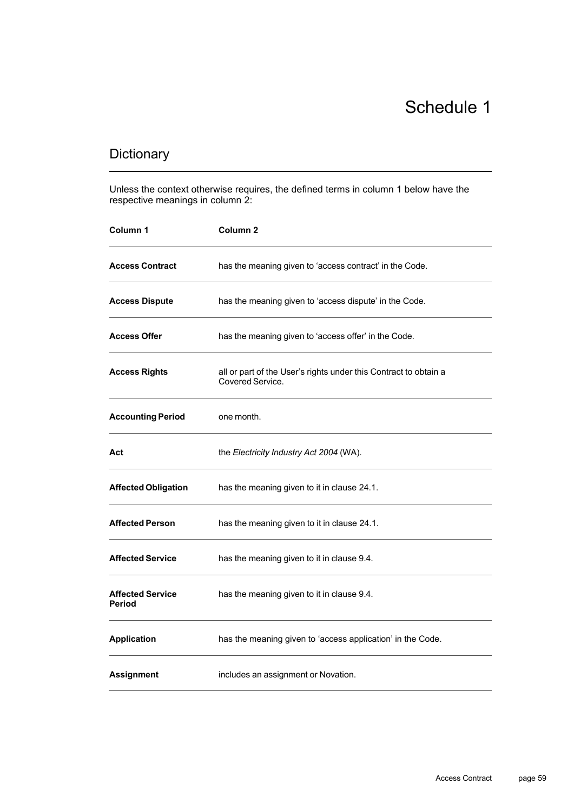# Schedule 1

## Dictionary

Unless the context otherwise requires, the defined terms in column 1 below have the respective meanings in column 2:

| Column 1                                 | Column <sub>2</sub>                                                                  |
|------------------------------------------|--------------------------------------------------------------------------------------|
| <b>Access Contract</b>                   | has the meaning given to 'access contract' in the Code.                              |
| <b>Access Dispute</b>                    | has the meaning given to 'access dispute' in the Code.                               |
| <b>Access Offer</b>                      | has the meaning given to 'access offer' in the Code.                                 |
| <b>Access Rights</b>                     | all or part of the User's rights under this Contract to obtain a<br>Covered Service. |
| <b>Accounting Period</b>                 | one month.                                                                           |
| Act                                      | the Electricity Industry Act 2004 (WA).                                              |
| <b>Affected Obligation</b>               | has the meaning given to it in clause 24.1.                                          |
| <b>Affected Person</b>                   | has the meaning given to it in clause 24.1.                                          |
| <b>Affected Service</b>                  | has the meaning given to it in clause 9.4.                                           |
| <b>Affected Service</b><br><b>Period</b> | has the meaning given to it in clause 9.4.                                           |
| <b>Application</b>                       | has the meaning given to 'access application' in the Code.                           |
| <b>Assignment</b>                        | includes an assignment or Novation.                                                  |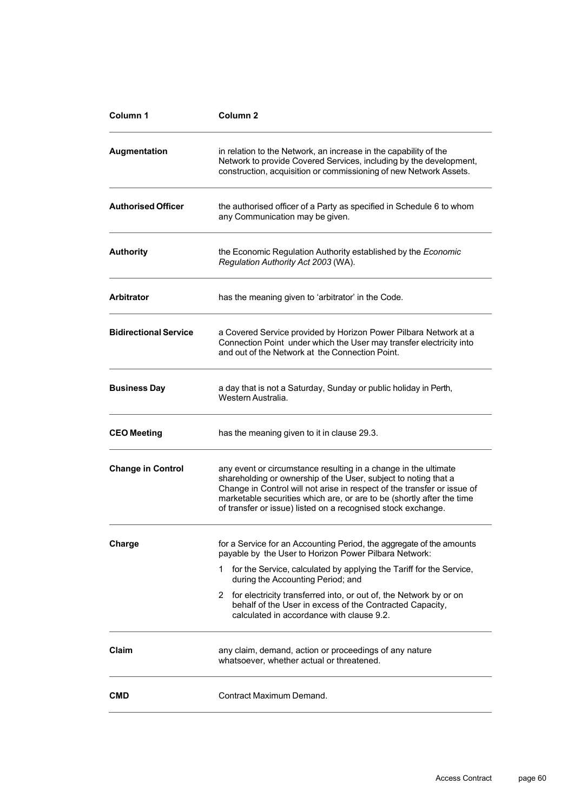| Column 1                     | Column <sub>2</sub>                                                                                                                                                                                                                                                                                                                                    |
|------------------------------|--------------------------------------------------------------------------------------------------------------------------------------------------------------------------------------------------------------------------------------------------------------------------------------------------------------------------------------------------------|
| Augmentation                 | in relation to the Network, an increase in the capability of the<br>Network to provide Covered Services, including by the development,<br>construction, acquisition or commissioning of new Network Assets.                                                                                                                                            |
| <b>Authorised Officer</b>    | the authorised officer of a Party as specified in Schedule 6 to whom<br>any Communication may be given.                                                                                                                                                                                                                                                |
| <b>Authority</b>             | the Economic Regulation Authority established by the Economic<br>Regulation Authority Act 2003 (WA).                                                                                                                                                                                                                                                   |
| <b>Arbitrator</b>            | has the meaning given to 'arbitrator' in the Code.                                                                                                                                                                                                                                                                                                     |
| <b>Bidirectional Service</b> | a Covered Service provided by Horizon Power Pilbara Network at a<br>Connection Point under which the User may transfer electricity into<br>and out of the Network at the Connection Point.                                                                                                                                                             |
| <b>Business Day</b>          | a day that is not a Saturday, Sunday or public holiday in Perth,<br>Western Australia.                                                                                                                                                                                                                                                                 |
| <b>CEO Meeting</b>           | has the meaning given to it in clause 29.3.                                                                                                                                                                                                                                                                                                            |
| <b>Change in Control</b>     | any event or circumstance resulting in a change in the ultimate<br>shareholding or ownership of the User, subject to noting that a<br>Change in Control will not arise in respect of the transfer or issue of<br>marketable securities which are, or are to be (shortly after the time<br>of transfer or issue) listed on a recognised stock exchange. |
| Charge                       | for a Service for an Accounting Period, the aggregate of the amounts<br>payable by the User to Horizon Power Pilbara Network:                                                                                                                                                                                                                          |
|                              | for the Service, calculated by applying the Tariff for the Service,<br>1.<br>during the Accounting Period; and                                                                                                                                                                                                                                         |
|                              | for electricity transferred into, or out of, the Network by or on<br>2<br>behalf of the User in excess of the Contracted Capacity,<br>calculated in accordance with clause 9.2.                                                                                                                                                                        |
| Claim                        | any claim, demand, action or proceedings of any nature<br>whatsoever, whether actual or threatened.                                                                                                                                                                                                                                                    |
| <b>CMD</b>                   | Contract Maximum Demand.                                                                                                                                                                                                                                                                                                                               |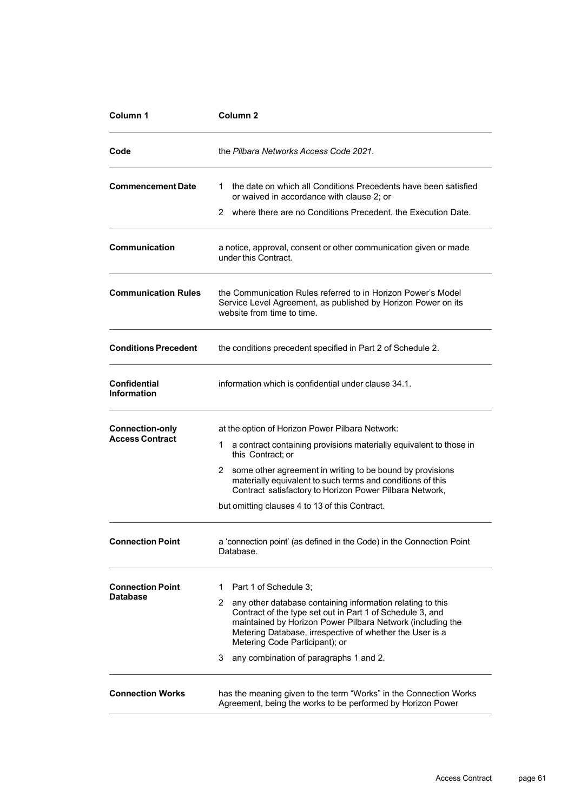| Column <sub>1</sub>                | Column <sub>2</sub>                                                                                                                                                                                                                                                                      |
|------------------------------------|------------------------------------------------------------------------------------------------------------------------------------------------------------------------------------------------------------------------------------------------------------------------------------------|
| Code                               | the Pilbara Networks Access Code 2021.                                                                                                                                                                                                                                                   |
| <b>Commencement Date</b>           | the date on which all Conditions Precedents have been satisfied<br>1.<br>or waived in accordance with clause 2; or                                                                                                                                                                       |
|                                    | 2 where there are no Conditions Precedent, the Execution Date.                                                                                                                                                                                                                           |
| <b>Communication</b>               | a notice, approval, consent or other communication given or made<br>under this Contract.                                                                                                                                                                                                 |
| <b>Communication Rules</b>         | the Communication Rules referred to in Horizon Power's Model<br>Service Level Agreement, as published by Horizon Power on its<br>website from time to time.                                                                                                                              |
| <b>Conditions Precedent</b>        | the conditions precedent specified in Part 2 of Schedule 2.                                                                                                                                                                                                                              |
| Confidential<br><b>Information</b> | information which is confidential under clause 34.1.                                                                                                                                                                                                                                     |
| <b>Connection-only</b>             | at the option of Horizon Power Pilbara Network:                                                                                                                                                                                                                                          |
| <b>Access Contract</b>             | a contract containing provisions materially equivalent to those in<br>1.<br>this Contract; or                                                                                                                                                                                            |
|                                    | some other agreement in writing to be bound by provisions<br>2.<br>materially equivalent to such terms and conditions of this<br>Contract satisfactory to Horizon Power Pilbara Network,                                                                                                 |
|                                    | but omitting clauses 4 to 13 of this Contract.                                                                                                                                                                                                                                           |
| <b>Connection Point</b>            | a 'connection point' (as defined in the Code) in the Connection Point<br>Database.                                                                                                                                                                                                       |
| <b>Connection Point</b>            | Part 1 of Schedule 3;<br>1.                                                                                                                                                                                                                                                              |
| <b>Database</b>                    | 2<br>any other database containing information relating to this<br>Contract of the type set out in Part 1 of Schedule 3, and<br>maintained by Horizon Power Pilbara Network (including the<br>Metering Database, irrespective of whether the User is a<br>Metering Code Participant); or |
|                                    | any combination of paragraphs 1 and 2.<br>3                                                                                                                                                                                                                                              |
| <b>Connection Works</b>            | has the meaning given to the term "Works" in the Connection Works<br>Agreement, being the works to be performed by Horizon Power                                                                                                                                                         |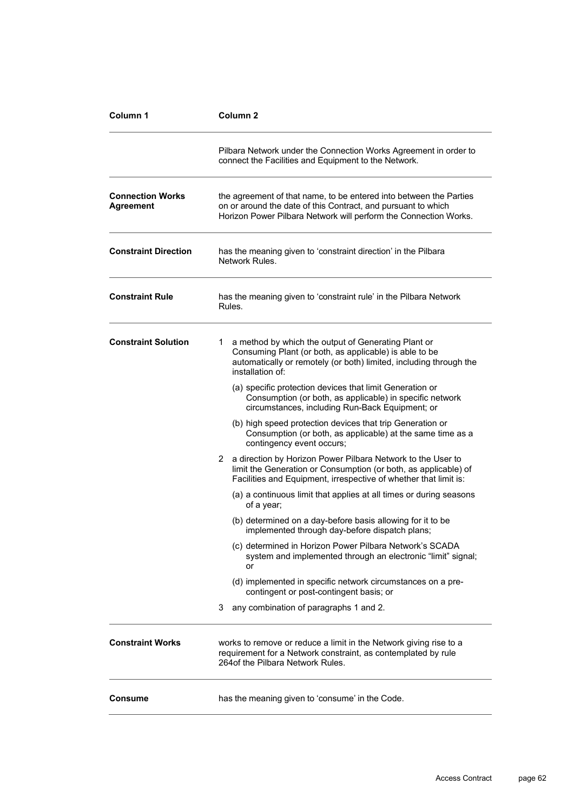| Column 1                                    | Column <sub>2</sub>                                                                                                                                                                                           |
|---------------------------------------------|---------------------------------------------------------------------------------------------------------------------------------------------------------------------------------------------------------------|
|                                             | Pilbara Network under the Connection Works Agreement in order to<br>connect the Facilities and Equipment to the Network.                                                                                      |
| <b>Connection Works</b><br><b>Agreement</b> | the agreement of that name, to be entered into between the Parties<br>on or around the date of this Contract, and pursuant to which<br>Horizon Power Pilbara Network will perform the Connection Works.       |
| <b>Constraint Direction</b>                 | has the meaning given to 'constraint direction' in the Pilbara<br>Network Rules.                                                                                                                              |
| <b>Constraint Rule</b>                      | has the meaning given to 'constraint rule' in the Pilbara Network<br>Rules.                                                                                                                                   |
| <b>Constraint Solution</b>                  | a method by which the output of Generating Plant or<br>1.<br>Consuming Plant (or both, as applicable) is able to be<br>automatically or remotely (or both) limited, including through the<br>installation of: |
|                                             | (a) specific protection devices that limit Generation or<br>Consumption (or both, as applicable) in specific network<br>circumstances, including Run-Back Equipment; or                                       |
|                                             | (b) high speed protection devices that trip Generation or<br>Consumption (or both, as applicable) at the same time as a<br>contingency event occurs;                                                          |
|                                             | a direction by Horizon Power Pilbara Network to the User to<br>2.<br>limit the Generation or Consumption (or both, as applicable) of<br>Facilities and Equipment, irrespective of whether that limit is:      |
|                                             | (a) a continuous limit that applies at all times or during seasons<br>of a year;                                                                                                                              |
|                                             | (b) determined on a day-before basis allowing for it to be<br>implemented through day-before dispatch plans;                                                                                                  |
|                                             | (c) determined in Horizon Power Pilbara Network's SCADA<br>system and implemented through an electronic "limit" signal;<br>or                                                                                 |
|                                             | (d) implemented in specific network circumstances on a pre-<br>contingent or post-contingent basis; or                                                                                                        |
|                                             | any combination of paragraphs 1 and 2.<br>3                                                                                                                                                                   |
| <b>Constraint Works</b>                     | works to remove or reduce a limit in the Network giving rise to a<br>requirement for a Network constraint, as contemplated by rule<br>264 of the Pilbara Network Rules.                                       |
| Consume                                     | has the meaning given to 'consume' in the Code.                                                                                                                                                               |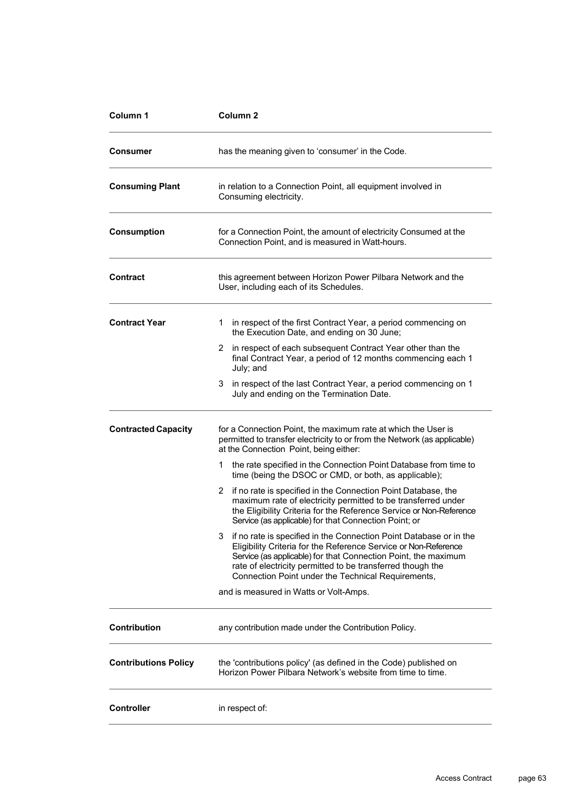| Column 1                    | Column <sub>2</sub>                                                                                                                                                                                                                                                                                                              |
|-----------------------------|----------------------------------------------------------------------------------------------------------------------------------------------------------------------------------------------------------------------------------------------------------------------------------------------------------------------------------|
| Consumer                    | has the meaning given to 'consumer' in the Code.                                                                                                                                                                                                                                                                                 |
| <b>Consuming Plant</b>      | in relation to a Connection Point, all equipment involved in<br>Consuming electricity.                                                                                                                                                                                                                                           |
| <b>Consumption</b>          | for a Connection Point, the amount of electricity Consumed at the<br>Connection Point, and is measured in Watt-hours.                                                                                                                                                                                                            |
| <b>Contract</b>             | this agreement between Horizon Power Pilbara Network and the<br>User, including each of its Schedules.                                                                                                                                                                                                                           |
| <b>Contract Year</b>        | in respect of the first Contract Year, a period commencing on<br>1<br>the Execution Date, and ending on 30 June;                                                                                                                                                                                                                 |
|                             | 2 in respect of each subsequent Contract Year other than the<br>final Contract Year, a period of 12 months commencing each 1<br>July; and                                                                                                                                                                                        |
|                             | in respect of the last Contract Year, a period commencing on 1<br>3.<br>July and ending on the Termination Date.                                                                                                                                                                                                                 |
| <b>Contracted Capacity</b>  | for a Connection Point, the maximum rate at which the User is<br>permitted to transfer electricity to or from the Network (as applicable)<br>at the Connection Point, being either:                                                                                                                                              |
|                             | the rate specified in the Connection Point Database from time to<br>1.<br>time (being the DSOC or CMD, or both, as applicable);                                                                                                                                                                                                  |
|                             | if no rate is specified in the Connection Point Database, the<br>2<br>maximum rate of electricity permitted to be transferred under<br>the Eligibility Criteria for the Reference Service or Non-Reference<br>Service (as applicable) for that Connection Point; or                                                              |
|                             | if no rate is specified in the Connection Point Database or in the<br>3<br>Eligibility Criteria for the Reference Service or Non-Reference<br>Service (as applicable) for that Connection Point, the maximum<br>rate of electricity permitted to be transferred though the<br>Connection Point under the Technical Requirements, |
|                             | and is measured in Watts or Volt-Amps.                                                                                                                                                                                                                                                                                           |
| Contribution                | any contribution made under the Contribution Policy.                                                                                                                                                                                                                                                                             |
| <b>Contributions Policy</b> | the 'contributions policy' (as defined in the Code) published on<br>Horizon Power Pilbara Network's website from time to time.                                                                                                                                                                                                   |
| <b>Controller</b>           | in respect of:                                                                                                                                                                                                                                                                                                                   |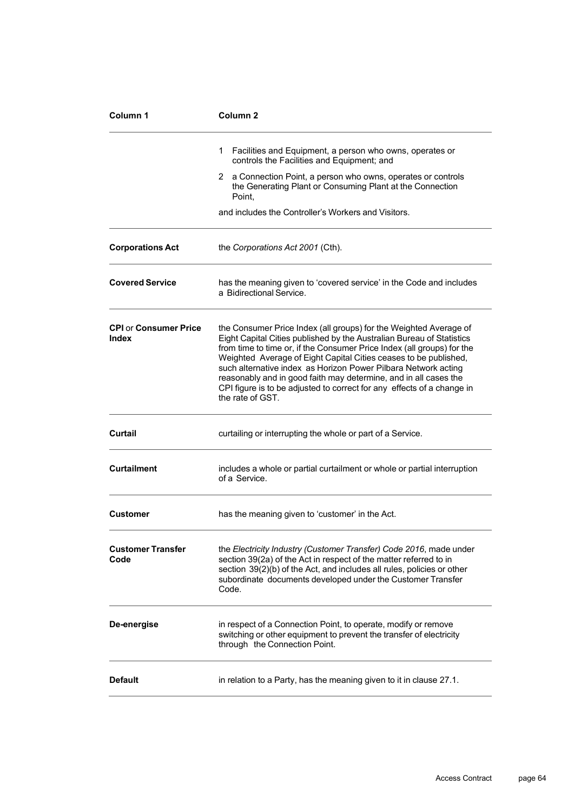| Column 1                              | Column <sub>2</sub>                                                                                                                                                                                                                                                                                                                                                                                                                                                                                                          |
|---------------------------------------|------------------------------------------------------------------------------------------------------------------------------------------------------------------------------------------------------------------------------------------------------------------------------------------------------------------------------------------------------------------------------------------------------------------------------------------------------------------------------------------------------------------------------|
|                                       | 1<br>Facilities and Equipment, a person who owns, operates or<br>controls the Facilities and Equipment; and                                                                                                                                                                                                                                                                                                                                                                                                                  |
|                                       | a Connection Point, a person who owns, operates or controls<br>2<br>the Generating Plant or Consuming Plant at the Connection<br>Point.                                                                                                                                                                                                                                                                                                                                                                                      |
|                                       | and includes the Controller's Workers and Visitors.                                                                                                                                                                                                                                                                                                                                                                                                                                                                          |
| <b>Corporations Act</b>               | the Corporations Act 2001 (Cth).                                                                                                                                                                                                                                                                                                                                                                                                                                                                                             |
| <b>Covered Service</b>                | has the meaning given to 'covered service' in the Code and includes<br>a Bidirectional Service.                                                                                                                                                                                                                                                                                                                                                                                                                              |
| <b>CPI or Consumer Price</b><br>Index | the Consumer Price Index (all groups) for the Weighted Average of<br>Eight Capital Cities published by the Australian Bureau of Statistics<br>from time to time or, if the Consumer Price Index (all groups) for the<br>Weighted Average of Eight Capital Cities ceases to be published,<br>such alternative index as Horizon Power Pilbara Network acting<br>reasonably and in good faith may determine, and in all cases the<br>CPI figure is to be adjusted to correct for any effects of a change in<br>the rate of GST. |
| Curtail                               | curtailing or interrupting the whole or part of a Service.                                                                                                                                                                                                                                                                                                                                                                                                                                                                   |
| <b>Curtailment</b>                    | includes a whole or partial curtailment or whole or partial interruption<br>of a Service.                                                                                                                                                                                                                                                                                                                                                                                                                                    |
| Customer                              | has the meaning given to 'customer' in the Act.                                                                                                                                                                                                                                                                                                                                                                                                                                                                              |
| <b>Customer Transfer</b><br>Code      | the Electricity Industry (Customer Transfer) Code 2016, made under<br>section 39(2a) of the Act in respect of the matter referred to in<br>section 39(2)(b) of the Act, and includes all rules, policies or other<br>subordinate documents developed under the Customer Transfer<br>Code.                                                                                                                                                                                                                                    |
| De-energise                           | in respect of a Connection Point, to operate, modify or remove<br>switching or other equipment to prevent the transfer of electricity<br>through the Connection Point.                                                                                                                                                                                                                                                                                                                                                       |
| <b>Default</b>                        | in relation to a Party, has the meaning given to it in clause 27.1.                                                                                                                                                                                                                                                                                                                                                                                                                                                          |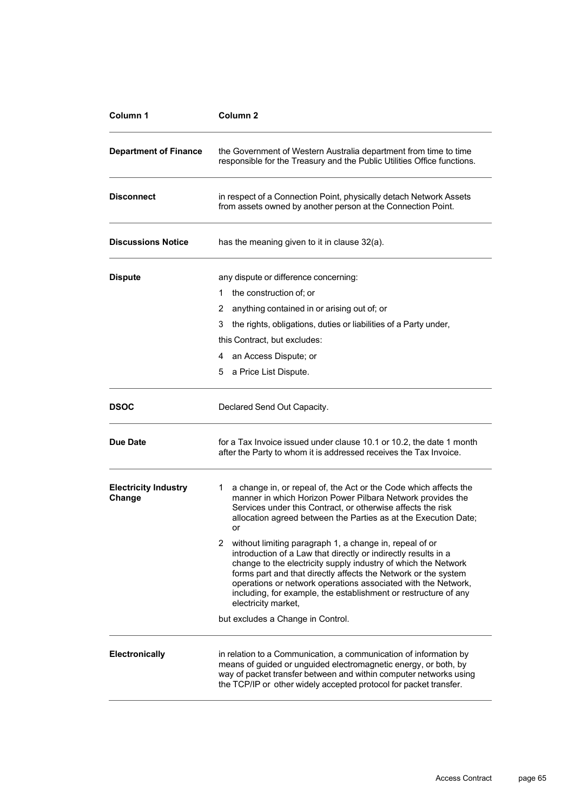| Column 1                              | Column <sub>2</sub>                                                                                                                                                                                                                                                                                                                                                                                                        |
|---------------------------------------|----------------------------------------------------------------------------------------------------------------------------------------------------------------------------------------------------------------------------------------------------------------------------------------------------------------------------------------------------------------------------------------------------------------------------|
| <b>Department of Finance</b>          | the Government of Western Australia department from time to time<br>responsible for the Treasury and the Public Utilities Office functions.                                                                                                                                                                                                                                                                                |
| <b>Disconnect</b>                     | in respect of a Connection Point, physically detach Network Assets<br>from assets owned by another person at the Connection Point.                                                                                                                                                                                                                                                                                         |
| <b>Discussions Notice</b>             | has the meaning given to it in clause 32(a).                                                                                                                                                                                                                                                                                                                                                                               |
| <b>Dispute</b>                        | any dispute or difference concerning:                                                                                                                                                                                                                                                                                                                                                                                      |
|                                       | the construction of; or<br>1.                                                                                                                                                                                                                                                                                                                                                                                              |
|                                       | anything contained in or arising out of; or<br>2                                                                                                                                                                                                                                                                                                                                                                           |
|                                       | the rights, obligations, duties or liabilities of a Party under,<br>3.                                                                                                                                                                                                                                                                                                                                                     |
|                                       | this Contract, but excludes:                                                                                                                                                                                                                                                                                                                                                                                               |
|                                       | 4 an Access Dispute; or                                                                                                                                                                                                                                                                                                                                                                                                    |
|                                       | a Price List Dispute.<br>5                                                                                                                                                                                                                                                                                                                                                                                                 |
| <b>DSOC</b>                           | Declared Send Out Capacity.                                                                                                                                                                                                                                                                                                                                                                                                |
| Due Date                              | for a Tax Invoice issued under clause 10.1 or 10.2, the date 1 month<br>after the Party to whom it is addressed receives the Tax Invoice.                                                                                                                                                                                                                                                                                  |
| <b>Electricity Industry</b><br>Change | a change in, or repeal of, the Act or the Code which affects the<br>1<br>manner in which Horizon Power Pilbara Network provides the<br>Services under this Contract, or otherwise affects the risk<br>allocation agreed between the Parties as at the Execution Date;<br>or                                                                                                                                                |
|                                       | 2 without limiting paragraph 1, a change in, repeal of or<br>introduction of a Law that directly or indirectly results in a<br>change to the electricity supply industry of which the Network<br>forms part and that directly affects the Network or the system<br>operations or network operations associated with the Network,<br>including, for example, the establishment or restructure of any<br>electricity market, |
|                                       | but excludes a Change in Control.                                                                                                                                                                                                                                                                                                                                                                                          |
| <b>Electronically</b>                 | in relation to a Communication, a communication of information by<br>means of guided or unguided electromagnetic energy, or both, by<br>way of packet transfer between and within computer networks using<br>the TCP/IP or other widely accepted protocol for packet transfer.                                                                                                                                             |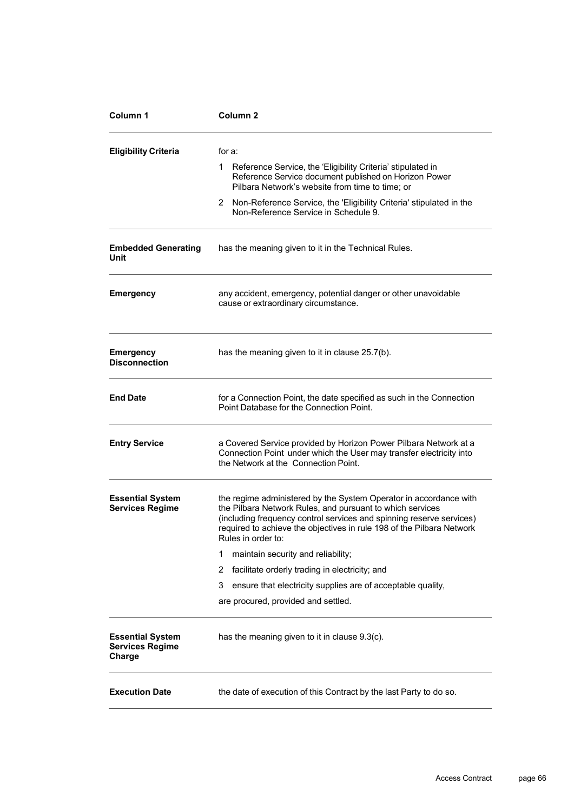| Column <sub>2</sub>                                                                                                                                                                                                                                                                                   |
|-------------------------------------------------------------------------------------------------------------------------------------------------------------------------------------------------------------------------------------------------------------------------------------------------------|
| for a:                                                                                                                                                                                                                                                                                                |
| Reference Service, the 'Eligibility Criteria' stipulated in<br>1<br>Reference Service document published on Horizon Power<br>Pilbara Network's website from time to time; or                                                                                                                          |
| 2 Non-Reference Service, the 'Eligibility Criteria' stipulated in the<br>Non-Reference Service in Schedule 9.                                                                                                                                                                                         |
| has the meaning given to it in the Technical Rules.                                                                                                                                                                                                                                                   |
| any accident, emergency, potential danger or other unavoidable<br>cause or extraordinary circumstance.                                                                                                                                                                                                |
| has the meaning given to it in clause 25.7(b).                                                                                                                                                                                                                                                        |
| for a Connection Point, the date specified as such in the Connection<br>Point Database for the Connection Point.                                                                                                                                                                                      |
| a Covered Service provided by Horizon Power Pilbara Network at a<br>Connection Point under which the User may transfer electricity into<br>the Network at the Connection Point.                                                                                                                       |
| the regime administered by the System Operator in accordance with<br>the Pilbara Network Rules, and pursuant to which services<br>(including frequency control services and spinning reserve services)<br>required to achieve the objectives in rule 198 of the Pilbara Network<br>Rules in order to: |
| maintain security and reliability;<br>1                                                                                                                                                                                                                                                               |
| facilitate orderly trading in electricity; and<br>2                                                                                                                                                                                                                                                   |
| ensure that electricity supplies are of acceptable quality,<br>3                                                                                                                                                                                                                                      |
| are procured, provided and settled.                                                                                                                                                                                                                                                                   |
| has the meaning given to it in clause 9.3(c).                                                                                                                                                                                                                                                         |
| the date of execution of this Contract by the last Party to do so.                                                                                                                                                                                                                                    |
|                                                                                                                                                                                                                                                                                                       |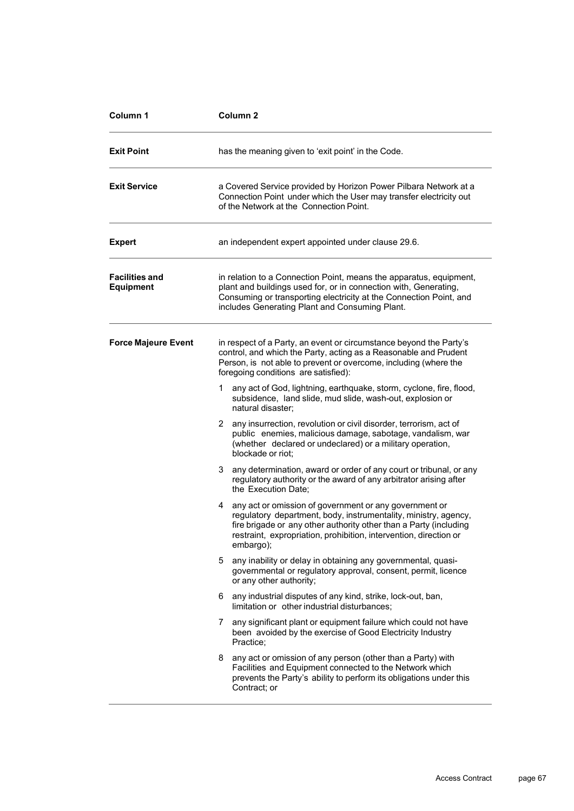| Column 1                                  | Column <sub>2</sub>                                                                                                                                                                                                                                                                   |
|-------------------------------------------|---------------------------------------------------------------------------------------------------------------------------------------------------------------------------------------------------------------------------------------------------------------------------------------|
| <b>Exit Point</b>                         | has the meaning given to 'exit point' in the Code.                                                                                                                                                                                                                                    |
| <b>Exit Service</b>                       | a Covered Service provided by Horizon Power Pilbara Network at a<br>Connection Point under which the User may transfer electricity out<br>of the Network at the Connection Point.                                                                                                     |
| <b>Expert</b>                             | an independent expert appointed under clause 29.6.                                                                                                                                                                                                                                    |
| <b>Facilities and</b><br><b>Equipment</b> | in relation to a Connection Point, means the apparatus, equipment,<br>plant and buildings used for, or in connection with, Generating,<br>Consuming or transporting electricity at the Connection Point, and<br>includes Generating Plant and Consuming Plant.                        |
| <b>Force Majeure Event</b>                | in respect of a Party, an event or circumstance beyond the Party's<br>control, and which the Party, acting as a Reasonable and Prudent<br>Person, is not able to prevent or overcome, including (where the<br>foregoing conditions are satisfied):                                    |
|                                           | 1<br>any act of God, lightning, earthquake, storm, cyclone, fire, flood,<br>subsidence, land slide, mud slide, wash-out, explosion or<br>natural disaster;                                                                                                                            |
|                                           | 2 any insurrection, revolution or civil disorder, terrorism, act of<br>public enemies, malicious damage, sabotage, vandalism, war<br>(whether declared or undeclared) or a military operation,<br>blockade or riot:                                                                   |
|                                           | any determination, award or order of any court or tribunal, or any<br>3.<br>regulatory authority or the award of any arbitrator arising after<br>the Execution Date;                                                                                                                  |
|                                           | any act or omission of government or any government or<br>4<br>regulatory department, body, instrumentality, ministry, agency,<br>fire brigade or any other authority other than a Party (including<br>restraint, expropriation, prohibition, intervention, direction or<br>embargo); |
|                                           | any inability or delay in obtaining any governmental, quasi-<br>5.<br>governmental or regulatory approval, consent, permit, licence<br>or any other authority;                                                                                                                        |
|                                           | any industrial disputes of any kind, strike, lock-out, ban,<br>6<br>limitation or other industrial disturbances:                                                                                                                                                                      |
|                                           | any significant plant or equipment failure which could not have<br>7<br>been avoided by the exercise of Good Electricity Industry<br>Practice;                                                                                                                                        |
|                                           | any act or omission of any person (other than a Party) with<br>8<br>Facilities and Equipment connected to the Network which<br>prevents the Party's ability to perform its obligations under this<br>Contract; or                                                                     |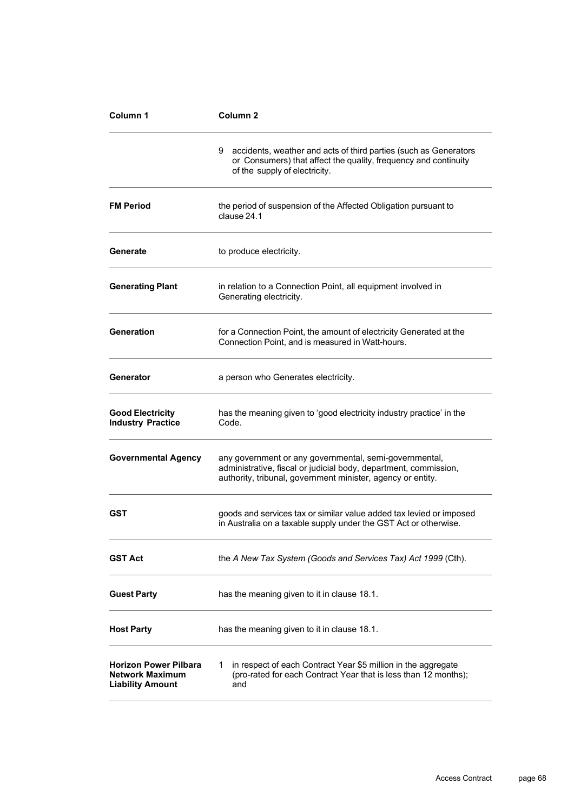| Column 1                                                                          | Column <sub>2</sub>                                                                                                                                                                       |
|-----------------------------------------------------------------------------------|-------------------------------------------------------------------------------------------------------------------------------------------------------------------------------------------|
|                                                                                   | 9<br>accidents, weather and acts of third parties (such as Generators<br>or Consumers) that affect the quality, frequency and continuity<br>of the supply of electricity.                 |
| <b>FM Period</b>                                                                  | the period of suspension of the Affected Obligation pursuant to<br>clause 24.1                                                                                                            |
| Generate                                                                          | to produce electricity.                                                                                                                                                                   |
| <b>Generating Plant</b>                                                           | in relation to a Connection Point, all equipment involved in<br>Generating electricity.                                                                                                   |
| Generation                                                                        | for a Connection Point, the amount of electricity Generated at the<br>Connection Point, and is measured in Watt-hours.                                                                    |
| Generator                                                                         | a person who Generates electricity.                                                                                                                                                       |
| <b>Good Electricity</b><br><b>Industry Practice</b>                               | has the meaning given to 'good electricity industry practice' in the<br>Code.                                                                                                             |
| <b>Governmental Agency</b>                                                        | any government or any governmental, semi-governmental,<br>administrative, fiscal or judicial body, department, commission,<br>authority, tribunal, government minister, agency or entity. |
| <b>GST</b>                                                                        | goods and services tax or similar value added tax levied or imposed<br>in Australia on a taxable supply under the GST Act or otherwise.                                                   |
| <b>GST Act</b>                                                                    | the A New Tax System (Goods and Services Tax) Act 1999 (Cth).                                                                                                                             |
| <b>Guest Party</b>                                                                | has the meaning given to it in clause 18.1.                                                                                                                                               |
| <b>Host Party</b>                                                                 | has the meaning given to it in clause 18.1.                                                                                                                                               |
| <b>Horizon Power Pilbara</b><br><b>Network Maximum</b><br><b>Liability Amount</b> | in respect of each Contract Year \$5 million in the aggregate<br>1<br>(pro-rated for each Contract Year that is less than 12 months);<br>and                                              |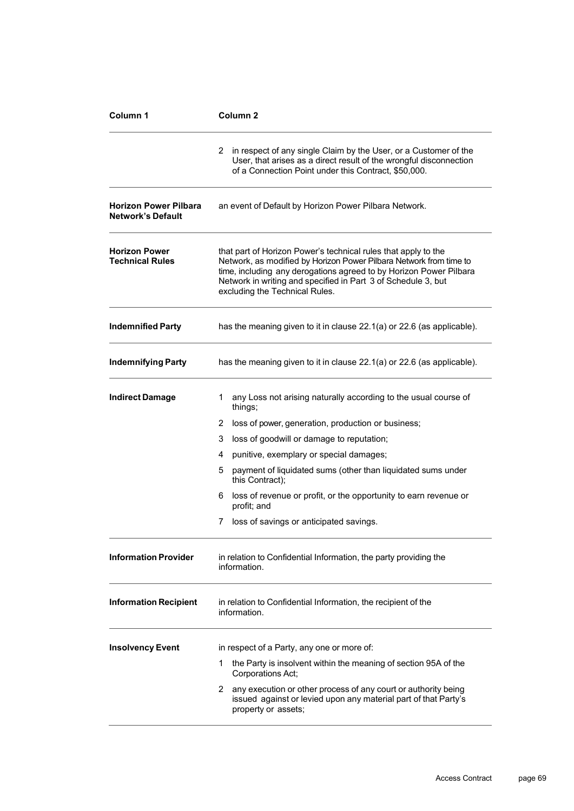| Column 1                                                 | Column <sub>2</sub>                                                                                                                                                                                                                                                                                           |
|----------------------------------------------------------|---------------------------------------------------------------------------------------------------------------------------------------------------------------------------------------------------------------------------------------------------------------------------------------------------------------|
|                                                          | in respect of any single Claim by the User, or a Customer of the<br>2<br>User, that arises as a direct result of the wrongful disconnection<br>of a Connection Point under this Contract, \$50,000.                                                                                                           |
| <b>Horizon Power Pilbara</b><br><b>Network's Default</b> | an event of Default by Horizon Power Pilbara Network.                                                                                                                                                                                                                                                         |
| <b>Horizon Power</b><br><b>Technical Rules</b>           | that part of Horizon Power's technical rules that apply to the<br>Network, as modified by Horizon Power Pilbara Network from time to<br>time, including any derogations agreed to by Horizon Power Pilbara<br>Network in writing and specified in Part 3 of Schedule 3, but<br>excluding the Technical Rules. |
| <b>Indemnified Party</b>                                 | has the meaning given to it in clause 22.1(a) or 22.6 (as applicable).                                                                                                                                                                                                                                        |
| <b>Indemnifying Party</b>                                | has the meaning given to it in clause 22.1(a) or 22.6 (as applicable).                                                                                                                                                                                                                                        |
| <b>Indirect Damage</b>                                   | any Loss not arising naturally according to the usual course of<br>1.<br>things;                                                                                                                                                                                                                              |
|                                                          | 2<br>loss of power, generation, production or business;                                                                                                                                                                                                                                                       |
|                                                          | 3<br>loss of goodwill or damage to reputation;                                                                                                                                                                                                                                                                |
|                                                          | punitive, exemplary or special damages;<br>4                                                                                                                                                                                                                                                                  |
|                                                          | payment of liquidated sums (other than liquidated sums under<br>5<br>this Contract);                                                                                                                                                                                                                          |
|                                                          | loss of revenue or profit, or the opportunity to earn revenue or<br>6.<br>profit; and                                                                                                                                                                                                                         |
|                                                          | loss of savings or anticipated savings.<br>7                                                                                                                                                                                                                                                                  |
| <b>Information Provider</b>                              | in relation to Confidential Information, the party providing the<br>information.                                                                                                                                                                                                                              |
| <b>Information Recipient</b>                             | in relation to Confidential Information, the recipient of the<br>information.                                                                                                                                                                                                                                 |
| <b>Insolvency Event</b>                                  | in respect of a Party, any one or more of:                                                                                                                                                                                                                                                                    |
|                                                          | 1<br>the Party is insolvent within the meaning of section 95A of the<br>Corporations Act;                                                                                                                                                                                                                     |
|                                                          | any execution or other process of any court or authority being<br>2<br>issued against or levied upon any material part of that Party's<br>property or assets;                                                                                                                                                 |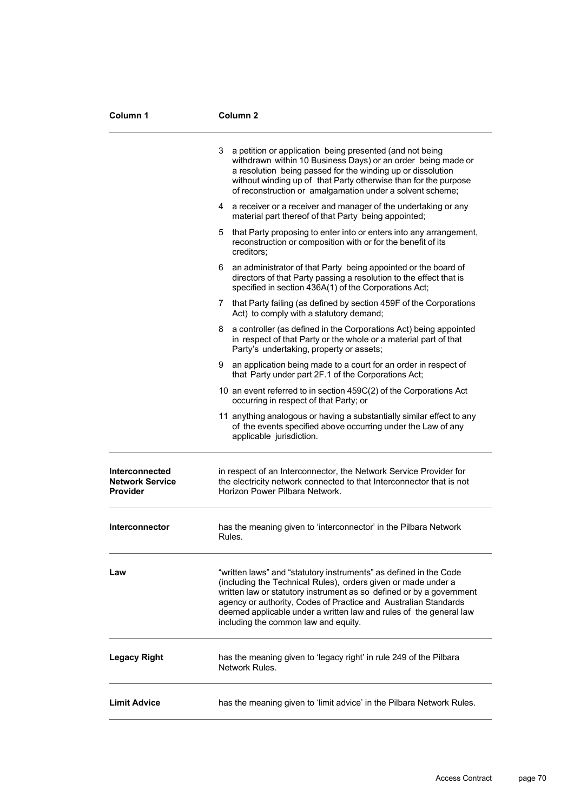| Column 1                                                    | Column 2                                                                                                                                                                                                                                                                                                                                                                                    |
|-------------------------------------------------------------|---------------------------------------------------------------------------------------------------------------------------------------------------------------------------------------------------------------------------------------------------------------------------------------------------------------------------------------------------------------------------------------------|
|                                                             | a petition or application being presented (and not being<br>3<br>withdrawn within 10 Business Days) or an order being made or<br>a resolution being passed for the winding up or dissolution<br>without winding up of that Party otherwise than for the purpose<br>of reconstruction or amalgamation under a solvent scheme;                                                                |
|                                                             | a receiver or a receiver and manager of the undertaking or any<br>4<br>material part thereof of that Party being appointed;                                                                                                                                                                                                                                                                 |
|                                                             | that Party proposing to enter into or enters into any arrangement,<br>5<br>reconstruction or composition with or for the benefit of its<br>creditors:                                                                                                                                                                                                                                       |
|                                                             | an administrator of that Party being appointed or the board of<br>6<br>directors of that Party passing a resolution to the effect that is<br>specified in section 436A(1) of the Corporations Act;                                                                                                                                                                                          |
|                                                             | 7 that Party failing (as defined by section 459F of the Corporations<br>Act) to comply with a statutory demand;                                                                                                                                                                                                                                                                             |
|                                                             | 8<br>a controller (as defined in the Corporations Act) being appointed<br>in respect of that Party or the whole or a material part of that<br>Party's undertaking, property or assets;                                                                                                                                                                                                      |
|                                                             | 9<br>an application being made to a court for an order in respect of<br>that Party under part 2F.1 of the Corporations Act;                                                                                                                                                                                                                                                                 |
|                                                             | 10 an event referred to in section 459C(2) of the Corporations Act<br>occurring in respect of that Party; or                                                                                                                                                                                                                                                                                |
|                                                             | 11 anything analogous or having a substantially similar effect to any<br>of the events specified above occurring under the Law of any<br>applicable jurisdiction.                                                                                                                                                                                                                           |
| Interconnected<br><b>Network Service</b><br><b>Provider</b> | in respect of an Interconnector, the Network Service Provider for<br>the electricity network connected to that Interconnector that is not<br>Horizon Power Pilbara Network.                                                                                                                                                                                                                 |
| <b>Interconnector</b>                                       | has the meaning given to 'interconnector' in the Pilbara Network<br>Rules.                                                                                                                                                                                                                                                                                                                  |
| Law                                                         | "written laws" and "statutory instruments" as defined in the Code<br>(including the Technical Rules), orders given or made under a<br>written law or statutory instrument as so defined or by a government<br>agency or authority, Codes of Practice and Australian Standards<br>deemed applicable under a written law and rules of the general law<br>including the common law and equity. |
| <b>Legacy Right</b>                                         | has the meaning given to 'legacy right' in rule 249 of the Pilbara<br>Network Rules.                                                                                                                                                                                                                                                                                                        |
| <b>Limit Advice</b>                                         | has the meaning given to 'limit advice' in the Pilbara Network Rules.                                                                                                                                                                                                                                                                                                                       |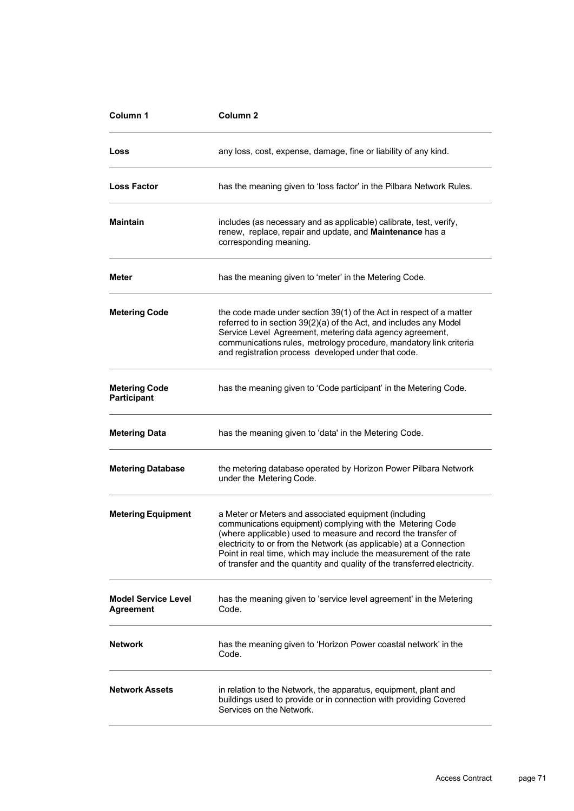| Column 1                                   | Column <sub>2</sub>                                                                                                                                                                                                                                                                                                                                                                                         |
|--------------------------------------------|-------------------------------------------------------------------------------------------------------------------------------------------------------------------------------------------------------------------------------------------------------------------------------------------------------------------------------------------------------------------------------------------------------------|
| Loss                                       | any loss, cost, expense, damage, fine or liability of any kind.                                                                                                                                                                                                                                                                                                                                             |
| <b>Loss Factor</b>                         | has the meaning given to 'loss factor' in the Pilbara Network Rules.                                                                                                                                                                                                                                                                                                                                        |
| <b>Maintain</b>                            | includes (as necessary and as applicable) calibrate, test, verify,<br>renew, replace, repair and update, and Maintenance has a<br>corresponding meaning.                                                                                                                                                                                                                                                    |
| <b>Meter</b>                               | has the meaning given to 'meter' in the Metering Code.                                                                                                                                                                                                                                                                                                                                                      |
| <b>Metering Code</b>                       | the code made under section 39(1) of the Act in respect of a matter<br>referred to in section 39(2)(a) of the Act, and includes any Model<br>Service Level Agreement, metering data agency agreement,<br>communications rules, metrology procedure, mandatory link criteria<br>and registration process developed under that code.                                                                          |
| <b>Metering Code</b><br><b>Participant</b> | has the meaning given to 'Code participant' in the Metering Code.                                                                                                                                                                                                                                                                                                                                           |
| <b>Metering Data</b>                       | has the meaning given to 'data' in the Metering Code.                                                                                                                                                                                                                                                                                                                                                       |
| <b>Metering Database</b>                   | the metering database operated by Horizon Power Pilbara Network<br>under the Metering Code.                                                                                                                                                                                                                                                                                                                 |
| <b>Metering Equipment</b>                  | a Meter or Meters and associated equipment (including<br>communications equipment) complying with the Metering Code<br>(where applicable) used to measure and record the transfer of<br>electricity to or from the Network (as applicable) at a Connection<br>Point in real time, which may include the measurement of the rate<br>of transfer and the quantity and quality of the transferred electricity. |
| <b>Model Service Level</b><br>Agreement    | has the meaning given to 'service level agreement' in the Metering<br>Code.                                                                                                                                                                                                                                                                                                                                 |
| Network                                    | has the meaning given to 'Horizon Power coastal network' in the<br>Code.                                                                                                                                                                                                                                                                                                                                    |
| <b>Network Assets</b>                      | in relation to the Network, the apparatus, equipment, plant and<br>buildings used to provide or in connection with providing Covered<br>Services on the Network.                                                                                                                                                                                                                                            |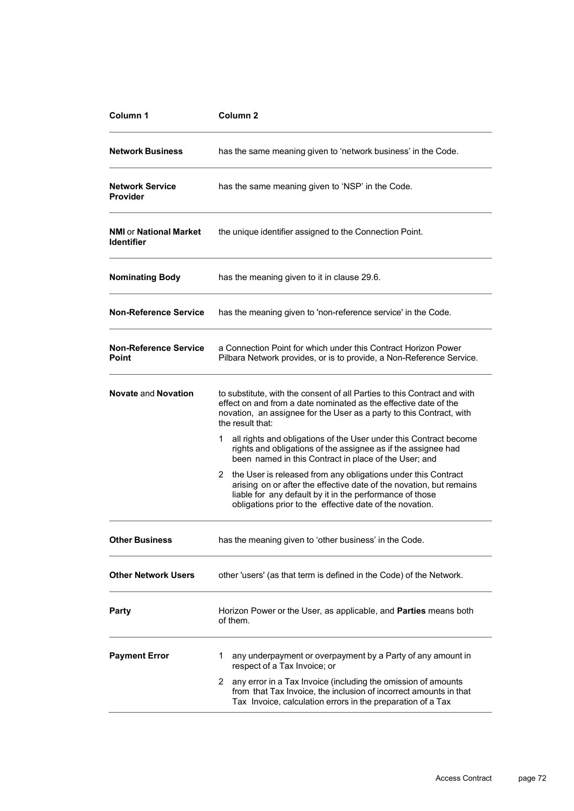| Column 1                                           | Column <sub>2</sub>                                                                                                                                                                                                                                               |  |  |
|----------------------------------------------------|-------------------------------------------------------------------------------------------------------------------------------------------------------------------------------------------------------------------------------------------------------------------|--|--|
| <b>Network Business</b>                            | has the same meaning given to 'network business' in the Code.                                                                                                                                                                                                     |  |  |
| <b>Network Service</b><br><b>Provider</b>          | has the same meaning given to 'NSP' in the Code.                                                                                                                                                                                                                  |  |  |
| <b>NMI or National Market</b><br><b>Identifier</b> | the unique identifier assigned to the Connection Point.                                                                                                                                                                                                           |  |  |
| <b>Nominating Body</b>                             | has the meaning given to it in clause 29.6.                                                                                                                                                                                                                       |  |  |
| <b>Non-Reference Service</b>                       | has the meaning given to 'non-reference service' in the Code.                                                                                                                                                                                                     |  |  |
| <b>Non-Reference Service</b><br>Point              | a Connection Point for which under this Contract Horizon Power<br>Pilbara Network provides, or is to provide, a Non-Reference Service.                                                                                                                            |  |  |
| <b>Novate and Novation</b>                         | to substitute, with the consent of all Parties to this Contract and with<br>effect on and from a date nominated as the effective date of the<br>novation, an assignee for the User as a party to this Contract, with<br>the result that:                          |  |  |
|                                                    | all rights and obligations of the User under this Contract become<br>1.<br>rights and obligations of the assignee as if the assignee had<br>been named in this Contract in place of the User; and                                                                 |  |  |
|                                                    | the User is released from any obligations under this Contract<br>2<br>arising on or after the effective date of the novation, but remains<br>liable for any default by it in the performance of those<br>obligations prior to the effective date of the novation. |  |  |
| <b>Other Business</b>                              | has the meaning given to 'other business' in the Code.                                                                                                                                                                                                            |  |  |
| <b>Other Network Users</b>                         | other 'users' (as that term is defined in the Code) of the Network.                                                                                                                                                                                               |  |  |
| Party                                              | Horizon Power or the User, as applicable, and Parties means both<br>of them.                                                                                                                                                                                      |  |  |
| <b>Payment Error</b>                               | 1<br>any underpayment or overpayment by a Party of any amount in<br>respect of a Tax Invoice; or                                                                                                                                                                  |  |  |
|                                                    | any error in a Tax Invoice (including the omission of amounts<br>2.<br>from that Tax Invoice, the inclusion of incorrect amounts in that<br>Tax Invoice, calculation errors in the preparation of a Tax                                                           |  |  |
|                                                    |                                                                                                                                                                                                                                                                   |  |  |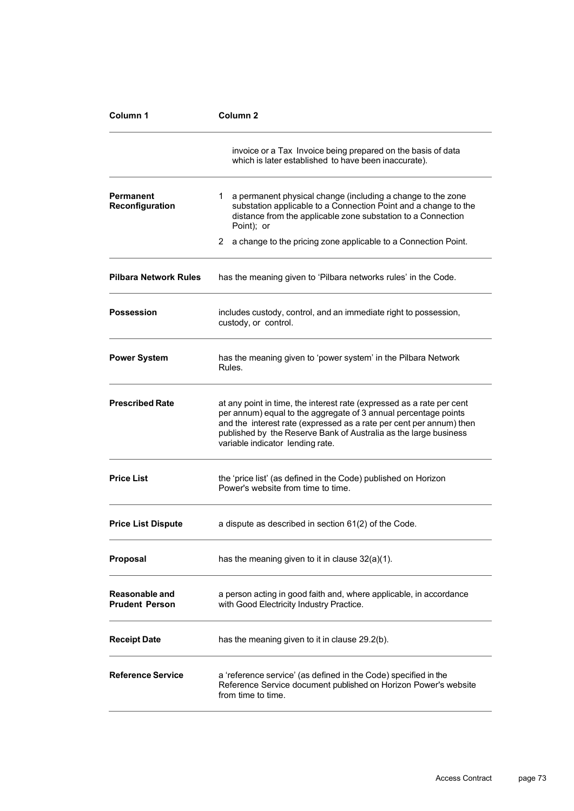| Column 1                                | Column <sub>2</sub>                                                                                                                                                                                                                                                                                                     |  |  |
|-----------------------------------------|-------------------------------------------------------------------------------------------------------------------------------------------------------------------------------------------------------------------------------------------------------------------------------------------------------------------------|--|--|
|                                         | invoice or a Tax Invoice being prepared on the basis of data<br>which is later established to have been inaccurate).                                                                                                                                                                                                    |  |  |
| Permanent<br>Reconfiguration            | 1.<br>a permanent physical change (including a change to the zone<br>substation applicable to a Connection Point and a change to the<br>distance from the applicable zone substation to a Connection<br>Point); or                                                                                                      |  |  |
|                                         | 2<br>a change to the pricing zone applicable to a Connection Point.                                                                                                                                                                                                                                                     |  |  |
| <b>Pilbara Network Rules</b>            | has the meaning given to 'Pilbara networks rules' in the Code.                                                                                                                                                                                                                                                          |  |  |
| <b>Possession</b>                       | includes custody, control, and an immediate right to possession,<br>custody, or control.                                                                                                                                                                                                                                |  |  |
| <b>Power System</b>                     | has the meaning given to 'power system' in the Pilbara Network<br>Rules.                                                                                                                                                                                                                                                |  |  |
| <b>Prescribed Rate</b>                  | at any point in time, the interest rate (expressed as a rate per cent<br>per annum) equal to the aggregate of 3 annual percentage points<br>and the interest rate (expressed as a rate per cent per annum) then<br>published by the Reserve Bank of Australia as the large business<br>variable indicator lending rate. |  |  |
| <b>Price List</b>                       | the 'price list' (as defined in the Code) published on Horizon<br>Power's website from time to time.                                                                                                                                                                                                                    |  |  |
| <b>Price List Dispute</b>               | a dispute as described in section 61(2) of the Code.                                                                                                                                                                                                                                                                    |  |  |
| <b>Proposal</b>                         | has the meaning given to it in clause $32(a)(1)$ .                                                                                                                                                                                                                                                                      |  |  |
| Reasonable and<br><b>Prudent Person</b> | a person acting in good faith and, where applicable, in accordance<br>with Good Electricity Industry Practice.                                                                                                                                                                                                          |  |  |
| <b>Receipt Date</b>                     | has the meaning given to it in clause 29.2(b).                                                                                                                                                                                                                                                                          |  |  |
| <b>Reference Service</b>                | a 'reference service' (as defined in the Code) specified in the<br>Reference Service document published on Horizon Power's website<br>from time to time.                                                                                                                                                                |  |  |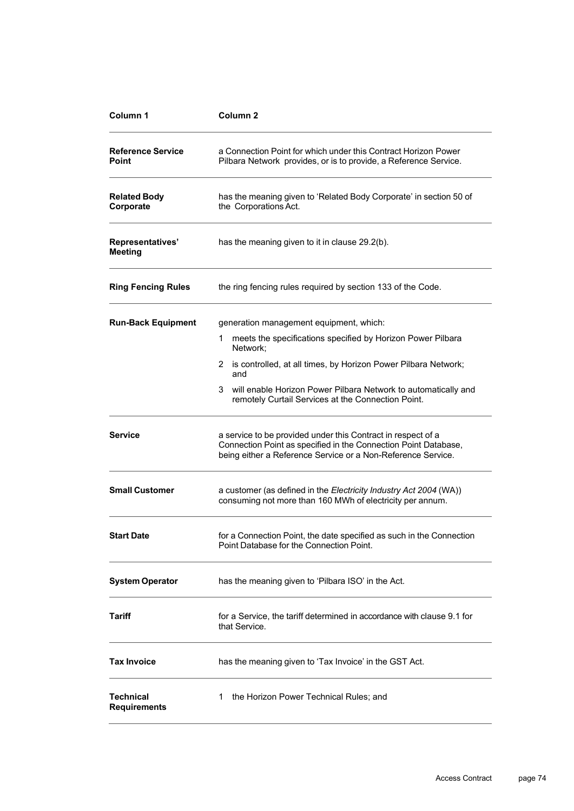| Column 1                           | Column <sub>2</sub>                                                                                                                                                                                                                                                                                                             |  |
|------------------------------------|---------------------------------------------------------------------------------------------------------------------------------------------------------------------------------------------------------------------------------------------------------------------------------------------------------------------------------|--|
| <b>Reference Service</b><br>Point  | a Connection Point for which under this Contract Horizon Power<br>Pilbara Network provides, or is to provide, a Reference Service.                                                                                                                                                                                              |  |
| <b>Related Body</b><br>Corporate   | has the meaning given to 'Related Body Corporate' in section 50 of<br>the Corporations Act.                                                                                                                                                                                                                                     |  |
| Representatives'<br><b>Meeting</b> | has the meaning given to it in clause 29.2(b).                                                                                                                                                                                                                                                                                  |  |
| <b>Ring Fencing Rules</b>          | the ring fencing rules required by section 133 of the Code.                                                                                                                                                                                                                                                                     |  |
| <b>Run-Back Equipment</b>          | generation management equipment, which:<br>meets the specifications specified by Horizon Power Pilbara<br>1<br>Network:<br>2 is controlled, at all times, by Horizon Power Pilbara Network;<br>and<br>3<br>will enable Horizon Power Pilbara Network to automatically and<br>remotely Curtail Services at the Connection Point. |  |
| <b>Service</b>                     | a service to be provided under this Contract in respect of a<br>Connection Point as specified in the Connection Point Database,<br>being either a Reference Service or a Non-Reference Service.                                                                                                                                 |  |
| <b>Small Customer</b>              | a customer (as defined in the Electricity Industry Act 2004 (WA))<br>consuming not more than 160 MWh of electricity per annum.                                                                                                                                                                                                  |  |
| <b>Start Date</b>                  | for a Connection Point, the date specified as such in the Connection<br>Point Database for the Connection Point.                                                                                                                                                                                                                |  |
| <b>System Operator</b>             | has the meaning given to 'Pilbara ISO' in the Act.                                                                                                                                                                                                                                                                              |  |
| Tariff                             | for a Service, the tariff determined in accordance with clause 9.1 for<br>that Service.                                                                                                                                                                                                                                         |  |
| <b>Tax Invoice</b>                 | has the meaning given to 'Tax Invoice' in the GST Act.                                                                                                                                                                                                                                                                          |  |
| Technical<br><b>Requirements</b>   | the Horizon Power Technical Rules; and<br>1                                                                                                                                                                                                                                                                                     |  |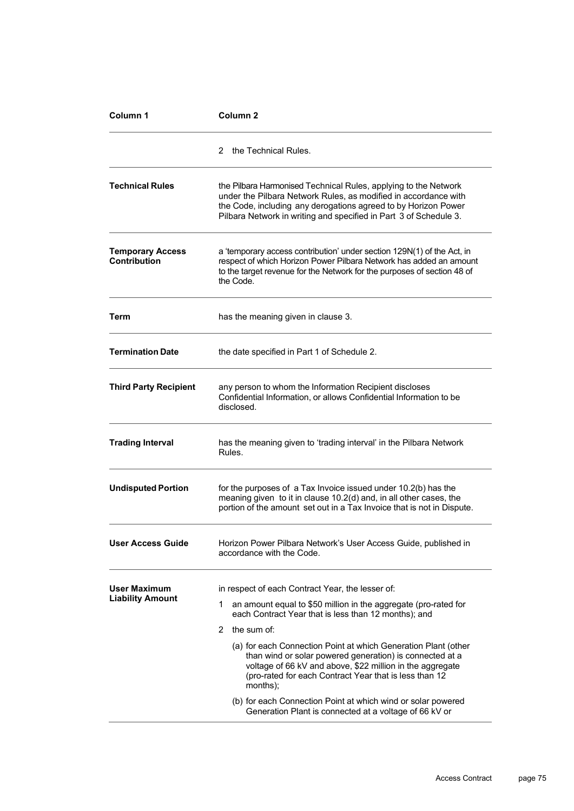| Column 1                                | Column 2                                                                                                                                                                                                                                                                                                                                                                                                                                                                                                                                                                                         |  |  |
|-----------------------------------------|--------------------------------------------------------------------------------------------------------------------------------------------------------------------------------------------------------------------------------------------------------------------------------------------------------------------------------------------------------------------------------------------------------------------------------------------------------------------------------------------------------------------------------------------------------------------------------------------------|--|--|
|                                         | the Technical Rules.<br>2                                                                                                                                                                                                                                                                                                                                                                                                                                                                                                                                                                        |  |  |
| <b>Technical Rules</b>                  | the Pilbara Harmonised Technical Rules, applying to the Network<br>under the Pilbara Network Rules, as modified in accordance with<br>the Code, including any derogations agreed to by Horizon Power<br>Pilbara Network in writing and specified in Part 3 of Schedule 3.                                                                                                                                                                                                                                                                                                                        |  |  |
| <b>Temporary Access</b><br>Contribution | a 'temporary access contribution' under section 129N(1) of the Act, in<br>respect of which Horizon Power Pilbara Network has added an amount<br>to the target revenue for the Network for the purposes of section 48 of<br>the Code.                                                                                                                                                                                                                                                                                                                                                             |  |  |
| Term                                    | has the meaning given in clause 3.                                                                                                                                                                                                                                                                                                                                                                                                                                                                                                                                                               |  |  |
| <b>Termination Date</b>                 | the date specified in Part 1 of Schedule 2.                                                                                                                                                                                                                                                                                                                                                                                                                                                                                                                                                      |  |  |
| <b>Third Party Recipient</b>            | any person to whom the Information Recipient discloses<br>Confidential Information, or allows Confidential Information to be<br>disclosed.                                                                                                                                                                                                                                                                                                                                                                                                                                                       |  |  |
| <b>Trading Interval</b>                 | has the meaning given to 'trading interval' in the Pilbara Network<br>Rules.                                                                                                                                                                                                                                                                                                                                                                                                                                                                                                                     |  |  |
| <b>Undisputed Portion</b>               | for the purposes of a Tax Invoice issued under 10.2(b) has the<br>meaning given to it in clause 10.2(d) and, in all other cases, the<br>portion of the amount set out in a Tax Invoice that is not in Dispute.                                                                                                                                                                                                                                                                                                                                                                                   |  |  |
| <b>User Access Guide</b>                | Horizon Power Pilbara Network's User Access Guide, published in<br>accordance with the Code.                                                                                                                                                                                                                                                                                                                                                                                                                                                                                                     |  |  |
| User Maximum<br><b>Liability Amount</b> | in respect of each Contract Year, the lesser of:<br>an amount equal to \$50 million in the aggregate (pro-rated for<br>1<br>each Contract Year that is less than 12 months); and<br>2<br>the sum of:<br>(a) for each Connection Point at which Generation Plant (other<br>than wind or solar powered generation) is connected at a<br>voltage of 66 kV and above, \$22 million in the aggregate<br>(pro-rated for each Contract Year that is less than 12)<br>months);<br>(b) for each Connection Point at which wind or solar powered<br>Generation Plant is connected at a voltage of 66 kV or |  |  |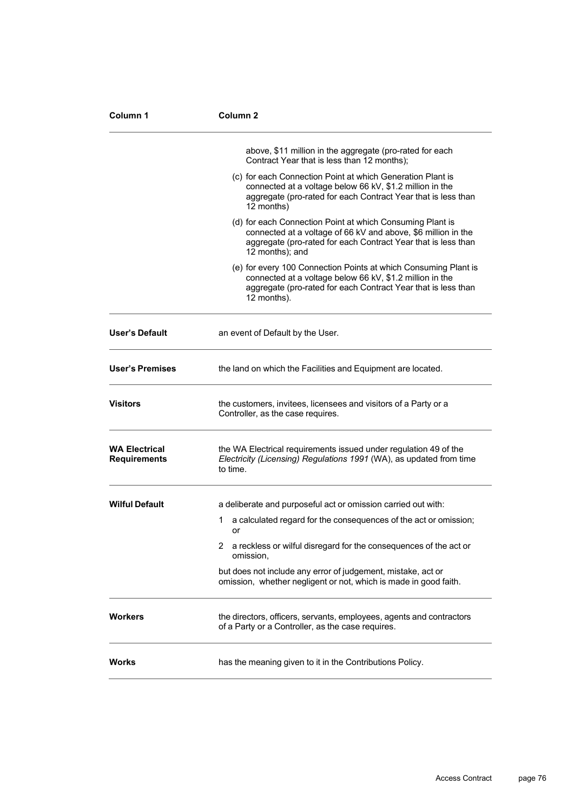| Column 1                                    | Column <sub>2</sub>                                                                                                                                                                                            |  |
|---------------------------------------------|----------------------------------------------------------------------------------------------------------------------------------------------------------------------------------------------------------------|--|
|                                             | above, \$11 million in the aggregate (pro-rated for each<br>Contract Year that is less than 12 months);                                                                                                        |  |
|                                             | (c) for each Connection Point at which Generation Plant is<br>connected at a voltage below 66 kV, \$1.2 million in the<br>aggregate (pro-rated for each Contract Year that is less than<br>12 months)          |  |
|                                             | (d) for each Connection Point at which Consuming Plant is<br>connected at a voltage of 66 kV and above, \$6 million in the<br>aggregate (pro-rated for each Contract Year that is less than<br>12 months); and |  |
|                                             | (e) for every 100 Connection Points at which Consuming Plant is<br>connected at a voltage below 66 kV, \$1.2 million in the<br>aggregate (pro-rated for each Contract Year that is less than<br>12 months).    |  |
| <b>User's Default</b>                       | an event of Default by the User.                                                                                                                                                                               |  |
| <b>User's Premises</b>                      | the land on which the Facilities and Equipment are located.                                                                                                                                                    |  |
| <b>Visitors</b>                             | the customers, invitees, licensees and visitors of a Party or a<br>Controller, as the case requires.                                                                                                           |  |
| <b>WA Electrical</b><br><b>Requirements</b> | the WA Electrical requirements issued under regulation 49 of the<br>Electricity (Licensing) Regulations 1991 (WA), as updated from time<br>to time.                                                            |  |
| <b>Wilful Default</b>                       | a deliberate and purposeful act or omission carried out with:                                                                                                                                                  |  |
|                                             | a calculated regard for the consequences of the act or omission;<br>1<br>or                                                                                                                                    |  |
|                                             | a reckless or wilful disregard for the consequences of the act or<br>omission,                                                                                                                                 |  |
|                                             | but does not include any error of judgement, mistake, act or<br>omission, whether negligent or not, which is made in good faith.                                                                               |  |
| Workers                                     | the directors, officers, servants, employees, agents and contractors<br>of a Party or a Controller, as the case requires.                                                                                      |  |
| <b>Works</b>                                | has the meaning given to it in the Contributions Policy.                                                                                                                                                       |  |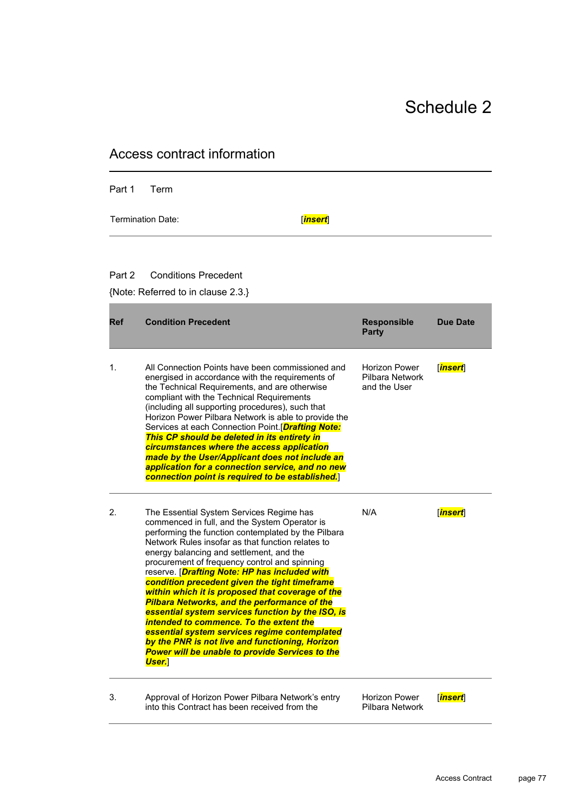| ss contract inionitation |                                                                                                                                                                                                                                                                                                                                                                                                                                                                                                                                                                                                                                                                                                                                                                                                |                                                         |                         |
|--------------------------|------------------------------------------------------------------------------------------------------------------------------------------------------------------------------------------------------------------------------------------------------------------------------------------------------------------------------------------------------------------------------------------------------------------------------------------------------------------------------------------------------------------------------------------------------------------------------------------------------------------------------------------------------------------------------------------------------------------------------------------------------------------------------------------------|---------------------------------------------------------|-------------------------|
| Part 1                   | Term                                                                                                                                                                                                                                                                                                                                                                                                                                                                                                                                                                                                                                                                                                                                                                                           |                                                         |                         |
|                          | <b>Termination Date:</b><br><b>insert</b>                                                                                                                                                                                                                                                                                                                                                                                                                                                                                                                                                                                                                                                                                                                                                      |                                                         |                         |
| Part 2                   | <b>Conditions Precedent</b><br>{Note: Referred to in clause 2.3.}                                                                                                                                                                                                                                                                                                                                                                                                                                                                                                                                                                                                                                                                                                                              |                                                         |                         |
| <b>Ref</b>               | <b>Condition Precedent</b>                                                                                                                                                                                                                                                                                                                                                                                                                                                                                                                                                                                                                                                                                                                                                                     | <b>Responsible</b><br><b>Party</b>                      | <b>Due Date</b>         |
| 1.                       | All Connection Points have been commissioned and<br>energised in accordance with the requirements of<br>the Technical Requirements, and are otherwise<br>compliant with the Technical Requirements<br>(including all supporting procedures), such that<br>Horizon Power Pilbara Network is able to provide the<br>Services at each Connection Point.[Drafting Note:<br>This CP should be deleted in its entirety in<br>circumstances where the access application<br>made by the User/Applicant does not include an<br>application for a connection service, and no new<br>connection point is required to be established.]                                                                                                                                                                    | <b>Horizon Power</b><br>Pilbara Network<br>and the User | <b>insert</b>           |
| 2.                       | The Essential System Services Regime has<br>commenced in full, and the System Operator is<br>performing the function contemplated by the Pilbara<br>Network Rules insofar as that function relates to<br>energy balancing and settlement, and the<br>procurement of frequency control and spinning<br>reserve. [ <i>Drafting Note: HP has included with</i><br>condition precedent given the tight timeframe<br>within which it is proposed that coverage of the<br><b>Pilbara Networks, and the performance of the</b><br>essential system services function by the ISO, is<br>intended to commence. To the extent the<br>essential system services regime contemplated<br>by the PNR is not live and functioning, Horizon<br><b>Power will be unable to provide Services to the</b><br>User. | N/A                                                     | <b>insert</b>           |
| 3.                       | Approval of Horizon Power Pilbara Network's entry<br>into this Contract has been received from the                                                                                                                                                                                                                                                                                                                                                                                                                                                                                                                                                                                                                                                                                             | <b>Horizon Power</b><br>Pilbara Network                 | [ <mark>insert</mark> ] |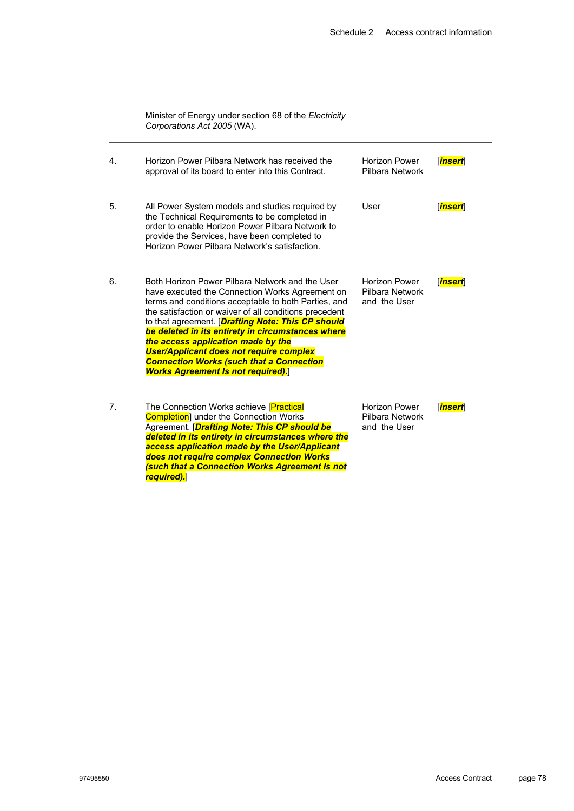| Minister of Energy under section 68 of the Electricity |  |
|--------------------------------------------------------|--|
| Corporations Act 2005 (WA).                            |  |

| 4.             | Horizon Power Pilbara Network has received the<br>approval of its board to enter into this Contract.                                                                                                                                                                                                                                                                                                                                                                                                                          | <b>Horizon Power</b><br>Pilbara Network                 | <u> insert</u>          |
|----------------|-------------------------------------------------------------------------------------------------------------------------------------------------------------------------------------------------------------------------------------------------------------------------------------------------------------------------------------------------------------------------------------------------------------------------------------------------------------------------------------------------------------------------------|---------------------------------------------------------|-------------------------|
| 5.             | All Power System models and studies required by<br>the Technical Requirements to be completed in<br>order to enable Horizon Power Pilbara Network to<br>provide the Services, have been completed to<br>Horizon Power Pilbara Network's satisfaction.                                                                                                                                                                                                                                                                         | User                                                    | <b>insert</b>           |
| 6.             | Both Horizon Power Pilbara Network and the User<br>have executed the Connection Works Agreement on<br>terms and conditions acceptable to both Parties, and<br>the satisfaction or waiver of all conditions precedent<br>to that agreement. [ <b>Drafting Note: This CP should</b><br>be deleted in its entirety in circumstances where<br>the access application made by the<br><b>User/Applicant does not require complex</b><br><b>Connection Works (such that a Connection</b><br><b>Works Agreement Is not required).</b> | <b>Horizon Power</b><br>Pilbara Network<br>and the User | <b>Tinsert</b>          |
| 7 <sup>1</sup> | The Connection Works achieve [Practical<br><b>Completion</b> under the Connection Works<br>Agreement. [ <b>Drafting Note: This CP should be</b><br>deleted in its entirety in circumstances where the<br>access application made by the User/Applicant<br>does not require complex Connection Works<br>(such that a Connection Works Agreement Is not<br>required).                                                                                                                                                           | <b>Horizon Power</b><br>Pilbara Network<br>and the User | [ <mark>insert</mark> ] |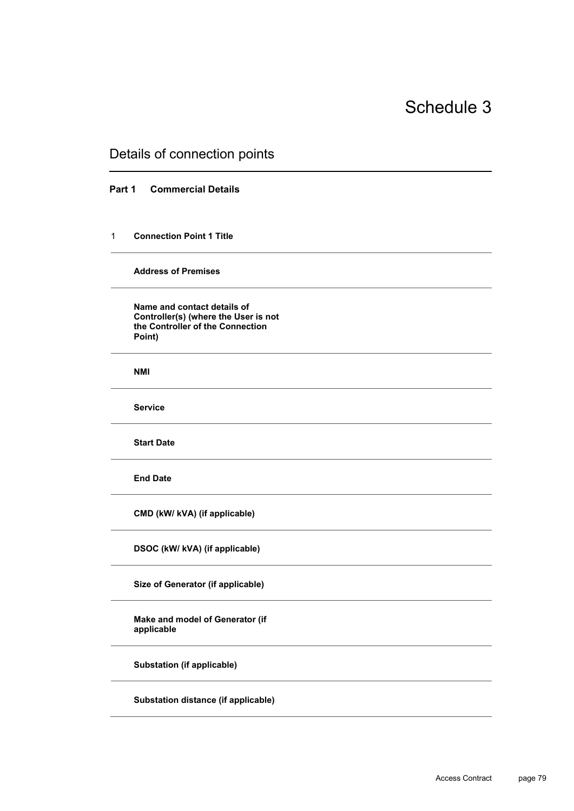### Details of connection points

#### **Part 1 Commercial Details**

#### 1 **Connection Point 1 Title**

#### **Address of Premises**

**Name and contact details of Controller(s) (where the User is not the Controller of the Connection Point)**

**NMI**

**Service**

**Start Date**

**End Date**

**CMD (kW/ kVA) (if applicable)**

**DSOC (kW/ kVA) (if applicable)**

**Size of Generator (if applicable)**

**Make and model of Generator (if applicable**

**Substation (if applicable)**

**Substation distance (if applicable)**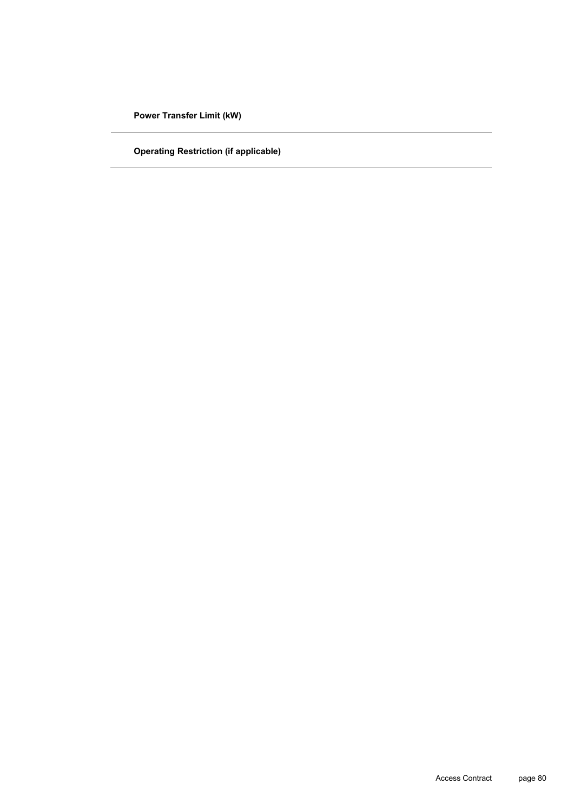**Power Transfer Limit (kW)**

**Operating Restriction (if applicable)**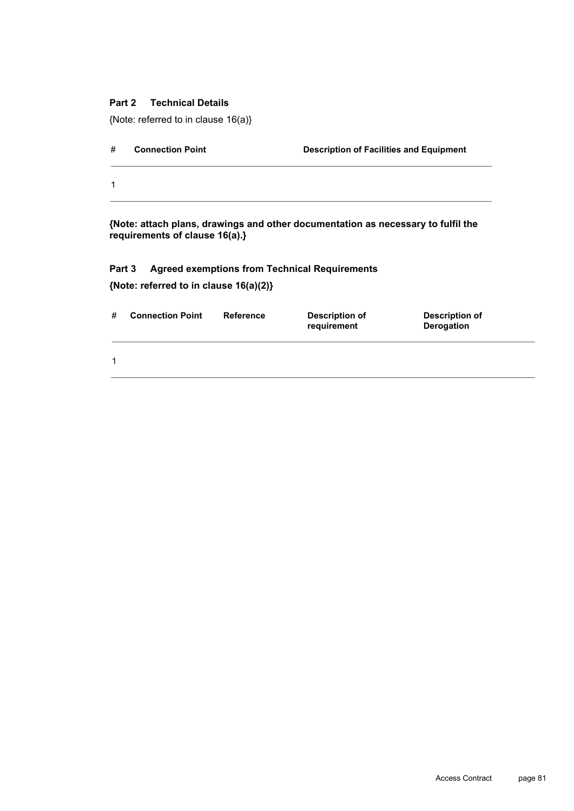#### **Part 2 Technical Details**

{Note: referred to in clause 16(a)}

| # | <b>Connection Point</b> | <b>Description of Facilities and Equipment</b> |
|---|-------------------------|------------------------------------------------|
| 1 |                         |                                                |

**{Note: attach plans, drawings and other documentation as necessary to fulfil the requirements of clause 16(a).}**

## **Part 3 Agreed exemptions from Technical Requirements**

**{Note: referred to in clause 16(a)(2)}**

| # | <b>Connection Point</b> | Reference | Description of<br>requirement | Description of<br>Derogation |  |
|---|-------------------------|-----------|-------------------------------|------------------------------|--|
|   |                         |           |                               |                              |  |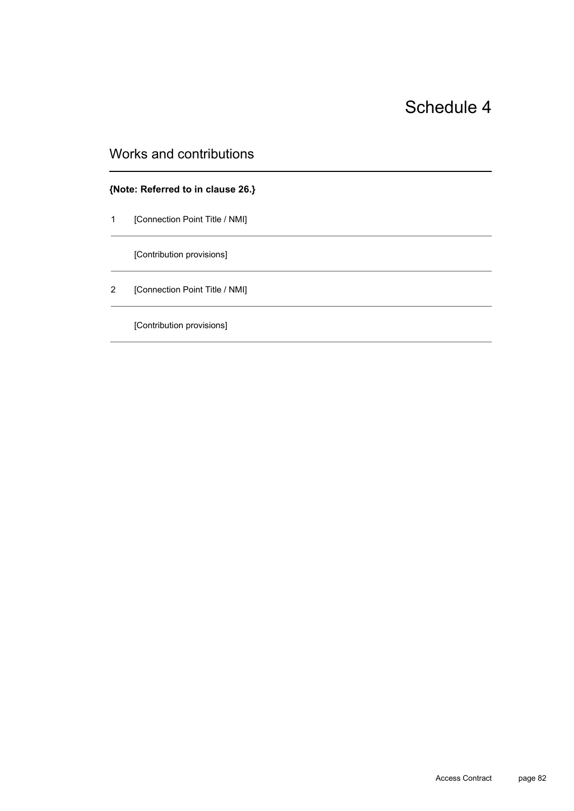## Works and contributions

#### **{Note: Referred to in clause 26.}**

1 [Connection Point Title / NMI]

[Contribution provisions]

2 [Connection Point Title / NMI]

[Contribution provisions]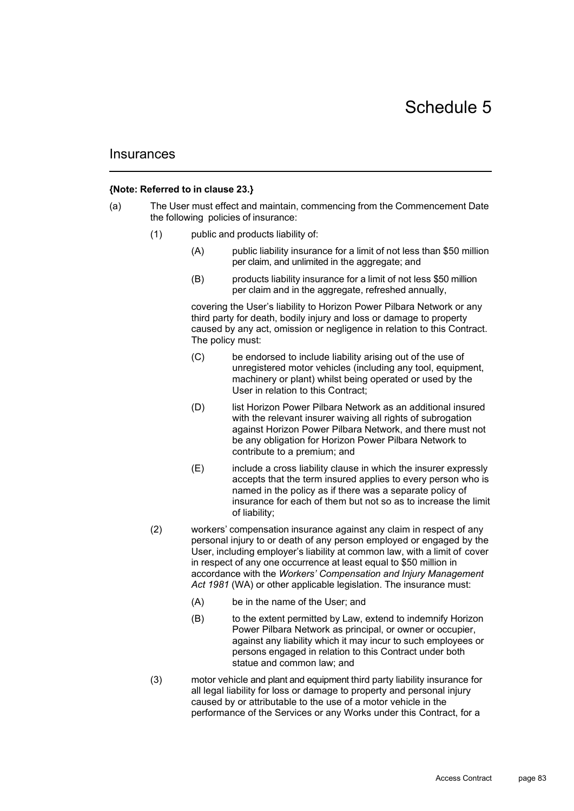#### **{Note: Referred to in clause 23.}**

- (a) The User must effect and maintain, commencing from the Commencement Date the following policies of insurance:
	- (1) public and products liability of:
		- (A) public liability insurance for a limit of not less than \$50 million per claim, and unlimited in the aggregate; and
		- (B) products liability insurance for a limit of not less \$50 million per claim and in the aggregate, refreshed annually,

covering the User's liability to Horizon Power Pilbara Network or any third party for death, bodily injury and loss or damage to property caused by any act, omission or negligence in relation to this Contract. The policy must:

- (C) be endorsed to include liability arising out of the use of unregistered motor vehicles (including any tool, equipment, machinery or plant) whilst being operated or used by the User in relation to this Contract;
- (D) list Horizon Power Pilbara Network as an additional insured with the relevant insurer waiving all rights of subrogation against Horizon Power Pilbara Network, and there must not be any obligation for Horizon Power Pilbara Network to contribute to a premium; and
- (E) include a cross liability clause in which the insurer expressly accepts that the term insured applies to every person who is named in the policy as if there was a separate policy of insurance for each of them but not so as to increase the limit of liability;
- (2) workers' compensation insurance against any claim in respect of any personal injury to or death of any person employed or engaged by the User, including employer's liability at common law, with a limit of cover in respect of any one occurrence at least equal to \$50 million in accordance with the *Workers' Compensation and Injury Management Act 1981* (WA) or other applicable legislation. The insurance must:
	- (A) be in the name of the User; and
	- (B) to the extent permitted by Law, extend to indemnify Horizon Power Pilbara Network as principal, or owner or occupier, against any liability which it may incur to such employees or persons engaged in relation to this Contract under both statue and common law; and
- (3) motor vehicle and plant and equipment third party liability insurance for all legal liability for loss or damage to property and personal injury caused by or attributable to the use of a motor vehicle in the performance of the Services or any Works under this Contract, for a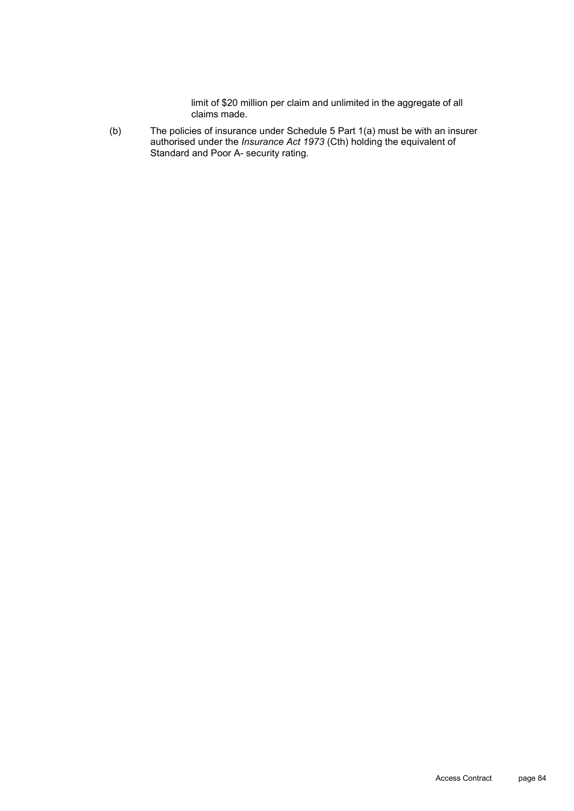limit of \$20 million per claim and unlimited in the aggregate of all claims made.

(b) The policies of insurance under Schedule 5 Part 1(a) must be with an insurer authorised under the *Insurance Act 1973* (Cth) holding the equivalent of Standard and Poor A- security rating.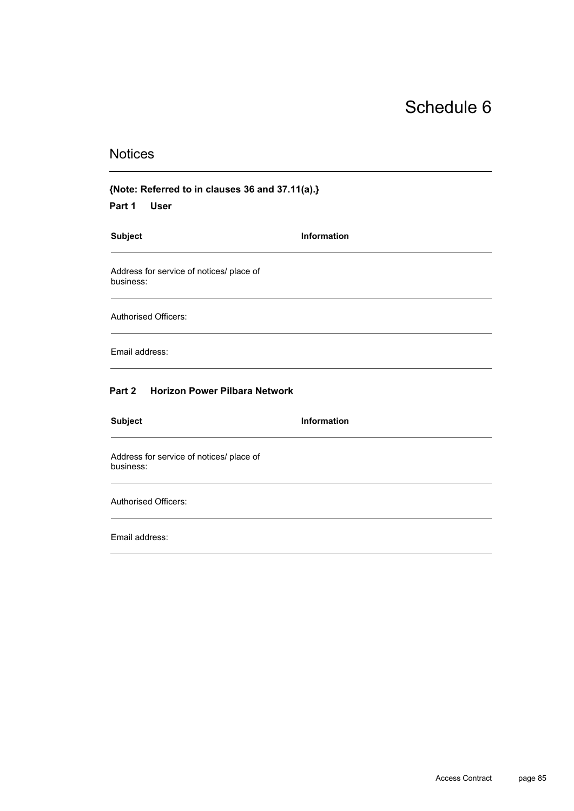## **Notices**

## **{Note: Referred to in clauses 36 and 37.11(a).}**

**Part 1 User**

| <b>Subject</b>                                        | <b>Information</b> |  |
|-------------------------------------------------------|--------------------|--|
| Address for service of notices/ place of<br>business: |                    |  |
| <b>Authorised Officers:</b>                           |                    |  |
| Email address:                                        |                    |  |
| Part 2 Horizon Power Pilbara Network                  |                    |  |
| <b>Subject</b>                                        | <b>Information</b> |  |
| Address for service of notices/ place of              |                    |  |

business:

Authorised Officers:

Email address: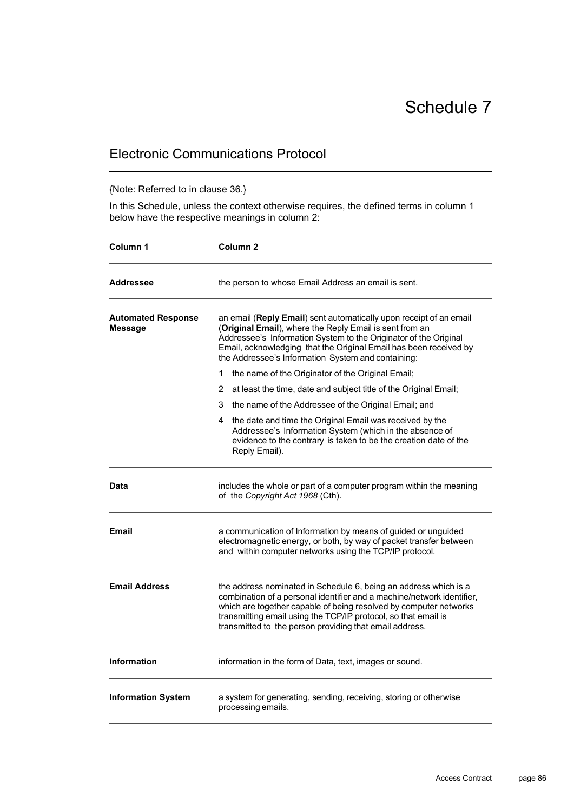## Electronic Communications Protocol

#### {Note: Referred to in clause 36.}

In this Schedule, unless the context otherwise requires, the defined terms in column 1 below have the respective meanings in column 2:

| Column 1                             | Column 2                                                                                                                                                                                                                                                                                                                                     |  |
|--------------------------------------|----------------------------------------------------------------------------------------------------------------------------------------------------------------------------------------------------------------------------------------------------------------------------------------------------------------------------------------------|--|
| <b>Addressee</b>                     | the person to whose Email Address an email is sent.                                                                                                                                                                                                                                                                                          |  |
| <b>Automated Response</b><br>Message | an email (Reply Email) sent automatically upon receipt of an email<br>(Original Email), where the Reply Email is sent from an<br>Addressee's Information System to the Originator of the Original<br>Email, acknowledging that the Original Email has been received by<br>the Addressee's Information System and containing:                 |  |
|                                      | the name of the Originator of the Original Email;<br>1                                                                                                                                                                                                                                                                                       |  |
|                                      | at least the time, date and subject title of the Original Email;<br>2                                                                                                                                                                                                                                                                        |  |
|                                      | the name of the Addressee of the Original Email; and<br>3                                                                                                                                                                                                                                                                                    |  |
|                                      | the date and time the Original Email was received by the<br>4<br>Addressee's Information System (which in the absence of<br>evidence to the contrary is taken to be the creation date of the<br>Reply Email).                                                                                                                                |  |
| Data                                 | includes the whole or part of a computer program within the meaning<br>of the Copyright Act 1968 (Cth).                                                                                                                                                                                                                                      |  |
| <b>Email</b>                         | a communication of Information by means of guided or unguided<br>electromagnetic energy, or both, by way of packet transfer between<br>and within computer networks using the TCP/IP protocol.                                                                                                                                               |  |
| <b>Email Address</b>                 | the address nominated in Schedule 6, being an address which is a<br>combination of a personal identifier and a machine/network identifier,<br>which are together capable of being resolved by computer networks<br>transmitting email using the TCP/IP protocol, so that email is<br>transmitted to the person providing that email address. |  |
| <b>Information</b>                   | information in the form of Data, text, images or sound.                                                                                                                                                                                                                                                                                      |  |
| <b>Information System</b>            | a system for generating, sending, receiving, storing or otherwise<br>processing emails.                                                                                                                                                                                                                                                      |  |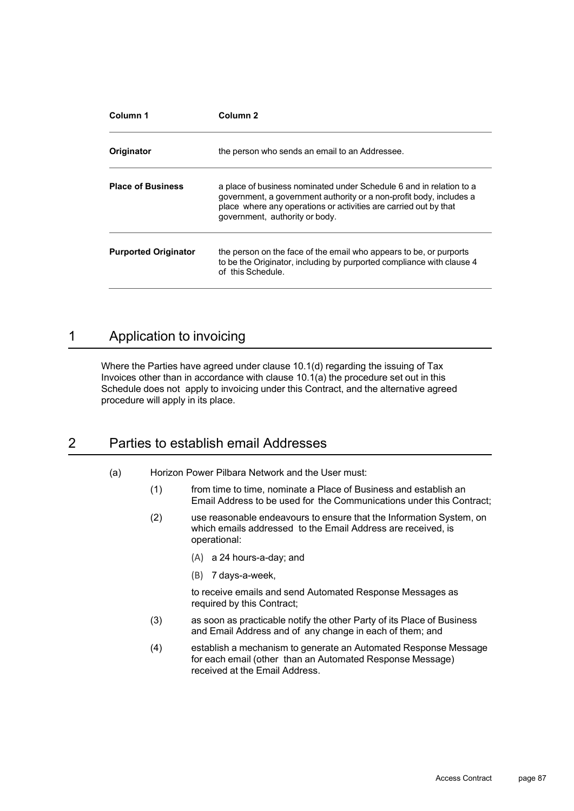| Column 1                    | Column <sub>2</sub>                                                                                                                                                                                                                              |  |  |
|-----------------------------|--------------------------------------------------------------------------------------------------------------------------------------------------------------------------------------------------------------------------------------------------|--|--|
| Originator                  | the person who sends an email to an Addressee.                                                                                                                                                                                                   |  |  |
| <b>Place of Business</b>    | a place of business nominated under Schedule 6 and in relation to a<br>government, a government authority or a non-profit body, includes a<br>place where any operations or activities are carried out by that<br>government, authority or body. |  |  |
| <b>Purported Originator</b> | the person on the face of the email who appears to be, or purports<br>to be the Originator, including by purported compliance with clause 4<br>of this Schedule.                                                                                 |  |  |

## 1 Application to invoicing

Where the Parties have agreed under clause 10.1(d) regarding the issuing of Tax Invoices other than in accordance with clause  $10.1(a)$  the procedure set out in this Schedule does not apply to invoicing under this Contract, and the alternative agreed procedure will apply in its place.

## 2 Parties to establish email Addresses

- (a) Horizon Power Pilbara Network and the User must:
	- (1) from time to time, nominate a Place of Business and establish an Email Address to be used for the Communications under this Contract;
	- (2) use reasonable endeavours to ensure that the Information System, on which emails addressed to the Email Address are received, is operational:
		- (A) a 24 hours-a-day; and
		- (B) 7 days-a-week,

to receive emails and send Automated Response Messages as required by this Contract;

- (3) as soon as practicable notify the other Party of its Place of Business and Email Address and of any change in each of them; and
- (4) establish a mechanism to generate an Automated Response Message for each email (other than an Automated Response Message) received at the Email Address.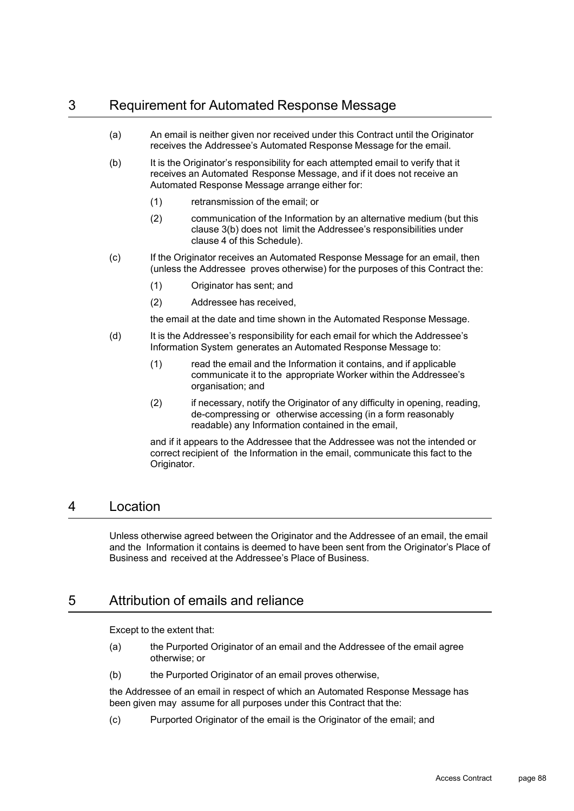## 3 Requirement for Automated Response Message

- (a) An email is neither given nor received under this Contract until the Originator receives the Addressee's Automated Response Message for the email.
- (b) It is the Originator's responsibility for each attempted email to verify that it receives an Automated Response Message, and if it does not receive an Automated Response Message arrange either for:
	- (1) retransmission of the email; or
	- (2) communication of the Information by an alternative medium (but this clause 3(b) does not limit the Addressee's responsibilities under clause 4 of this Schedule).
- (c) If the Originator receives an Automated Response Message for an email, then (unless the Addressee proves otherwise) for the purposes of this Contract the:
	- (1) Originator has sent; and
	- (2) Addressee has received,

the email at the date and time shown in the Automated Response Message.

- (d) It is the Addressee's responsibility for each email for which the Addressee's Information System generates an Automated Response Message to:
	- (1) read the email and the Information it contains, and if applicable communicate it to the appropriate Worker within the Addressee's organisation; and
	- (2) if necessary, notify the Originator of any difficulty in opening, reading, de-compressing or otherwise accessing (in a form reasonably readable) any Information contained in the email,

and if it appears to the Addressee that the Addressee was not the intended or correct recipient of the Information in the email, communicate this fact to the Originator.

### 4 Location

Unless otherwise agreed between the Originator and the Addressee of an email, the email and the Information it contains is deemed to have been sent from the Originator's Place of Business and received at the Addressee's Place of Business.

### 5 Attribution of emails and reliance

Except to the extent that:

- (a) the Purported Originator of an email and the Addressee of the email agree otherwise; or
- (b) the Purported Originator of an email proves otherwise,

the Addressee of an email in respect of which an Automated Response Message has been given may assume for all purposes under this Contract that the:

(c) Purported Originator of the email is the Originator of the email; and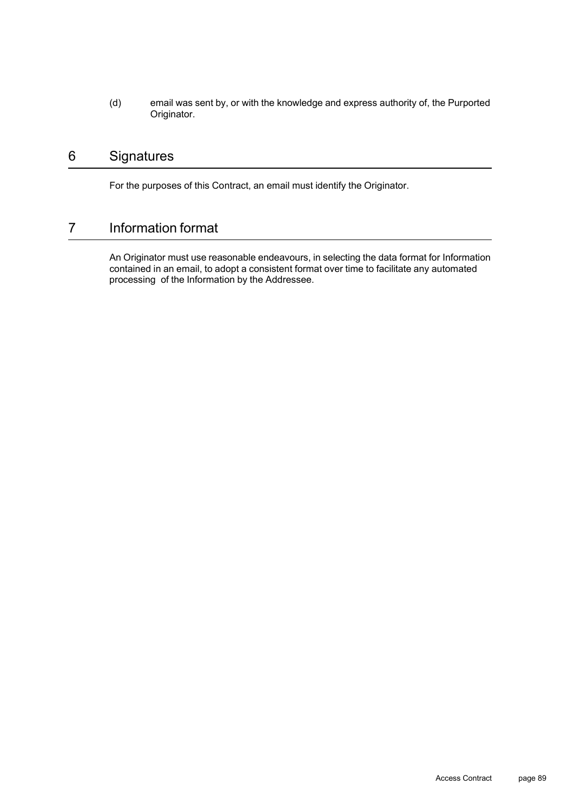(d) email was sent by, or with the knowledge and express authority of, the Purported Originator.

## 6 Signatures

For the purposes of this Contract, an email must identify the Originator.

## 7 Information format

An Originator must use reasonable endeavours, in selecting the data format for Information contained in an email, to adopt a consistent format over time to facilitate any automated processing of the Information by the Addressee.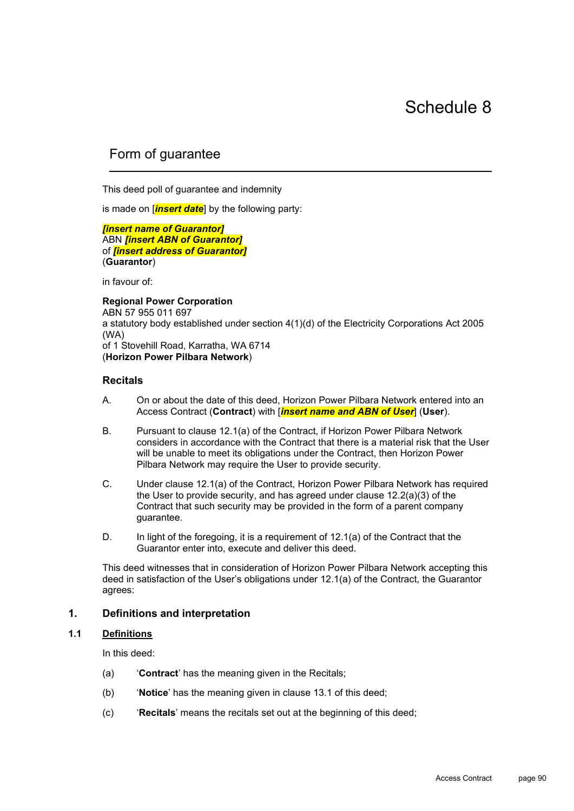## Form of guarantee

This deed poll of guarantee and indemnity

is made on [*insert date*] by the following party:

*[insert name of Guarantor]* ABN *[insert ABN of Guarantor]* of *[insert address of Guarantor]* (**Guarantor**)

in favour of:

**Regional Power Corporation** ABN 57 955 011 697 a statutory body established under section 4(1)(d) of the Electricity Corporations Act 2005 (WA) of 1 Stovehill Road, Karratha, WA 6714 (**Horizon Power Pilbara Network**)

#### **Recitals**

- A. On or about the date of this deed, Horizon Power Pilbara Network entered into an Access Contract (**Contract**) with [*insert name and ABN of User*] (**User**).
- B. Pursuant to clause 12.1(a) of the Contract, if Horizon Power Pilbara Network considers in accordance with the Contract that there is a material risk that the User will be unable to meet its obligations under the Contract, then Horizon Power Pilbara Network may require the User to provide security.
- C. Under clause 12.1(a) of the Contract, Horizon Power Pilbara Network has required the User to provide security, and has agreed under clause 12.2(a)(3) of the Contract that such security may be provided in the form of a parent company guarantee.
- D. In light of the foregoing, it is a requirement of 12.1(a) of the Contract that the Guarantor enter into, execute and deliver this deed.

This deed witnesses that in consideration of Horizon Power Pilbara Network accepting this deed in satisfaction of the User's obligations under 12.1(a) of the Contract, the Guarantor agrees:

#### **1. Definitions and interpretation**

#### **1.1 Definitions**

In this deed:

- (a) '**Contract**' has the meaning given in the Recitals;
- (b) '**Notice**' has the meaning given in clause 13.1 of this deed;
- (c) '**Recitals**' means the recitals set out at the beginning of this deed;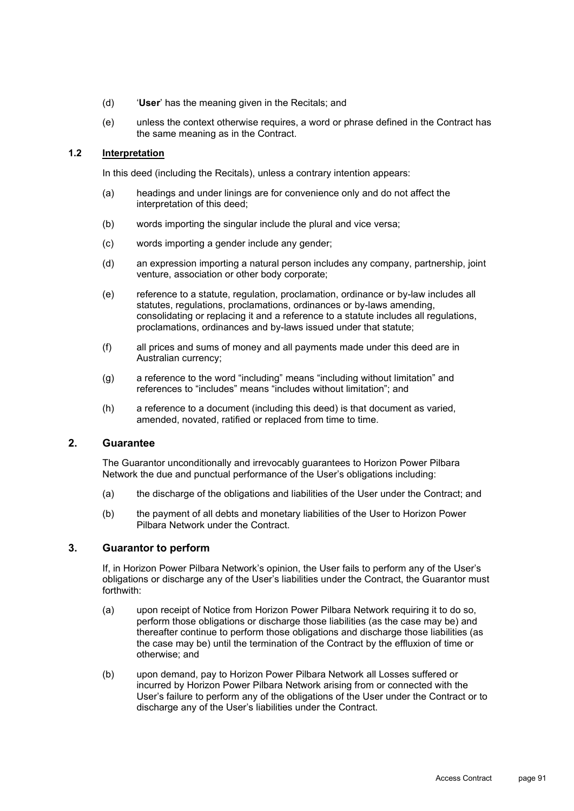- (d) '**User**' has the meaning given in the Recitals; and
- (e) unless the context otherwise requires, a word or phrase defined in the Contract has the same meaning as in the Contract.

#### **1.2 Interpretation**

In this deed (including the Recitals), unless a contrary intention appears:

- (a) headings and under linings are for convenience only and do not affect the interpretation of this deed;
- (b) words importing the singular include the plural and vice versa;
- (c) words importing a gender include any gender;
- (d) an expression importing a natural person includes any company, partnership, joint venture, association or other body corporate;
- (e) reference to a statute, regulation, proclamation, ordinance or by-law includes all statutes, regulations, proclamations, ordinances or by-laws amending, consolidating or replacing it and a reference to a statute includes all regulations, proclamations, ordinances and by-laws issued under that statute;
- (f) all prices and sums of money and all payments made under this deed are in Australian currency;
- (g) a reference to the word "including" means "including without limitation" and references to "includes" means "includes without limitation"; and
- (h) a reference to a document (including this deed) is that document as varied, amended, novated, ratified or replaced from time to time.

#### **2. Guarantee**

The Guarantor unconditionally and irrevocably guarantees to Horizon Power Pilbara Network the due and punctual performance of the User's obligations including:

- (a) the discharge of the obligations and liabilities of the User under the Contract; and
- (b) the payment of all debts and monetary liabilities of the User to Horizon Power Pilbara Network under the Contract.

#### **3. Guarantor to perform**

If, in Horizon Power Pilbara Network's opinion, the User fails to perform any of the User's obligations or discharge any of the User's liabilities under the Contract, the Guarantor must forthwith:

- (a) upon receipt of Notice from Horizon Power Pilbara Network requiring it to do so, perform those obligations or discharge those liabilities (as the case may be) and thereafter continue to perform those obligations and discharge those liabilities (as the case may be) until the termination of the Contract by the effluxion of time or otherwise; and
- (b) upon demand, pay to Horizon Power Pilbara Network all Losses suffered or incurred by Horizon Power Pilbara Network arising from or connected with the User's failure to perform any of the obligations of the User under the Contract or to discharge any of the User's liabilities under the Contract.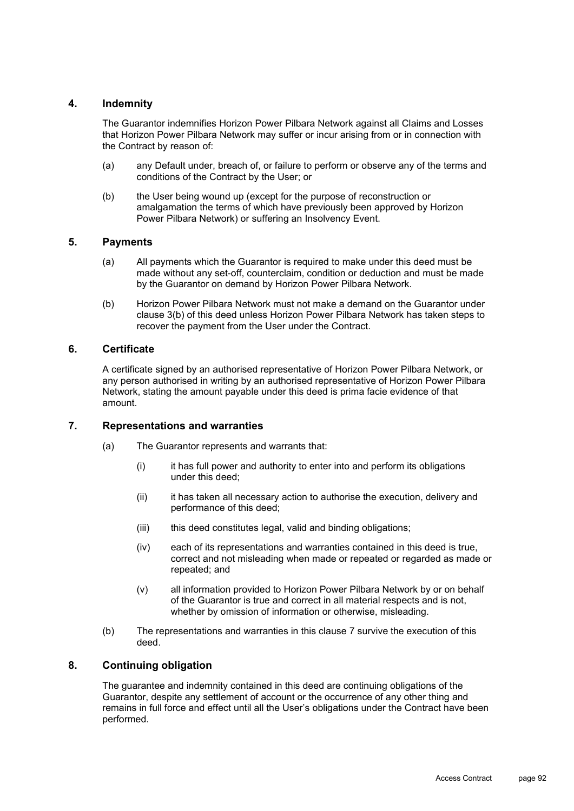#### **4. Indemnity**

The Guarantor indemnifies Horizon Power Pilbara Network against all Claims and Losses that Horizon Power Pilbara Network may suffer or incur arising from or in connection with the Contract by reason of:

- (a) any Default under, breach of, or failure to perform or observe any of the terms and conditions of the Contract by the User; or
- (b) the User being wound up (except for the purpose of reconstruction or amalgamation the terms of which have previously been approved by Horizon Power Pilbara Network) or suffering an Insolvency Event.

#### **5. Payments**

- (a) All payments which the Guarantor is required to make under this deed must be made without any set-off, counterclaim, condition or deduction and must be made by the Guarantor on demand by Horizon Power Pilbara Network.
- (b) Horizon Power Pilbara Network must not make a demand on the Guarantor under clause 3(b) of this deed unless Horizon Power Pilbara Network has taken steps to recover the payment from the User under the Contract.

#### **6. Certificate**

A certificate signed by an authorised representative of Horizon Power Pilbara Network, or any person authorised in writing by an authorised representative of Horizon Power Pilbara Network, stating the amount payable under this deed is prima facie evidence of that amount.

#### **7. Representations and warranties**

- (a) The Guarantor represents and warrants that:
	- (i) it has full power and authority to enter into and perform its obligations under this deed;
	- (ii) it has taken all necessary action to authorise the execution, delivery and performance of this deed;
	- (iii) this deed constitutes legal, valid and binding obligations;
	- (iv) each of its representations and warranties contained in this deed is true, correct and not misleading when made or repeated or regarded as made or repeated; and
	- (v) all information provided to Horizon Power Pilbara Network by or on behalf of the Guarantor is true and correct in all material respects and is not, whether by omission of information or otherwise, misleading.
- (b) The representations and warranties in this clause 7 survive the execution of this deed.

#### **8. Continuing obligation**

The guarantee and indemnity contained in this deed are continuing obligations of the Guarantor, despite any settlement of account or the occurrence of any other thing and remains in full force and effect until all the User's obligations under the Contract have been performed.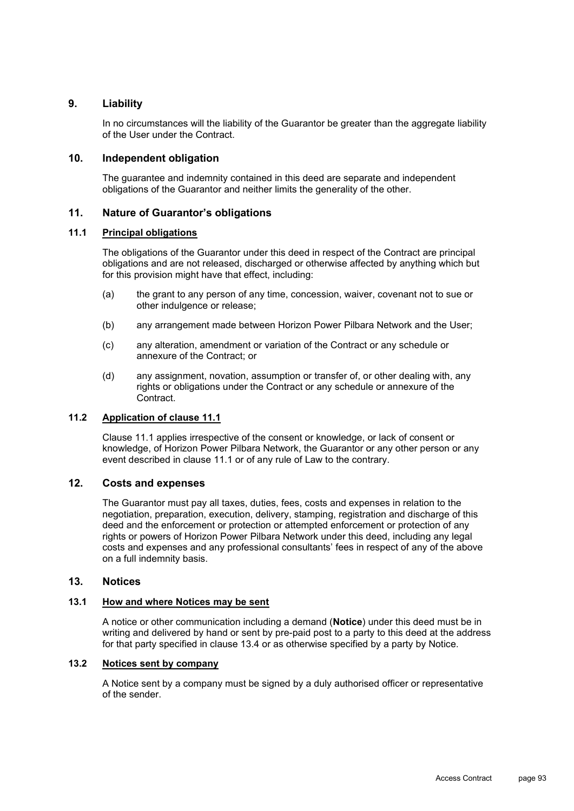#### **9. Liability**

In no circumstances will the liability of the Guarantor be greater than the aggregate liability of the User under the Contract.

#### **10. Independent obligation**

The guarantee and indemnity contained in this deed are separate and independent obligations of the Guarantor and neither limits the generality of the other.

#### **11. Nature of Guarantor's obligations**

#### **11.1 Principal obligations**

The obligations of the Guarantor under this deed in respect of the Contract are principal obligations and are not released, discharged or otherwise affected by anything which but for this provision might have that effect, including:

- (a) the grant to any person of any time, concession, waiver, covenant not to sue or other indulgence or release;
- (b) any arrangement made between Horizon Power Pilbara Network and the User;
- (c) any alteration, amendment or variation of the Contract or any schedule or annexure of the Contract; or
- (d) any assignment, novation, assumption or transfer of, or other dealing with, any rights or obligations under the Contract or any schedule or annexure of the Contract.

#### **11.2 Application of clause 11.1**

Clause 11.1 applies irrespective of the consent or knowledge, or lack of consent or knowledge, of Horizon Power Pilbara Network, the Guarantor or any other person or any event described in clause 11.1 or of any rule of Law to the contrary.

#### **12. Costs and expenses**

The Guarantor must pay all taxes, duties, fees, costs and expenses in relation to the negotiation, preparation, execution, delivery, stamping, registration and discharge of this deed and the enforcement or protection or attempted enforcement or protection of any rights or powers of Horizon Power Pilbara Network under this deed, including any legal costs and expenses and any professional consultants' fees in respect of any of the above on a full indemnity basis.

#### **13. Notices**

#### **13.1 How and where Notices may be sent**

A notice or other communication including a demand (**Notice**) under this deed must be in writing and delivered by hand or sent by pre-paid post to a party to this deed at the address for that party specified in clause 13.4 or as otherwise specified by a party by Notice.

#### **13.2 Notices sent by company**

A Notice sent by a company must be signed by a duly authorised officer or representative of the sender.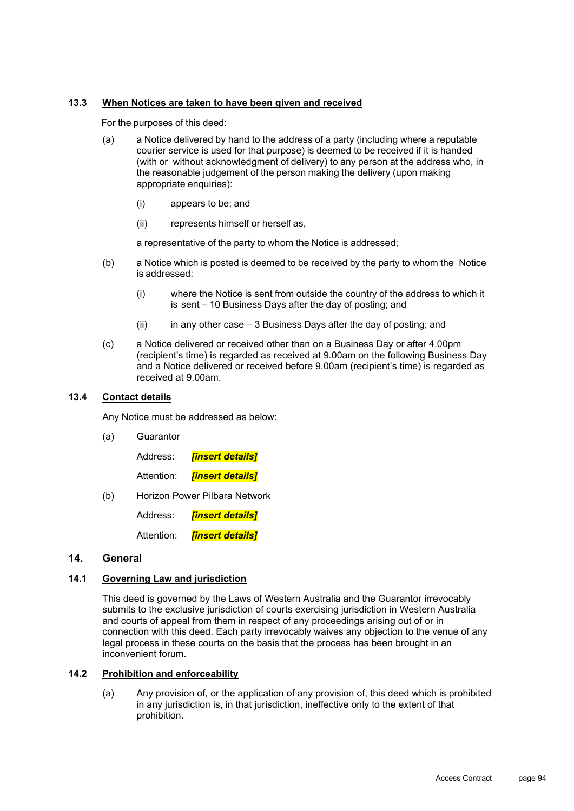#### **13.3 When Notices are taken to have been given and received**

For the purposes of this deed:

- (a) a Notice delivered by hand to the address of a party (including where a reputable courier service is used for that purpose) is deemed to be received if it is handed (with or without acknowledgment of delivery) to any person at the address who, in the reasonable judgement of the person making the delivery (upon making appropriate enquiries):
	- (i) appears to be; and
	- (ii) represents himself or herself as,

a representative of the party to whom the Notice is addressed;

- (b) a Notice which is posted is deemed to be received by the party to whom the Notice is addressed:
	- (i) where the Notice is sent from outside the country of the address to which it is sent – 10 Business Days after the day of posting; and
	- $(ii)$  in any other case 3 Business Days after the day of posting; and
- (c) a Notice delivered or received other than on a Business Day or after 4.00pm (recipient's time) is regarded as received at 9.00am on the following Business Day and a Notice delivered or received before 9.00am (recipient's time) is regarded as received at 9.00am.

#### **13.4 Contact details**

Any Notice must be addressed as below:

(a) Guarantor

Address: *[insert details]*

Attention: *[insert details]*

(b) Horizon Power Pilbara Network

Address: *[insert details]*

Attention: *[insert details]*

#### **14. General**

#### **14.1 Governing Law and jurisdiction**

This deed is governed by the Laws of Western Australia and the Guarantor irrevocably submits to the exclusive jurisdiction of courts exercising jurisdiction in Western Australia and courts of appeal from them in respect of any proceedings arising out of or in connection with this deed. Each party irrevocably waives any objection to the venue of any legal process in these courts on the basis that the process has been brought in an inconvenient forum.

#### **14.2 Prohibition and enforceability**

(a) Any provision of, or the application of any provision of, this deed which is prohibited in any jurisdiction is, in that jurisdiction, ineffective only to the extent of that prohibition.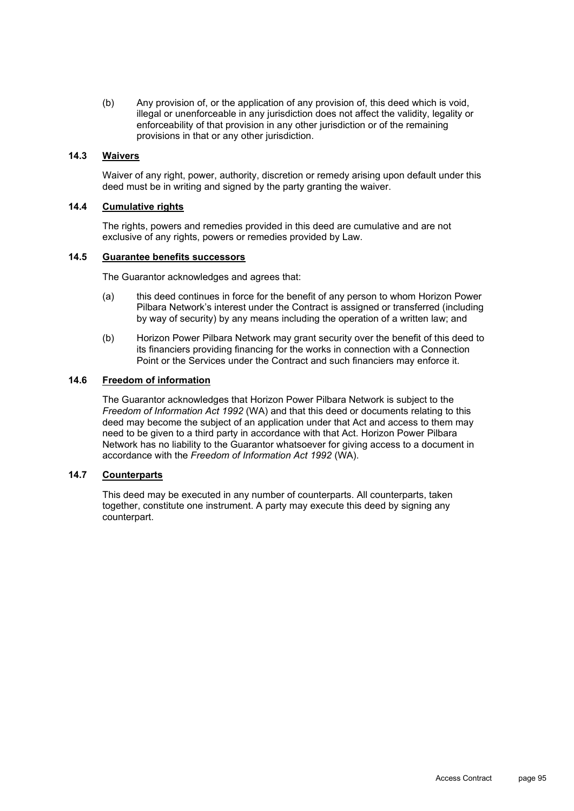(b) Any provision of, or the application of any provision of, this deed which is void, illegal or unenforceable in any jurisdiction does not affect the validity, legality or enforceability of that provision in any other jurisdiction or of the remaining provisions in that or any other jurisdiction.

#### **14.3 Waivers**

Waiver of any right, power, authority, discretion or remedy arising upon default under this deed must be in writing and signed by the party granting the waiver.

#### **14.4 Cumulative rights**

The rights, powers and remedies provided in this deed are cumulative and are not exclusive of any rights, powers or remedies provided by Law.

#### **14.5 Guarantee benefits successors**

The Guarantor acknowledges and agrees that:

- (a) this deed continues in force for the benefit of any person to whom Horizon Power Pilbara Network's interest under the Contract is assigned or transferred (including by way of security) by any means including the operation of a written law; and
- (b) Horizon Power Pilbara Network may grant security over the benefit of this deed to its financiers providing financing for the works in connection with a Connection Point or the Services under the Contract and such financiers may enforce it.

#### **14.6 Freedom of information**

The Guarantor acknowledges that Horizon Power Pilbara Network is subject to the *Freedom of Information Act 1992* (WA) and that this deed or documents relating to this deed may become the subject of an application under that Act and access to them may need to be given to a third party in accordance with that Act. Horizon Power Pilbara Network has no liability to the Guarantor whatsoever for giving access to a document in accordance with the *Freedom of Information Act 1992* (WA).

#### **14.7 Counterparts**

This deed may be executed in any number of counterparts. All counterparts, taken together, constitute one instrument. A party may execute this deed by signing any counterpart.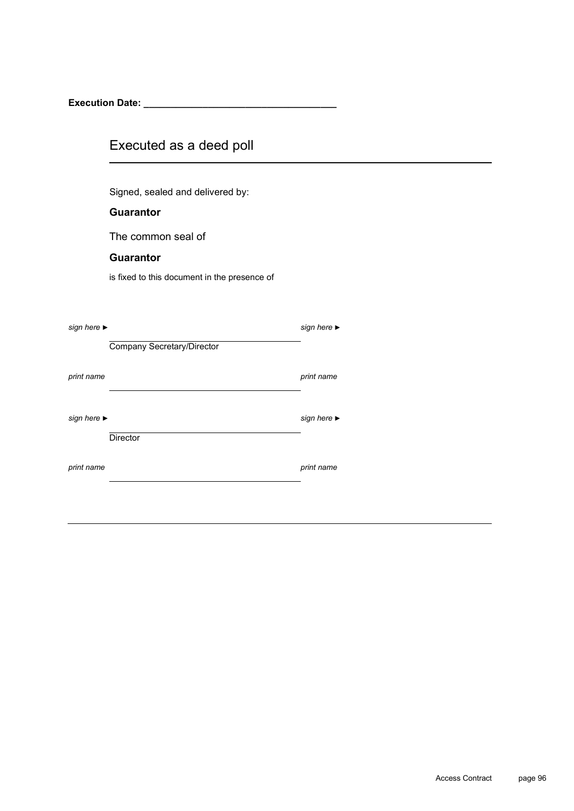**Execution Date: \_\_\_\_\_\_\_\_\_\_\_\_\_\_\_\_\_\_\_\_\_\_\_\_\_\_\_\_\_\_\_\_\_\_\_\_**

## Executed as a deed poll

Signed, sealed and delivered by:

#### **Guarantor**

The common seal of

#### **Guarantor**

is fixed to this document in the presence of

| sign here $\blacktriangleright$ |                            | sign here $\blacktriangleright$ |
|---------------------------------|----------------------------|---------------------------------|
|                                 | Company Secretary/Director |                                 |
| print name                      |                            | print name                      |
| sign here $\blacktriangleright$ | <b>Director</b>            | sign here $\blacktriangleright$ |
| print name                      |                            | print name                      |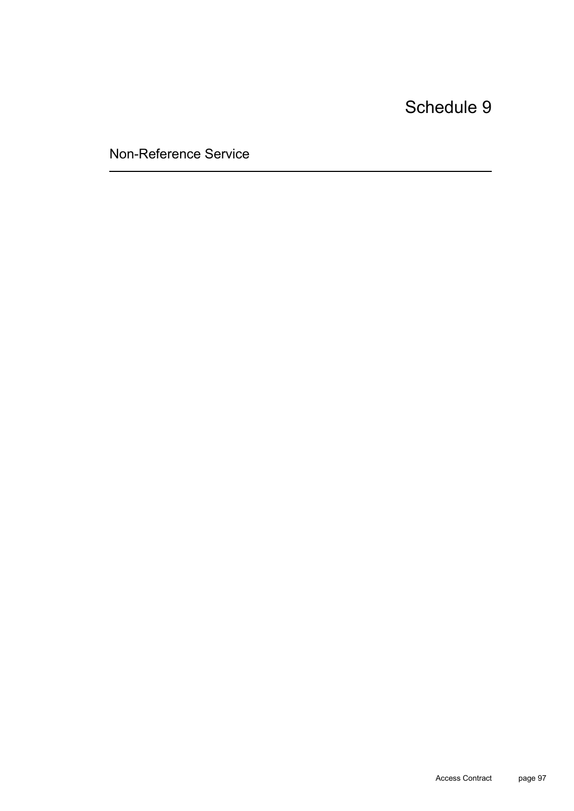Non-Reference Service